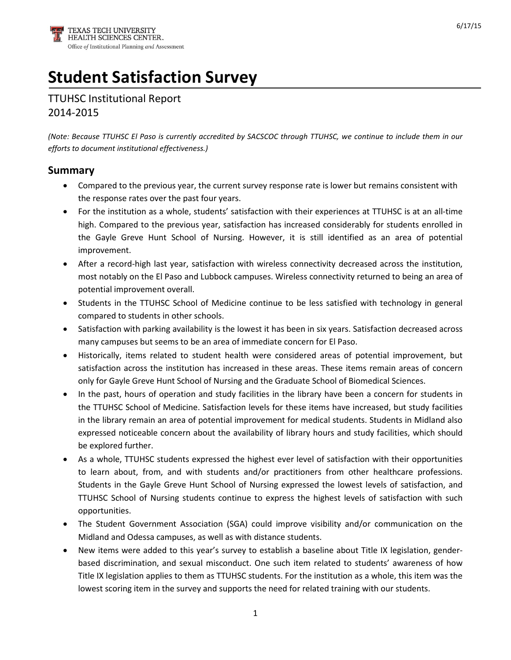# **Student Satisfaction Survey**

TTUHSC Institutional Report 2014-2015

*(Note: Because TTUHSC El Paso is currently accredited by SACSCOC through TTUHSC, we continue to include them in our efforts to document institutional effectiveness.)*

#### **Summary**

- Compared to the previous year, the current survey response rate is lower but remains consistent with the response rates over the past four years.
- For the institution as a whole, students' satisfaction with their experiences at TTUHSC is at an all-time high. Compared to the previous year, satisfaction has increased considerably for students enrolled in the Gayle Greve Hunt School of Nursing. However, it is still identified as an area of potential improvement.
- After a record-high last year, satisfaction with wireless connectivity decreased across the institution, most notably on the El Paso and Lubbock campuses. Wireless connectivity returned to being an area of potential improvement overall.
- Students in the TTUHSC School of Medicine continue to be less satisfied with technology in general compared to students in other schools.
- Satisfaction with parking availability is the lowest it has been in six years. Satisfaction decreased across many campuses but seems to be an area of immediate concern for El Paso.
- Historically, items related to student health were considered areas of potential improvement, but satisfaction across the institution has increased in these areas. These items remain areas of concern only for Gayle Greve Hunt School of Nursing and the Graduate School of Biomedical Sciences.
- In the past, hours of operation and study facilities in the library have been a concern for students in the TTUHSC School of Medicine. Satisfaction levels for these items have increased, but study facilities in the library remain an area of potential improvement for medical students. Students in Midland also expressed noticeable concern about the availability of library hours and study facilities, which should be explored further.
- As a whole, TTUHSC students expressed the highest ever level of satisfaction with their opportunities to learn about, from, and with students and/or practitioners from other healthcare professions. Students in the Gayle Greve Hunt School of Nursing expressed the lowest levels of satisfaction, and TTUHSC School of Nursing students continue to express the highest levels of satisfaction with such opportunities.
- The Student Government Association (SGA) could improve visibility and/or communication on the Midland and Odessa campuses, as well as with distance students.
- New items were added to this year's survey to establish a baseline about Title IX legislation, genderbased discrimination, and sexual misconduct. One such item related to students' awareness of how Title IX legislation applies to them as TTUHSC students. For the institution as a whole, this item was the lowest scoring item in the survey and supports the need for related training with our students.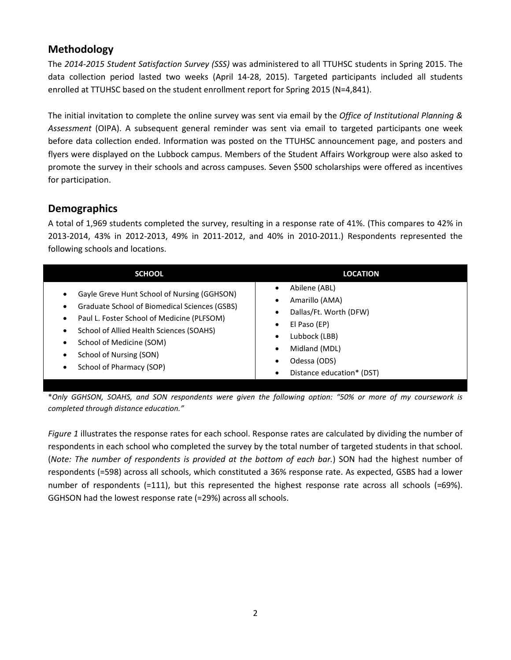## **Methodology**

The *2014-2015 Student Satisfaction Survey (SSS)* was administered to all TTUHSC students in Spring 2015. The data collection period lasted two weeks (April 14-28, 2015). Targeted participants included all students enrolled at TTUHSC based on the student enrollment report for Spring 2015 (N=4,841).

The initial invitation to complete the online survey was sent via email by the *Office of Institutional Planning & Assessment* (OIPA). A subsequent general reminder was sent via email to targeted participants one week before data collection ended. Information was posted on the TTUHSC announcement page, and posters and flyers were displayed on the Lubbock campus. Members of the Student Affairs Workgroup were also asked to promote the survey in their schools and across campuses. Seven \$500 scholarships were offered as incentives for participation.

## **Demographics**

A total of 1,969 students completed the survey, resulting in a response rate of 41%. (This compares to 42% in 2013-2014, 43% in 2012-2013, 49% in 2011-2012, and 40% in 2010-2011.) Respondents represented the following schools and locations.

| <b>SCHOOL</b>                                 | <b>LOCATION</b>           |
|-----------------------------------------------|---------------------------|
| Gayle Greve Hunt School of Nursing (GGHSON)   | Abilene (ABL)             |
| ٠                                             | $\bullet$                 |
| Graduate School of Biomedical Sciences (GSBS) | Amarillo (AMA)            |
| $\bullet$                                     | Dallas/Ft. Worth (DFW)    |
| Paul L. Foster School of Medicine (PLFSOM)    | El Paso (EP)              |
| $\bullet$                                     | $\bullet$                 |
| School of Allied Health Sciences (SOAHS)      | Lubbock (LBB)             |
| $\bullet$                                     | ٠                         |
| School of Medicine (SOM)                      | Midland (MDL)             |
| $\bullet$                                     | $\bullet$                 |
| School of Nursing (SON)                       | Odessa (ODS)              |
| ٠                                             | ٠                         |
| School of Pharmacy (SOP)                      | Distance education* (DST) |
| ٠                                             | $\bullet$                 |

\**Only GGHSON, SOAHS, and SON respondents were given the following option: "50% or more of my coursework is completed through distance education."*

*Figure 1* illustrates the response rates for each school. Response rates are calculated by dividing the number of respondents in each school who completed the survey by the total number of targeted students in that school. (*Note: The number of respondents is provided at the bottom of each bar.*) SON had the highest number of respondents (=598) across all schools, which constituted a 36% response rate. As expected, GSBS had a lower number of respondents (=111), but this represented the highest response rate across all schools (=69%). GGHSON had the lowest response rate (=29%) across all schools.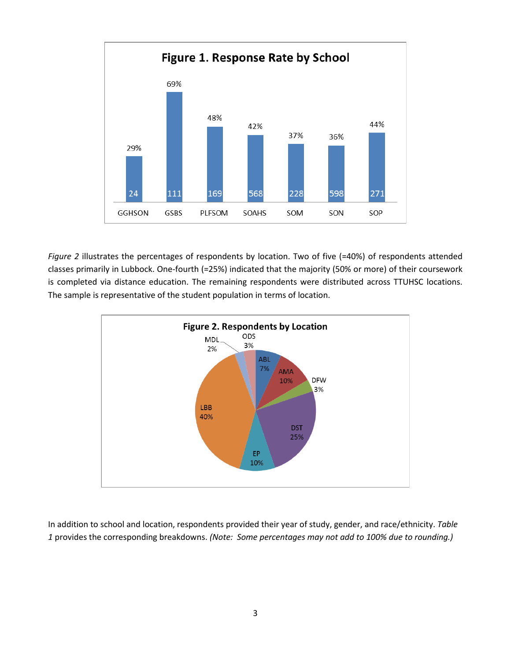

*Figure 2* illustrates the percentages of respondents by location. Two of five (=40%) of respondents attended classes primarily in Lubbock. One-fourth (=25%) indicated that the majority (50% or more) of their coursework is completed via distance education. The remaining respondents were distributed across TTUHSC locations. The sample is representative of the student population in terms of location.



In addition to school and location, respondents provided their year of study, gender, and race/ethnicity. *Table 1* provides the corresponding breakdowns. *(Note: Some percentages may not add to 100% due to rounding.)*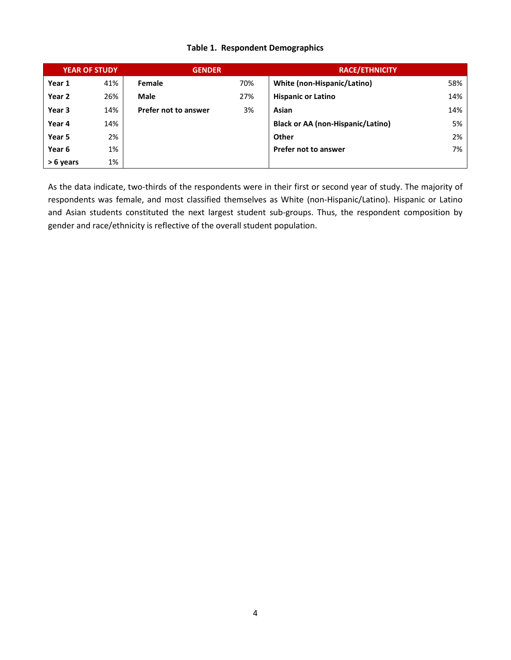#### **Table 1. Respondent Demographics**

|           | <b>YEAR OF STUDY</b> | <b>GENDER</b>        |     | <b>RACE/ETHNICITY</b>                    |     |
|-----------|----------------------|----------------------|-----|------------------------------------------|-----|
| Year 1    | 41%                  | <b>Female</b>        | 70% | White (non-Hispanic/Latino)              | 58% |
| Year 2    | 26%                  | Male                 | 27% | <b>Hispanic or Latino</b>                | 14% |
| Year 3    | 14%                  | Prefer not to answer | 3%  | Asian                                    | 14% |
| Year 4    | 14%                  |                      |     | <b>Black or AA (non-Hispanic/Latino)</b> | 5%  |
| Year 5    | 2%                   |                      |     | <b>Other</b>                             | 2%  |
| Year 6    | 1%                   |                      |     | <b>Prefer not to answer</b>              | 7%  |
| > 6 years | 1%                   |                      |     |                                          |     |

As the data indicate, two-thirds of the respondents were in their first or second year of study. The majority of respondents was female, and most classified themselves as White (non-Hispanic/Latino). Hispanic or Latino and Asian students constituted the next largest student sub-groups. Thus, the respondent composition by gender and race/ethnicity is reflective of the overall student population.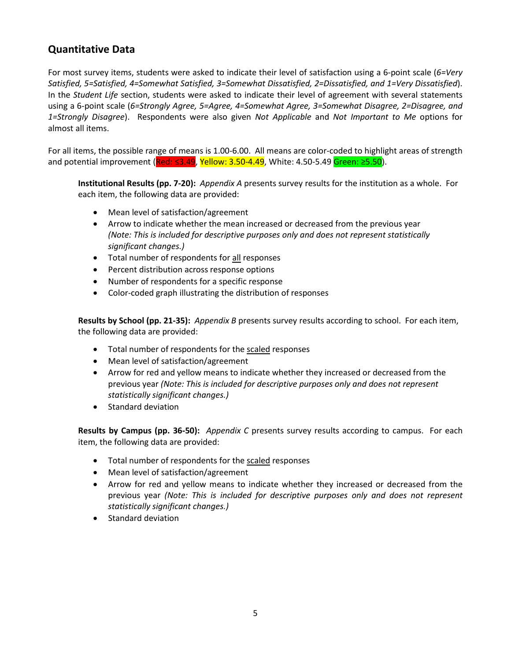### **Quantitative Data**

For most survey items, students were asked to indicate their level of satisfaction using a 6-point scale (*6=Very Satisfied, 5=Satisfied, 4=Somewhat Satisfied, 3=Somewhat Dissatisfied, 2=Dissatisfied, and 1=Very Dissatisfied*). In the *Student Life* section, students were asked to indicate their level of agreement with several statements using a 6-point scale (*6=Strongly Agree, 5=Agree, 4=Somewhat Agree, 3=Somewhat Disagree, 2=Disagree, and 1=Strongly Disagree*). Respondents were also given *Not Applicable* and *Not Important to Me* options for almost all items.

For all items, the possible range of means is 1.00-6.00. All means are color-coded to highlight areas of strength and potential improvement (Red: ≤3.49, Yellow: 3.50-4.49, White: 4.50-5.49 Green: ≥5.50).

**Institutional Results (pp. 7-20):** *Appendix A* presents survey results for the institution as a whole. For each item, the following data are provided:

- Mean level of satisfaction/agreement
- Arrow to indicate whether the mean increased or decreased from the previous year *(Note: This is included for descriptive purposes only and does not represent statistically significant changes.)*
- Total number of respondents for all responses
- Percent distribution across response options
- Number of respondents for a specific response
- Color-coded graph illustrating the distribution of responses

**Results by School (pp. 21-35):** *Appendix B* presents survey results according to school. For each item, the following data are provided:

- Total number of respondents for the scaled responses
- Mean level of satisfaction/agreement
- Arrow for red and yellow means to indicate whether they increased or decreased from the previous year *(Note: This is included for descriptive purposes only and does not represent statistically significant changes.)*
- Standard deviation

**Results by Campus (pp. 36-50):** *Appendix C* presents survey results according to campus. For each item, the following data are provided:

- Total number of respondents for the scaled responses
- Mean level of satisfaction/agreement
- Arrow for red and yellow means to indicate whether they increased or decreased from the previous year *(Note: This is included for descriptive purposes only and does not represent statistically significant changes.)*
- Standard deviation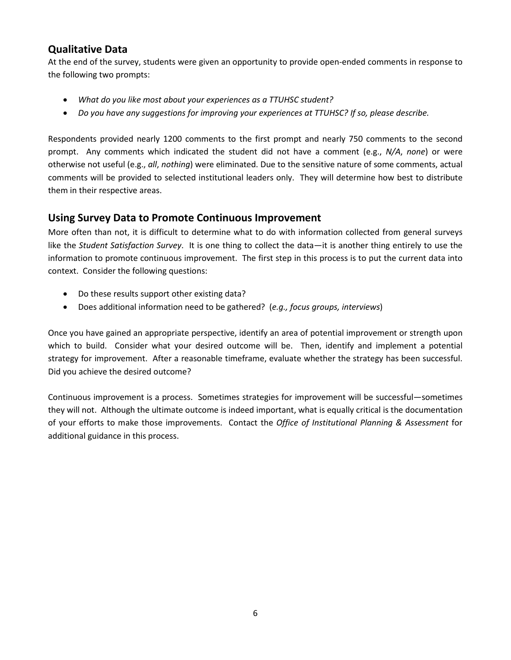#### **Qualitative Data**

At the end of the survey, students were given an opportunity to provide open-ended comments in response to the following two prompts:

- *What do you like most about your experiences as a TTUHSC student?*
- *Do you have any suggestions for improving your experiences at TTUHSC? If so, please describe.*

Respondents provided nearly 1200 comments to the first prompt and nearly 750 comments to the second prompt. Any comments which indicated the student did not have a comment (e.g., *N/A*, *none*) or were otherwise not useful (e.g., *all*, *nothing*) were eliminated. Due to the sensitive nature of some comments, actual comments will be provided to selected institutional leaders only. They will determine how best to distribute them in their respective areas.

#### **Using Survey Data to Promote Continuous Improvement**

More often than not, it is difficult to determine what to do with information collected from general surveys like the *Student Satisfaction Survey*. It is one thing to collect the data—it is another thing entirely to use the information to promote continuous improvement. The first step in this process is to put the current data into context. Consider the following questions:

- Do these results support other existing data?
- Does additional information need to be gathered? (*e.g., focus groups, interviews*)

Once you have gained an appropriate perspective, identify an area of potential improvement or strength upon which to build. Consider what your desired outcome will be. Then, identify and implement a potential strategy for improvement. After a reasonable timeframe, evaluate whether the strategy has been successful. Did you achieve the desired outcome?

Continuous improvement is a process. Sometimes strategies for improvement will be successful—sometimes they will not. Although the ultimate outcome is indeed important, what is equally critical is the documentation of your efforts to make those improvements. Contact the *Office of Institutional Planning & Assessment* for additional guidance in this process.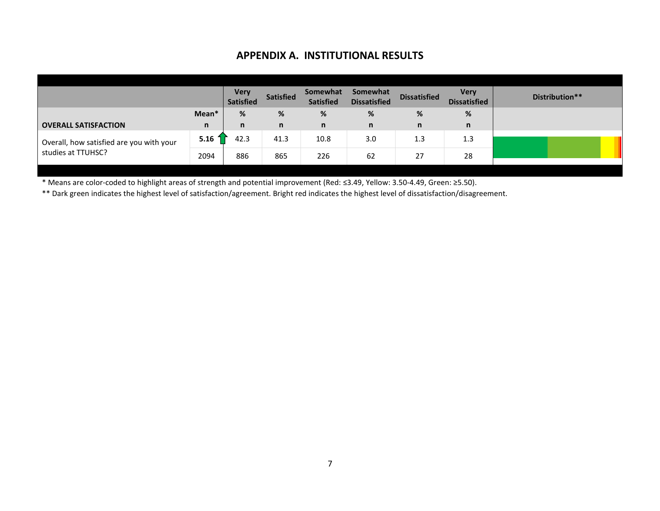#### **APPENDIX A. INSTITUTIONAL RESULTS**

|                                          |                           | Very<br><b>Satisfied</b> | <b>Satisfied</b> | Somewhat<br><b>Satisfied</b> | Somewhat<br><b>Dissatisfied</b> | <b>Dissatisfied</b> | <b>Very</b><br><b>Dissatisfied</b> |
|------------------------------------------|---------------------------|--------------------------|------------------|------------------------------|---------------------------------|---------------------|------------------------------------|
|                                          | Mean*                     | %                        | %                | %                            | %                               | %                   | %                                  |
| <b>OVERALL SATISFACTION</b>              | n                         | n                        | n                | n                            | $\mathsf{n}$                    | n                   | n                                  |
| Overall, how satisfied are you with your | $5.16 \text{ }^{\degree}$ | 42.3                     | 41.3             | 10.8                         | 3.0                             | 1.3                 | 1.3                                |
| studies at TTUHSC?                       | 2094                      | 886                      | 865              | 226                          | 62                              | 27                  | 28                                 |

\* Means are color-coded to highlight areas of strength and potential improvement (Red: ≤3.49, Yellow: 3.50-4.49, Green: ≥5.50).

\*\* Dark green indicates the highest level of satisfaction/agreement. Bright red indicates the highest level of dissatisfaction/disagreement.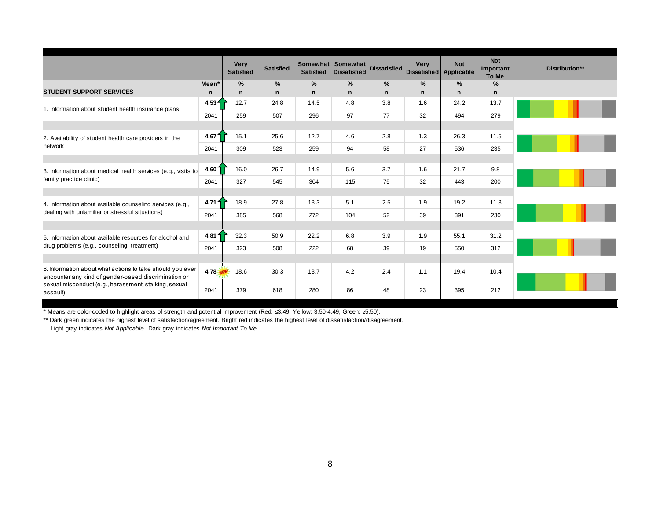|                                                                                                                   |                   | Very<br><b>Satisfied</b> | <b>Satisfied</b> | <b>Satisfied</b> | Somewhat Somewhat<br><b>Dissatisfied</b> | <b>Dissatisfied</b> | <b>Very</b>   | <b>Not</b><br>Dissatisfied Applicable | <b>Not</b><br>Important<br>To Me | Distribution** |
|-------------------------------------------------------------------------------------------------------------------|-------------------|--------------------------|------------------|------------------|------------------------------------------|---------------------|---------------|---------------------------------------|----------------------------------|----------------|
|                                                                                                                   | Mean <sup>*</sup> | $\%$                     | $\%$             | $\frac{9}{6}$    | $\frac{9}{6}$                            | %                   | $\frac{9}{6}$ | $\frac{9}{6}$                         | $\frac{9}{6}$                    |                |
| <b>STUDENT SUPPORT SERVICES</b>                                                                                   | n                 | n                        | $\mathsf{n}$     | n                | $\mathbf n$                              | n                   | $\mathsf{n}$  | n                                     | n                                |                |
| 1. Information about student health insurance plans                                                               | 4.53 <sub>1</sub> | 12.7                     | 24.8             | 14.5             | 4.8                                      | 3.8                 | 1.6           | 24.2                                  | 13.7                             |                |
|                                                                                                                   | 2041              | 259                      | 507              | 296              | 97                                       | 77                  | 32            | 494                                   | 279                              |                |
|                                                                                                                   |                   |                          |                  |                  |                                          |                     |               |                                       |                                  |                |
| 2. Availability of student health care providers in the                                                           | 4.67 <sup>2</sup> | 15.1                     | 25.6             | 12.7             | 4.6                                      | 2.8                 | 1.3           | 26.3                                  | 11.5                             |                |
| network                                                                                                           | 2041              | 309                      | 523              | 259              | 94                                       | 58                  | 27            | 536                                   | 235                              |                |
|                                                                                                                   |                   |                          |                  |                  |                                          |                     |               |                                       |                                  |                |
| 3. Information about medical health services (e.g., visits to<br>family practice clinic)                          | 4.601             | 16.0                     | 26.7             | 14.9             | 5.6                                      | 3.7                 | 1.6           | 21.7                                  | 9.8                              |                |
|                                                                                                                   | 2041              | 327                      | 545              | 304              | 115                                      | 75                  | 32            | 443                                   | 200                              |                |
|                                                                                                                   |                   |                          |                  |                  |                                          |                     |               |                                       |                                  |                |
| 4. Information about available counseling services (e.g.,                                                         | 4.71 f            | 18.9                     | 27.8             | 13.3             | 5.1                                      | 2.5                 | 1.9           | 19.2                                  | 11.3                             |                |
| dealing with unfamiliar or stressful situations)                                                                  | 2041              | 385                      | 568              | 272              | 104                                      | 52                  | 39            | 391                                   | 230                              |                |
|                                                                                                                   |                   |                          |                  |                  |                                          |                     |               |                                       |                                  |                |
| 5. Information about available resources for alcohol and                                                          | 4.81 f            | 32.3                     | 50.9             | 22.2             | 6.8                                      | 3.9                 | 1.9           | 55.1                                  | 31.2                             |                |
| drug problems (e.g., counseling, treatment)                                                                       | 2041              | 323                      | 508              | 222              | 68                                       | 39                  | 19            | 550                                   | 312                              |                |
|                                                                                                                   |                   |                          |                  |                  |                                          |                     |               |                                       |                                  |                |
| 6. Information about what actions to take should you ever<br>encounter any kind of gender-based discrimination or | $4.78 -$          | 18.6                     | 30.3             | 13.7             | 4.2                                      | 2.4                 | 1.1           | 19.4                                  | 10.4                             |                |
| sexual misconduct (e.g., harassment, stalking, sexual<br>assault)                                                 | 2041              | 379                      | 618              | 280              | 86                                       | 48                  | 23            | 395                                   | 212                              |                |

\*\* Dark green indicates the highest level of satisfaction/agreement. Bright red indicates the highest level of dissatisfaction/disagreement.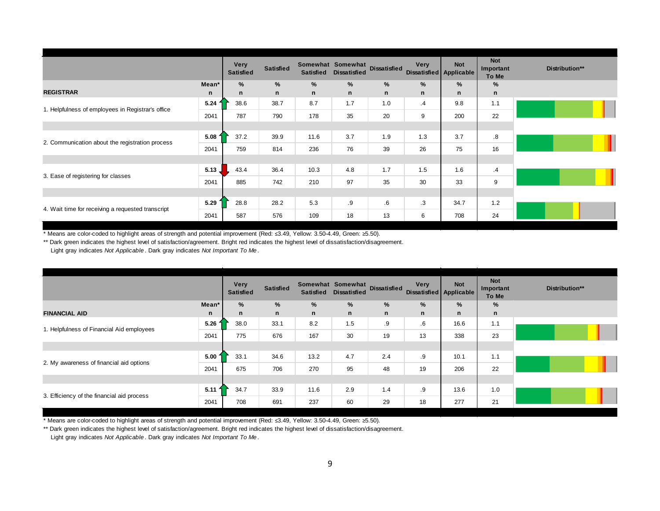|                                                   |          | Very<br><b>Satisfied</b> | <b>Satisfied</b> | <b>Satisfied</b> | Somewhat Somewhat<br><b>Dissatisfied</b> | Dissatisfied | Very         | <b>Not</b><br>Dissatisfied Applicable | <b>Not</b><br>Important<br>To Me | Distribution** |
|---------------------------------------------------|----------|--------------------------|------------------|------------------|------------------------------------------|--------------|--------------|---------------------------------------|----------------------------------|----------------|
|                                                   | Mean*    | %                        | %                | %                | %                                        | %            | $\%$         | %                                     | %                                |                |
| <b>REGISTRAR</b>                                  | n        | n                        | $\mathsf{n}$     | $\mathsf{n}$     | $\mathsf{n}$                             | n            | $\mathsf{n}$ | n                                     | n                                |                |
| 1. Helpfulness of employees in Registrar's office | 5.24     | 38.6                     | 38.7             | 8.7              | 1.7                                      | 1.0          | $\cdot$ 4    | 9.8                                   | 1.1                              |                |
|                                                   | 2041     | 787                      | 790              | 178              | 35                                       | 20           | 9            | 200                                   | 22                               |                |
|                                                   |          |                          |                  |                  |                                          |              |              |                                       |                                  |                |
| 2. Communication about the registration process   | 5.08     | 37.2                     | 39.9             | 11.6             | 3.7                                      | 1.9          | 1.3          | 3.7                                   | $\boldsymbol{.8}$                |                |
|                                                   | 2041     | 759                      | 814              | 236              | 76                                       | 39           | 26           | 75                                    | 16                               |                |
|                                                   |          |                          |                  |                  |                                          |              |              |                                       |                                  |                |
| 3. Ease of registering for classes                | $5.13$ , | 43.4                     | 36.4             | 10.3             | 4.8                                      | 1.7          | 1.5          | 1.6                                   | $\cdot$ 4                        |                |
|                                                   | 2041     | 885                      | 742              | 210              | 97                                       | 35           | 30           | 33                                    | 9                                |                |
|                                                   |          |                          |                  |                  |                                          |              |              |                                       |                                  |                |
|                                                   | 5.29     | 28.8                     | 28.2             | 5.3              | .9                                       | .6           | .3           | 34.7                                  | 1.2                              |                |
| 4. Wait time for receiving a requested transcript | 2041     | 587                      | 576              | 109              | 18                                       | 13           | 6            | 708                                   | 24                               |                |

\*\* Dark green indicates the highest level of satisfaction/agreement. Bright red indicates the highest level of dissatisfaction/disagreement.

Light gray indicates *Not Applicable* . Dark gray indicates *Not Important To Me* .

|                                            |        | <b>Very</b><br><b>Satisfied</b> | <b>Satisfied</b> | <b>Satisfied</b> | Somewhat Somewhat<br><b>Dissatisfied</b> | <b>Dissatisfied</b> | <b>Very</b><br>Dissatisfied Applicable | <b>Not</b> | <b>Not</b><br>Important<br>To Me | Distribution** |
|--------------------------------------------|--------|---------------------------------|------------------|------------------|------------------------------------------|---------------------|----------------------------------------|------------|----------------------------------|----------------|
|                                            | Mean*  | $\%$                            | %                | %                | %                                        | %                   | %                                      | %          | %                                |                |
| <b>FINANCIAL AID</b>                       | n      | n                               | $\mathsf{n}$     | n                | $\mathsf{n}$                             | $\mathsf{n}$        | $\mathsf{n}$                           | n          | n                                |                |
|                                            | 5.26   | 38.0                            | 33.1             | 8.2              | 1.5                                      | .9                  | $.6\,$                                 | 16.6       | 1.1                              |                |
| 1. Helpfulness of Financial Aid employees  | 2041   | 775                             | 676              | 167              | 30                                       | 19                  | 13                                     | 338        | 23                               |                |
|                                            |        |                                 |                  |                  |                                          |                     |                                        |            |                                  |                |
|                                            | 5.00   | 33.1                            | 34.6             | 13.2             | 4.7                                      | 2.4                 | .9                                     | 10.1       | 1.1                              |                |
| 2. My awareness of financial aid options   | 2041   | 675                             | 706              | 270              | 95                                       | 48                  | 19                                     | 206        | 22                               |                |
|                                            |        |                                 |                  |                  |                                          |                     |                                        |            |                                  |                |
|                                            | 5.11 f | 34.7                            | 33.9             | 11.6             | 2.9                                      | 1.4                 | .9                                     | 13.6       | 1.0                              |                |
| 3. Efficiency of the financial aid process | 2041   | 708                             | 691              | 237              | 60                                       | 29                  | 18                                     | 277        | 21                               |                |

\* Means are color-coded to highlight areas of strength and potential improvement (Red: ≤3.49, Yellow: 3.50-4.49, Green: ≥5.50).

\*\* Dark green indicates the highest level of satisfaction/agreement. Bright red indicates the highest level of dissatisfaction/disagreement. Light gray indicates *Not Applicable*. Dark gray indicates *Not Important To Me*.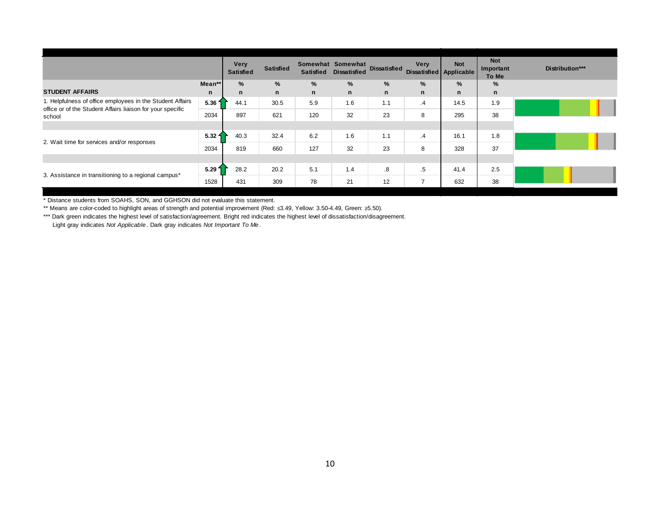|                                                                                                                         |                   | <b>Very</b><br><b>Satisfied</b> | <b>Satisfied</b> | <b>Satisfied</b> | Somewhat Somewhat<br><b>Dissatisfied</b> | <b>Dissatisfied</b>     | <b>Very</b><br>Dissatisfied Applicable | <b>Not</b>   | <b>Not</b><br>Important<br>To Me | Distribution*** |
|-------------------------------------------------------------------------------------------------------------------------|-------------------|---------------------------------|------------------|------------------|------------------------------------------|-------------------------|----------------------------------------|--------------|----------------------------------|-----------------|
|                                                                                                                         | Mean**            | %                               | %                | %                | %                                        | %                       | %                                      | %            | %                                |                 |
| <b>STUDENT AFFAIRS</b>                                                                                                  | $\mathsf{n}$      | n                               | $\mathbf n$      | $\mathsf{n}$     | n                                        | $\mathbf n$             | $\mathbf n$                            | $\mathsf{n}$ | $\mathsf{n}$                     |                 |
| 1. Helpfulness of office employees in the Student Affairs<br>office or of the Student Affairs liaison for your specific | 5.36 f            | 44.1                            | 30.5             | 5.9              | 1.6                                      | 1.1                     | $\cdot$ 4                              | 14.5         | 1.9                              |                 |
| school                                                                                                                  | 2034              | 897                             | 621              | 120              | 32                                       | 23                      | 8                                      | 295          | 38                               |                 |
|                                                                                                                         |                   |                                 |                  |                  |                                          |                         |                                        |              |                                  |                 |
| 2. Wait time for services and/or responses                                                                              | 5.32 <sub>1</sub> | 40.3                            | 32.4             | 6.2              | 1.6                                      | 1.1                     | .4                                     | 16.1         | 1.8                              |                 |
|                                                                                                                         | 2034              | 819                             | 660              | 127              | 32                                       | 23                      | 8                                      | 328          | 37                               |                 |
|                                                                                                                         |                   |                                 |                  |                  |                                          |                         |                                        |              |                                  |                 |
| 3. Assistance in transitioning to a regional campus*                                                                    | 5.29 <sup>2</sup> | 28.2                            | 20.2             | 5.1              | 1.4                                      | $\overline{\mathbf{8}}$ | .5                                     | 41.4         | 2.5                              |                 |
|                                                                                                                         | 1528              | 431                             | 309              | 78               | 21                                       | 12                      | $\overline{7}$                         | 632          | 38                               |                 |

\* Distance students from SOAHS, SON, and GGHSON did not evaluate this statement.

\*\* Means are color-coded to highlight areas of strength and potential improvement (Red: ≤3.49, Yellow: 3.50-4.49, Green: ≥5.50).

\*\*\* Dark green indicates the highest level of satisfaction/agreement. Bright red indicates the highest level of dissatisfaction/disagreement. Light gray indicates *Not Applicable*. Dark gray indicates *Not Important To Me*.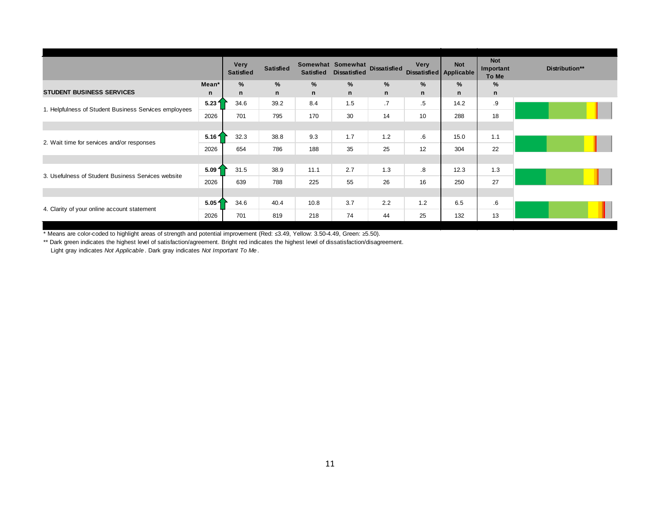|                                                       |                   | <b>Very</b><br><b>Satisfied</b> | <b>Satisfied</b> | <b>Satisfied</b> | Somewhat Somewhat<br><b>Dissatisfied</b> | Dissatisfied | <b>Very</b><br>Dissatisfied Applicable | <b>Not</b>    | <b>Not</b><br>Important<br>To Me | Distribution** |
|-------------------------------------------------------|-------------------|---------------------------------|------------------|------------------|------------------------------------------|--------------|----------------------------------------|---------------|----------------------------------|----------------|
|                                                       | Mean*             | $\%$                            | $\%$             | %                | $\%$                                     | $\%$         | $\frac{9}{6}$                          | $\frac{9}{6}$ | %                                |                |
| <b>STUDENT BUSINESS SERVICES</b>                      | n                 | n                               | $\mathsf{n}$     | $\mathsf{n}$     | $\mathsf{n}$                             | n            | $\mathsf{n}$                           | n             | n                                |                |
| 1. Helpfulness of Student Business Services employees | 5.231             | 34.6                            | 39.2             | 8.4              | 1.5                                      | .7           | .5                                     | 14.2          | .9                               |                |
|                                                       | 2026              | 701                             | 795              | 170              | 30                                       | 14           | 10                                     | 288           | 18                               |                |
|                                                       |                   |                                 |                  |                  |                                          |              |                                        |               |                                  |                |
| 2. Wait time for services and/or responses            | 5.16 f            | 32.3                            | 38.8             | 9.3              | 1.7                                      | 1.2          | $6^{\circ}$                            | 15.0          | 1.1                              |                |
|                                                       | 2026              | 654                             | 786              | 188              | 35                                       | 25           | 12                                     | 304           | 22                               |                |
|                                                       |                   |                                 |                  |                  |                                          |              |                                        |               |                                  |                |
| 3. Usefulness of Student Business Services website    | 5.091             | 31.5                            | 38.9             | 11.1             | 2.7                                      | 1.3          | $\cdot$ 8                              | 12.3          | 1.3                              |                |
|                                                       | 2026              | 639                             | 788              | 225              | 55                                       | 26           | 16                                     | 250           | 27                               |                |
|                                                       |                   |                                 |                  |                  |                                          |              |                                        |               |                                  |                |
|                                                       | 5.05 <sub>1</sub> | 34.6                            | 40.4             | 10.8             | 3.7                                      | 2.2          | 1.2                                    | 6.5           | 6.6                              |                |
| 4. Clarity of your online account statement           | 2026              | 701                             | 819              | 218              | 74                                       | 44           | 25                                     | 132           | 13                               |                |

\*\* Dark green indicates the highest level of satisfaction/agreement. Bright red indicates the highest level of dissatisfaction/disagreement.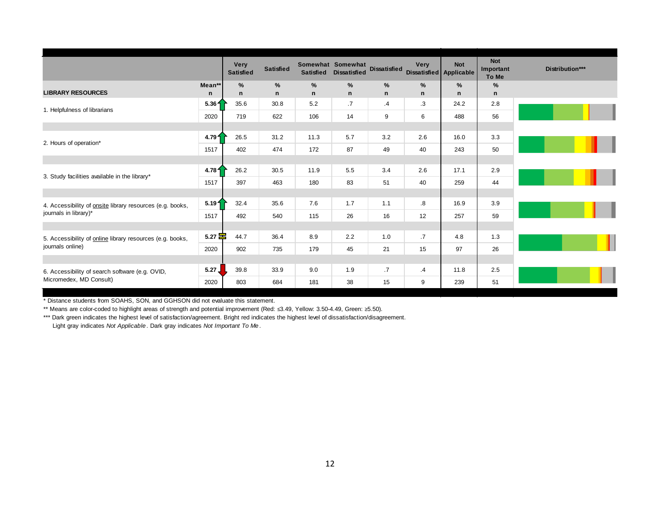|                                                                            |                   | <b>Very</b><br><b>Satisfied</b> | <b>Satisfied</b> | <b>Satisfied</b> | Somewhat Somewhat<br><b>Dissatisfied</b> | <b>Dissatisfied</b> | <b>Very</b><br>Dissatisfied Applicable | <b>Not</b> | <b>Not</b><br>Important<br>To Me | Distribution*** |
|----------------------------------------------------------------------------|-------------------|---------------------------------|------------------|------------------|------------------------------------------|---------------------|----------------------------------------|------------|----------------------------------|-----------------|
| <b>LIBRARY RESOURCES</b>                                                   | Mean**            | %                               | %                | %                | $\%$                                     | %                   | $\%$                                   | %          | %                                |                 |
|                                                                            | n                 | n                               | $\mathsf{n}$     | $\mathsf{n}$     | n                                        | n                   | n                                      | n          | n                                |                 |
| 1. Helpfulness of librarians                                               | 5.36 <sub>1</sub> | 35.6                            | 30.8             | 5.2              | $\cdot$ 7                                | $\cdot$             | .3                                     | 24.2       | 2.8                              |                 |
|                                                                            | 2020              | 719                             | 622              | 106              | 14                                       | 9                   | 6                                      | 488        | 56                               |                 |
|                                                                            |                   |                                 |                  |                  |                                          |                     |                                        |            |                                  |                 |
| 2. Hours of operation*                                                     | 4.79 <sub>1</sub> | 26.5                            | 31.2             | 11.3             | 5.7                                      | 3.2                 | 2.6                                    | 16.0       | 3.3                              |                 |
|                                                                            | 1517              | 402                             | 474              | 172              | 87                                       | 49                  | 40                                     | 243        | 50                               |                 |
|                                                                            |                   |                                 |                  |                  |                                          |                     |                                        |            |                                  |                 |
| 3. Study facilities available in the library*                              | 4.78 <sub>1</sub> | 26.2                            | 30.5             | 11.9             | 5.5                                      | 3.4                 | 2.6                                    | 17.1       | 2.9                              |                 |
|                                                                            | 1517              | 397                             | 463              | 180              | 83                                       | 51                  | 40                                     | 259        | 44                               |                 |
|                                                                            |                   |                                 |                  |                  |                                          |                     |                                        |            |                                  |                 |
| 4. Accessibility of onsite library resources (e.g. books,                  | 5.191             | 32.4                            | 35.6             | 7.6              | 1.7                                      | 1.1                 | $\boldsymbol{.8}$                      | 16.9       | 3.9                              |                 |
| journals in library)*                                                      | 1517              | 492                             | 540              | 115              | 26                                       | 16                  | 12                                     | 257        | 59                               |                 |
|                                                                            |                   |                                 |                  |                  |                                          |                     |                                        |            |                                  |                 |
| 5. Accessibility of online library resources (e.g. books,                  | $5.27 \equiv$     | 44.7                            | 36.4             | 8.9              | 2.2                                      | 1.0                 | .7                                     | 4.8        | 1.3                              |                 |
| journals online)                                                           | 2020              | 902                             | 735              | 179              | 45                                       | 21                  | 15                                     | 97         | 26                               |                 |
|                                                                            |                   |                                 |                  |                  |                                          |                     |                                        |            |                                  |                 |
| 6. Accessibility of search software (e.g. OVID,<br>Micromedex, MD Consult) | 5.27.             | 39.8                            | 33.9             | 9.0              | 1.9                                      | $\cdot$ 7           | $\cdot$ 4                              | 11.8       | 2.5                              |                 |
|                                                                            | 2020              | 803                             | 684              | 181              | 38                                       | 15                  | 9                                      | 239        | 51                               |                 |

\* Distance students from SOAHS, SON, and GGHSON did not evaluate this statement.

\*\* Means are color-coded to highlight areas of strength and potential improvement (Red: ≤3.49, Yellow: 3.50-4.49, Green: ≥5.50).

\*\*\* Dark green indicates the highest level of satisfaction/agreement. Bright red indicates the highest level of dissatisfaction/disagreement.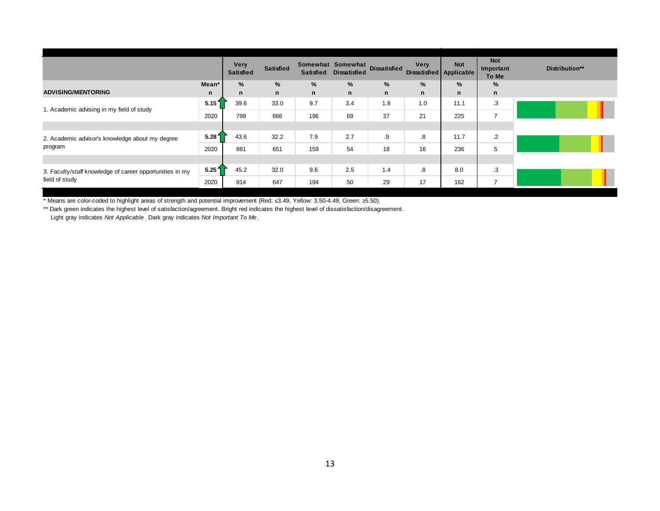|                                                          |                   | <b>Very</b><br><b>Satisfied</b> | <b>Satisfied</b> | <b>Satisfied</b> | Somewhat Somewhat<br><b>Dissatisfied</b> | <b>Dissatisfied</b> | <b>Very</b><br>Dissatisfied Applicable | <b>Not</b> | <b>Not</b><br>Important<br>To Me | Distribution** |
|----------------------------------------------------------|-------------------|---------------------------------|------------------|------------------|------------------------------------------|---------------------|----------------------------------------|------------|----------------------------------|----------------|
|                                                          | Mean*             | %                               | $\%$             | %                | %                                        | %                   | %                                      | %          | %                                |                |
| <b>ADVISING/MENTORING</b>                                | n                 | n                               | n                | n                | $\mathsf{n}$                             | n                   | $\mathbf n$                            | n          | n                                |                |
|                                                          | 5.151             | 39.6                            | 33.0             | 9.7              | 3.4                                      | 1.8                 | 1.0                                    | 11.1       | .3                               |                |
| 1. Academic advising in my field of study                | 2020              | 799                             | 666              | 196              | 69                                       | 37                  | 21                                     | 225        | $\overline{ }$                   |                |
|                                                          |                   |                                 |                  |                  |                                          |                     |                                        |            |                                  |                |
| 2. Academic advisor's knowledge about my degree          | 5.281             | 43.6                            | 32.2             | 7.9              | 2.7                                      | .9                  | $\boldsymbol{.8}$                      | 11.7       | $\cdot$                          |                |
| program                                                  | 2020              | 881                             | 651              | 159              | 54                                       | 18                  | 16                                     | 236        | 5                                |                |
|                                                          |                   |                                 |                  |                  |                                          |                     |                                        |            |                                  |                |
| 3. Faculty/staff knowledge of career opportunities in my | 5.25 <sup>1</sup> | 45.2                            | 32.0             | 9.6              | 2.5                                      | 1.4                 | $\boldsymbol{.8}$                      | 8.0        | .3                               |                |
| field of study                                           | 2020              | 914                             | 647              | 194              | 50                                       | 29                  | 17                                     | 162        | $\overline{\phantom{0}}$         |                |

\*\* Dark green indicates the highest level of satisfaction/agreement. Bright red indicates the highest level of dissatisfaction/disagreement.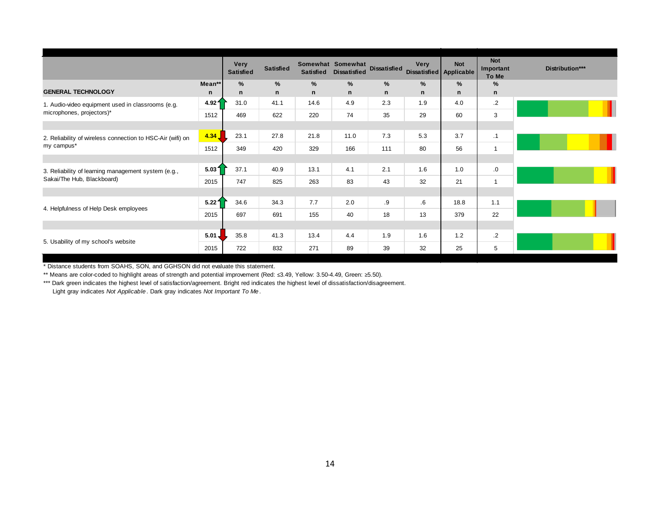|                                                            |                  | <b>Very</b><br><b>Satisfied</b> | <b>Satisfied</b> | <b>Satisfied</b>  | Somewhat Somewhat<br><b>Dissatisfied</b> | <b>Dissatisfied</b> | <b>Very</b> | <b>Not</b><br>Dissatisfied Applicable | <b>Not</b><br>Important<br>To Me | Distribution*** |
|------------------------------------------------------------|------------------|---------------------------------|------------------|-------------------|------------------------------------------|---------------------|-------------|---------------------------------------|----------------------------------|-----------------|
| <b>GENERAL TECHNOLOGY</b>                                  | Mean**<br>n      | %<br>n                          | $\%$<br>n        | %<br>$\mathsf{n}$ | %<br>n                                   | %<br>n              | %<br>n      | %<br>n                                | %<br>n                           |                 |
| 1. Audio-video equipment used in classrooms (e.g.          | 4.921            | 31.0                            | 41.1             | 14.6              | 4.9                                      | 2.3                 | 1.9         | 4.0                                   | $\cdot$                          |                 |
| microphones, projectors)*                                  | 1512             | 469                             | 622              | 220               | 74                                       | 35                  | 29          | 60                                    | 3                                |                 |
|                                                            |                  |                                 |                  |                   |                                          |                     |             |                                       |                                  |                 |
| 2. Reliability of wireless connection to HSC-Air (wifi) on | 4.34             | 23.1                            | 27.8             | 21.8              | 11.0                                     | 7.3                 | 5.3         | 3.7                                   | $\cdot$ 1                        |                 |
| my campus*                                                 | 1512             | 349                             | 420              | 329               | 166                                      | 111                 | 80          | 56                                    | $\overline{ }$                   |                 |
|                                                            |                  |                                 |                  |                   |                                          |                     |             |                                       |                                  |                 |
| 3. Reliability of learning management system (e.g.,        | 5.031            | 37.1                            | 40.9             | 13.1              | 4.1                                      | 2.1                 | 1.6         | 1.0                                   | 0.                               |                 |
| Sakai/The Hub, Blackboard)                                 | 2015             | 747                             | 825              | 263               | 83                                       | 43                  | 32          | 21                                    | 1                                |                 |
|                                                            |                  |                                 |                  |                   |                                          |                     |             |                                       |                                  |                 |
| 4. Helpfulness of Help Desk employees                      | 5.221            | 34.6                            | 34.3             | 7.7               | 2.0                                      | .9                  | $6^{\circ}$ | 18.8                                  | 1.1                              |                 |
|                                                            | 2015             | 697                             | 691              | 155               | 40                                       | 18                  | 13          | 379                                   | 22                               |                 |
|                                                            |                  |                                 |                  |                   |                                          |                     |             |                                       |                                  |                 |
| 5. Usability of my school's website                        | $5.01 \text{ J}$ | 35.8                            | 41.3             | 13.4              | 4.4                                      | 1.9                 | 1.6         | 1.2                                   | $\cdot$                          |                 |
|                                                            | 2015             | 722                             | 832              | 271               | 89                                       | 39                  | 32          | 25                                    | 5                                |                 |

\* Distance students from SOAHS, SON, and GGHSON did not evaluate this statement.

\*\* Means are color-coded to highlight areas of strength and potential improvement (Red: ≤3.49, Yellow: 3.50-4.49, Green: ≥5.50).

\*\*\* Dark green indicates the highest level of satisfaction/agreement. Bright red indicates the highest level of dissatisfaction/disagreement.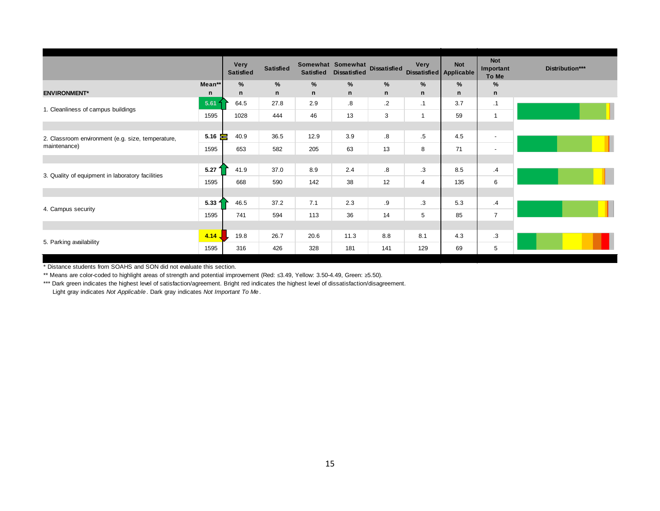|                                                   |               | Very<br><b>Satisfied</b> | <b>Satisfied</b> | <b>Satisfied</b> | Somewhat Somewhat<br><b>Dissatisfied</b> | <b>Dissatisfied</b> | Very           | <b>Not</b><br>Dissatisfied Applicable | <b>Not</b><br>Important<br>To Me | Distribution*** |
|---------------------------------------------------|---------------|--------------------------|------------------|------------------|------------------------------------------|---------------------|----------------|---------------------------------------|----------------------------------|-----------------|
|                                                   | Mean**        | %                        | $\%$             | %                | %                                        | %                   | $\frac{9}{6}$  | %                                     | %                                |                 |
| <b>ENVIRONMENT*</b>                               | n             | n                        | $\mathsf{n}$     | $\mathsf{n}$     | n                                        | $\mathsf{n}$        | n              | n                                     | n                                |                 |
| 1. Cleanliness of campus buildings                | 5.61          | 64.5                     | 27.8             | 2.9              | .8                                       | $\cdot$ 2           | $\cdot$ 1      | 3.7                                   | .1                               |                 |
|                                                   | 1595          | 1028                     | 444              | 46               | 13                                       | 3                   | $\mathbf{1}$   | 59                                    | $\mathbf 1$                      |                 |
|                                                   |               |                          |                  |                  |                                          |                     |                |                                       |                                  |                 |
| 2. Classroom environment (e.g. size, temperature, | $5.16 \equiv$ | 40.9                     | 36.5             | 12.9             | 3.9                                      | .8                  | $.5\,$         | 4.5                                   | $\sim$                           |                 |
| maintenance)                                      | 1595          | 653                      | 582              | 205              | 63                                       | 13                  | 8              | 71                                    | $\sim$                           |                 |
|                                                   |               |                          |                  |                  |                                          |                     |                |                                       |                                  |                 |
|                                                   | 5.27          | 41.9                     | 37.0             | 8.9              | 2.4                                      | 8.5                 | .3             | 8.5                                   | $\cdot$                          |                 |
| 3. Quality of equipment in laboratory facilities  | 1595          | 668                      | 590              | 142              | 38                                       | 12                  | $\overline{4}$ | 135                                   | 6                                |                 |
|                                                   |               |                          |                  |                  |                                          |                     |                |                                       |                                  |                 |
| 4. Campus security                                | 5.33 f        | 46.5                     | 37.2             | 7.1              | 2.3                                      | .9                  | .3             | 5.3                                   | .4                               |                 |
|                                                   | 1595          | 741                      | 594              | 113              | 36                                       | 14                  | $\sqrt{5}$     | 85                                    | $\overline{7}$                   |                 |
|                                                   |               |                          |                  |                  |                                          |                     |                |                                       |                                  |                 |
|                                                   | 4.14.         | 19.8                     | 26.7             | 20.6             | 11.3                                     | 8.8                 | 8.1            | 4.3                                   | $\cdot$ 3                        |                 |
| 5. Parking availability                           | 1595          | 316                      | 426              | 328              | 181                                      | 141                 | 129            | 69                                    | 5                                |                 |

\* Distance students from SOAHS and SON did not evaluate this section.

\*\* Means are color-coded to highlight areas of strength and potential improvement (Red: ≤3.49, Yellow: 3.50-4.49, Green: ≥5.50).

\*\*\* Dark green indicates the highest level of satisfaction/agreement. Bright red indicates the highest level of dissatisfaction/disagreement.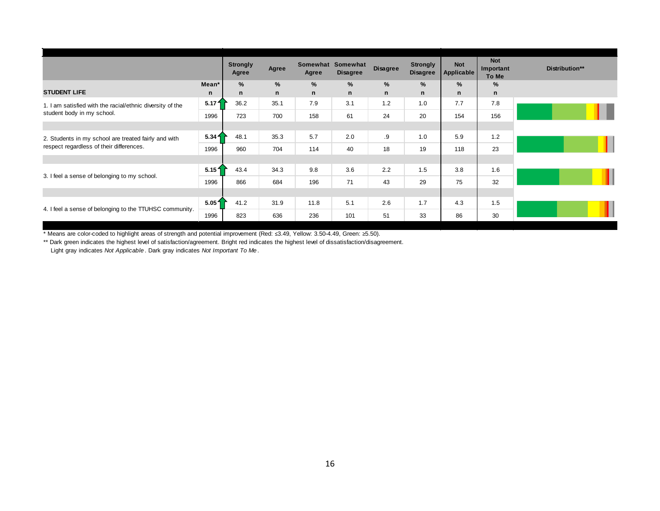|                                                           |                   | <b>Strongly</b><br>Agree | Agree        | Somewhat<br>Agree | Somewhat<br><b>Disagree</b> | <b>Disagree</b> | <b>Strongly</b><br><b>Disagree</b> | <b>Not</b><br>Applicable | <b>Not</b><br>Important<br>To Me | Distribution** |
|-----------------------------------------------------------|-------------------|--------------------------|--------------|-------------------|-----------------------------|-----------------|------------------------------------|--------------------------|----------------------------------|----------------|
|                                                           | Mean*             | %                        | %            | %                 | %                           | %               | $\%$                               | %                        | $\%$                             |                |
| <b>STUDENT LIFE</b>                                       | n                 | n                        | $\mathsf{n}$ | $\mathsf{n}$      | n                           | $\mathsf{n}$    | $\mathsf{n}$                       | n                        | n                                |                |
| 1. I am satisfied with the racial/ethnic diversity of the | 5.17 <sup>4</sup> | 36.2                     | 35.1         | 7.9               | 3.1                         | 1.2             | 1.0                                | 7.7                      | 7.8                              |                |
| student body in my school.                                | 1996              | 723                      | 700          | 158               | 61                          | 24              | 20                                 | 154                      | 156                              |                |
|                                                           |                   |                          |              |                   |                             |                 |                                    |                          |                                  |                |
| 2. Students in my school are treated fairly and with      | 5.34 <sub>1</sub> | 48.1                     | 35.3         | 5.7               | 2.0                         | .9              | 1.0                                | 5.9                      | 1.2                              |                |
| respect regardless of their differences.                  | 1996              | 960                      | 704          | 114               | 40                          | 18              | 19                                 | 118                      | 23                               |                |
|                                                           |                   |                          |              |                   |                             |                 |                                    |                          |                                  |                |
| 3. I feel a sense of belonging to my school.              | 5.151             | 43.4                     | 34.3         | 9.8               | 3.6                         | 2.2             | 1.5                                | 3.8                      | 1.6                              |                |
|                                                           | 1996              | 866                      | 684          | 196               | 71                          | 43              | 29                                 | 75                       | 32                               |                |
|                                                           |                   |                          |              |                   |                             |                 |                                    |                          |                                  |                |
| 4. I feel a sense of belonging to the TTUHSC community.   | 5.051             | 41.2                     | 31.9         | 11.8              | 5.1                         | 2.6             | 1.7                                | 4.3                      | 1.5                              |                |
|                                                           | 1996              | 823                      | 636          | 236               | 101                         | 51              | 33                                 | 86                       | 30                               |                |

\*\* Dark green indicates the highest level of satisfaction/agreement. Bright red indicates the highest level of dissatisfaction/disagreement.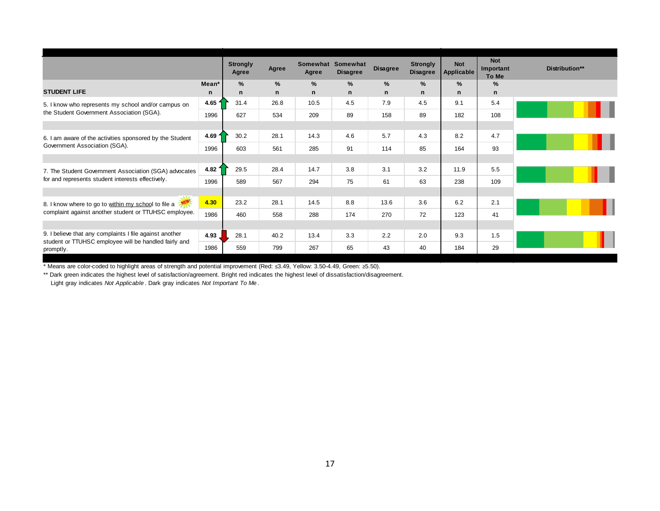|                                                                                                                  |                 | <b>Strongly</b><br>Agree | Agree                | Somewhat Somewhat<br>Agree | <b>Disagree</b> | <b>Disagree</b> | <b>Strongly</b><br><b>Disagree</b> | <b>Not</b><br><b>Applicable</b> | <b>Not</b><br>Important<br>To Me | Distribution** |
|------------------------------------------------------------------------------------------------------------------|-----------------|--------------------------|----------------------|----------------------------|-----------------|-----------------|------------------------------------|---------------------------------|----------------------------------|----------------|
| <b>STUDENT LIFE</b>                                                                                              | Mean*<br>n      | %<br>n                   | $\%$<br>$\mathsf{n}$ | %<br>$\mathsf{n}$          | %<br>n          | %<br>n          | $\%$<br>$\mathbf n$                | $\%$<br>n                       | %<br>n                           |                |
| 5. I know who represents my school and/or campus on                                                              | 4.65 $\sqrt{ }$ | 31.4                     | 26.8                 | 10.5                       | 4.5             | 7.9             | 4.5                                | 9.1                             | 5.4                              |                |
| the Student Government Association (SGA).                                                                        | 1996            | 627                      | 534                  | 209                        | 89              | 158             | 89                                 | 182                             | 108                              |                |
|                                                                                                                  |                 |                          |                      |                            |                 |                 |                                    |                                 |                                  |                |
| 6. I am aware of the activities sponsored by the Student                                                         | 4.69 1          | 30.2                     | 28.1                 | 14.3                       | 4.6             | 5.7             | 4.3                                | 8.2                             | 4.7                              |                |
| Government Association (SGA).                                                                                    | 1996            | 603                      | 561                  | 285                        | 91              | 114             | 85                                 | 164                             | 93                               |                |
|                                                                                                                  |                 |                          |                      |                            |                 |                 |                                    |                                 |                                  |                |
| 7. The Student Government Association (SGA) advocates                                                            | 4.82 $\sqrt{ }$ | 29.5                     | 28.4                 | 14.7                       | 3.8             | 3.1             | 3.2                                | 11.9                            | 5.5                              |                |
| for and represents student interests effectively.                                                                | 1996            | 589                      | 567                  | 294                        | 75              | 61              | 63                                 | 238                             | 109                              |                |
|                                                                                                                  |                 |                          |                      |                            |                 |                 |                                    |                                 |                                  |                |
| 8. I know where to go to within my school to file a                                                              | 4.30            | 23.2                     | 28.1                 | 14.5                       | 8.8             | 13.6            | 3.6                                | 6.2                             | 2.1                              |                |
| complaint against another student or TTUHSC employee.                                                            | 1986            | 460                      | 558                  | 288                        | 174             | 270             | 72                                 | 123                             | 41                               |                |
|                                                                                                                  |                 |                          |                      |                            |                 |                 |                                    |                                 |                                  |                |
| 9. I believe that any complaints I file against another<br>student or TTUHSC employee will be handled fairly and | 4.93            | 28.1                     | 40.2                 | 13.4                       | 3.3             | 2.2             | 2.0                                | 9.3                             | 1.5                              |                |
| promptly.                                                                                                        | 1986            | 559                      | 799                  | 267                        | 65              | 43              | 40                                 | 184                             | 29                               |                |

\*\* Dark green indicates the highest level of satisfaction/agreement. Bright red indicates the highest level of dissatisfaction/disagreement.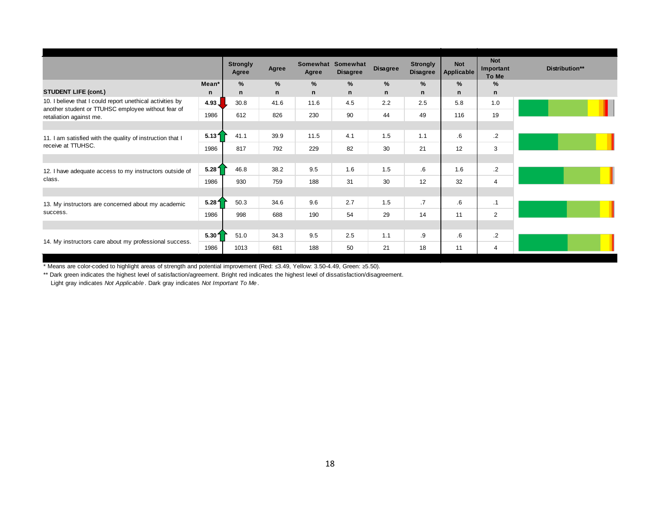|                                                                               |                   | <b>Strongly</b><br>Agree | Agree  | Agree  | Somewhat Somewhat<br><b>Disagree</b> | <b>Disagree</b> | <b>Strongly</b><br><b>Disagree</b> | <b>Not</b><br><b>Applicable</b> | <b>Not</b><br>Important<br>To Me | Distribution** |
|-------------------------------------------------------------------------------|-------------------|--------------------------|--------|--------|--------------------------------------|-----------------|------------------------------------|---------------------------------|----------------------------------|----------------|
| <b>STUDENT LIFE (cont.)</b>                                                   | Mean*<br>n        | $\%$<br>n                | %<br>n | %<br>n | %<br>n                               | %<br>n          | %<br>n                             | %<br>n                          | %<br>n                           |                |
| 10. I believe that I could report unethical activities by                     | 4.93 <sub>1</sub> | 30.8                     | 41.6   | 11.6   | 4.5                                  | 2.2             | 2.5                                | 5.8                             | 1.0                              |                |
| another student or TTUHSC employee without fear of<br>retaliation against me. | 1986              | 612                      | 826    | 230    | 90                                   | 44              | 49                                 | 116                             | 19                               |                |
|                                                                               |                   |                          |        |        |                                      |                 |                                    |                                 |                                  |                |
| 11. I am satisfied with the quality of instruction that I                     | 5.131             | 41.1                     | 39.9   | 11.5   | 4.1                                  | 1.5             | 1.1                                | 6.6                             | $\cdot$                          |                |
| receive at TTUHSC.                                                            | 1986              | 817                      | 792    | 229    | 82                                   | 30              | 21                                 | 12                              | 3                                |                |
|                                                                               |                   |                          |        |        |                                      |                 |                                    |                                 |                                  |                |
| 12. I have adequate access to my instructors outside of                       | 5.281             | 46.8                     | 38.2   | 9.5    | 1.6                                  | 1.5             | 6.6                                | 1.6                             | $\cdot$                          |                |
| class.                                                                        | 1986              | 930                      | 759    | 188    | 31                                   | 30              | 12                                 | 32                              | 4                                |                |
|                                                                               |                   |                          |        |        |                                      |                 |                                    |                                 |                                  |                |
| 13. My instructors are concerned about my academic                            | 5.28 <sup>1</sup> | 50.3                     | 34.6   | 9.6    | 2.7                                  | 1.5             | $\cdot$ 7                          | $6 \,$                          | $\cdot$ 1                        |                |
| success.                                                                      | 1986              | 998                      | 688    | 190    | 54                                   | 29              | 14                                 | 11                              | 2                                |                |
|                                                                               |                   |                          |        |        |                                      |                 |                                    |                                 |                                  |                |
| 14. My instructors care about my professional success.                        | 5.301             | 51.0                     | 34.3   | 9.5    | 2.5                                  | 1.1             | .9                                 | $6 \,$                          | $\cdot$                          |                |
|                                                                               | 1986              | 1013                     | 681    | 188    | 50                                   | 21              | 18                                 | 11                              | 4                                |                |

\*\* Dark green indicates the highest level of satisfaction/agreement. Bright red indicates the highest level of dissatisfaction/disagreement.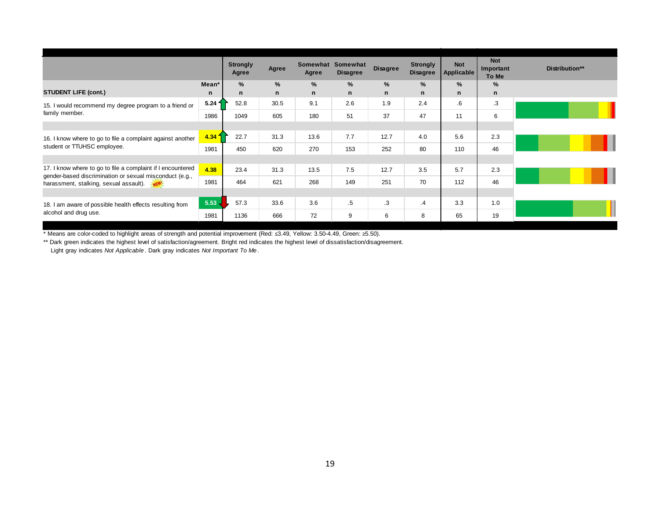|                                                                                                                        |                   | <b>Strongly</b><br>Agree | Agree         | Somewhat<br>Agree | Somewhat<br><b>Disagree</b> | <b>Disagree</b> | <b>Strongly</b><br><b>Disagree</b> | <b>Not</b><br><b>Applicable</b> | <b>Not</b><br>Important<br>To Me | Distribution** |
|------------------------------------------------------------------------------------------------------------------------|-------------------|--------------------------|---------------|-------------------|-----------------------------|-----------------|------------------------------------|---------------------------------|----------------------------------|----------------|
|                                                                                                                        | Mean*             | $\%$                     | $\frac{9}{6}$ | $\%$              | $\%$                        | %               | $\frac{9}{6}$                      | $\%$                            | $\%$                             |                |
| <b>STUDENT LIFE (cont.)</b>                                                                                            | n                 | n                        | n             | $\mathsf{n}$      | n                           | n               | $\mathsf{n}$                       | n                               | n                                |                |
| 15. I would recommend my degree program to a friend or                                                                 | 5.24 f            | 52.8                     | 30.5          | 9.1               | 2.6                         | 1.9             | 2.4                                | 6.                              | .3                               |                |
| family member.                                                                                                         | 1986              | 1049                     | 605           | 180               | 51                          | 37              | 47                                 | 11                              | 6                                |                |
|                                                                                                                        |                   |                          |               |                   |                             |                 |                                    |                                 |                                  |                |
| 16. I know where to go to file a complaint against another                                                             | 4.34 <sup>2</sup> | 22.7                     | 31.3          | 13.6              | 7.7                         | 12.7            | 4.0                                | 5.6                             | 2.3                              |                |
| student or TTUHSC employee.                                                                                            | 1981              | 450                      | 620           | 270               | 153                         | 252             | 80                                 | 110                             | 46                               |                |
|                                                                                                                        |                   |                          |               |                   |                             |                 |                                    |                                 |                                  |                |
| 17. I know where to go to file a complaint if I encountered<br>gender-based discrimination or sexual misconduct (e.g., | 4.38              | 23.4                     | 31.3          | 13.5              | 7.5                         | 12.7            | 3.5                                | 5.7                             | 2.3                              |                |
| harassment, stalking, sexual assault).                                                                                 | 1981              | 464                      | 621           | 268               | 149                         | 251             | 70                                 | 112                             | 46                               |                |
|                                                                                                                        |                   |                          |               |                   |                             |                 |                                    |                                 |                                  |                |
| 18. I am aware of possible health effects resulting from                                                               | 5.53              | 57.3                     | 33.6          | 3.6               | $.5\,$                      | .3              | $\cdot$ 4                          | 3.3                             | 1.0                              |                |
| alcohol and drug use.                                                                                                  | 1981              | 1136                     | 666           | 72                | 9                           | 6               | 8                                  | 65                              | 19                               |                |

\*\* Dark green indicates the highest level of satisfaction/agreement. Bright red indicates the highest level of dissatisfaction/disagreement.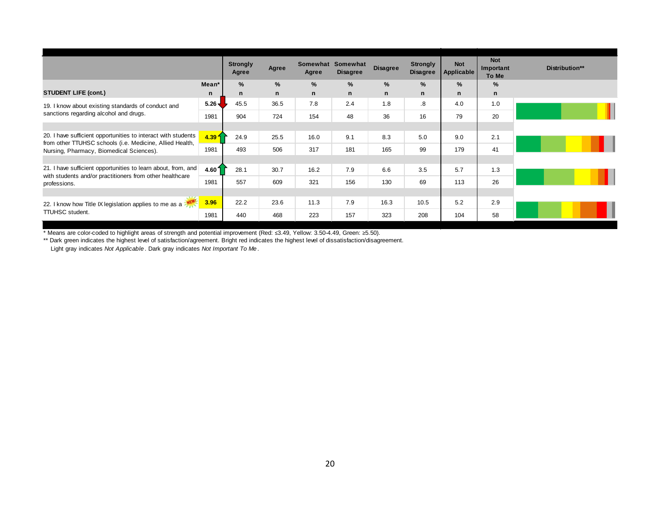|                                                                                                                           |                   | <b>Strongly</b><br>Agree | Agree | Somewhat Somewhat<br>Agree | <b>Disagree</b> | <b>Disagree</b> | <b>Strongly</b><br><b>Disagree</b> | <b>Not</b><br><b>Applicable</b> | <b>Not</b><br>Important<br>To Me | Distribution** |
|---------------------------------------------------------------------------------------------------------------------------|-------------------|--------------------------|-------|----------------------------|-----------------|-----------------|------------------------------------|---------------------------------|----------------------------------|----------------|
|                                                                                                                           | Mean*             | %                        | $\%$  | %                          | %               | %               | $\%$                               | %                               | %                                |                |
| <b>STUDENT LIFE (cont.)</b>                                                                                               | n                 | n                        | n     | n                          | n               | n               | n                                  | n                               | n                                |                |
| 19. I know about existing standards of conduct and                                                                        | $5.26 -$          | 45.5                     | 36.5  | 7.8                        | 2.4             | 1.8             | $\boldsymbol{8}$                   | 4.0                             | 1.0                              |                |
| sanctions regarding alcohol and drugs.                                                                                    | 1981              | 904                      | 724   | 154                        | 48              | 36              | 16                                 | 79                              | 20                               |                |
|                                                                                                                           |                   |                          |       |                            |                 |                 |                                    |                                 |                                  |                |
| 20. I have sufficient opportunities to interact with students<br>from other TTUHSC schools (i.e. Medicine, Allied Health, | 4.39 <sup>4</sup> | 24.9                     | 25.5  | 16.0                       | 9.1             | 8.3             | 5.0                                | 9.0                             | 2.1                              |                |
| Nursing, Pharmacy, Biomedical Sciences).                                                                                  | 1981              | 493                      | 506   | 317                        | 181             | 165             | 99                                 | 179                             | 41                               |                |
|                                                                                                                           |                   |                          |       |                            |                 |                 |                                    |                                 |                                  |                |
| 21. I have sufficient opportunities to learn about, from, and<br>with students and/or practitioners from other healthcare | 4.601             | 28.1                     | 30.7  | 16.2                       | 7.9             | 6.6             | 3.5                                | 5.7                             | 1.3                              |                |
| professions.                                                                                                              | 1981              | 557                      | 609   | 321                        | 156             | 130             | 69                                 | 113                             | 26                               |                |
|                                                                                                                           |                   |                          |       |                            |                 |                 |                                    |                                 |                                  |                |
| 22. I know how Title IX legislation applies to me as a                                                                    | 3.96              | 22.2                     | 23.6  | 11.3                       | 7.9             | 16.3            | 10.5                               | 5.2                             | 2.9                              |                |
| <b>TTUHSC</b> student.                                                                                                    | 1981              | 440                      | 468   | 223                        | 157             | 323             | 208                                | 104                             | 58                               |                |

\*\* Dark green indicates the highest level of satisfaction/agreement. Bright red indicates the highest level of dissatisfaction/disagreement.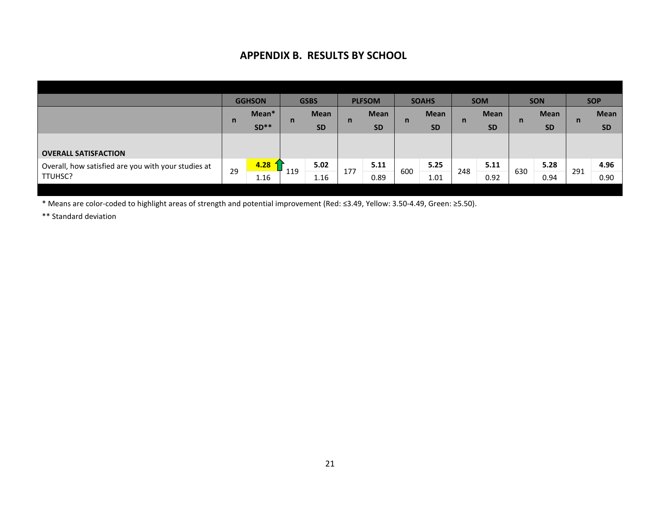### **APPENDIX B. RESULTS BY SCHOOL**

|                                 | <b>GSBS</b>         | <b>PLFSOM</b> | <b>SOAHS</b> | <b>SOM</b>  | <b>SON</b>  | <b>SOP</b>  |
|---------------------------------|---------------------|---------------|--------------|-------------|-------------|-------------|
|                                 | <b>Mean</b>         | <b>Mean</b>   | <b>Mean</b>  | <b>Mean</b> | <b>Mean</b> | <b>Mean</b> |
|                                 | <b>SD</b>           | <b>SD</b>     | <b>SD</b>    | <b>SD</b>   | <b>SD</b>   | <b>SD</b>   |
|                                 |                     |               |              |             |             |             |
|                                 |                     |               |              |             |             |             |
|                                 | 5.02                | 5.11          | 5.25         | 5.11        | 5.28        | 4.96        |
|                                 | 1.16                | 0.89          | 1.01         | 0.92        | 0.94        | 0.90        |
| Mean*<br>$SD**$<br>4.28<br>1.16 | $\mathsf{n}$<br>119 | n<br>177      | n<br>600     | n<br>248    | n<br>630    | n<br>291    |

\* Means are color-coded to highlight areas of strength and potential improvement (Red: ≤3.49, Yellow: 3.50-4.49, Green: ≥5.50).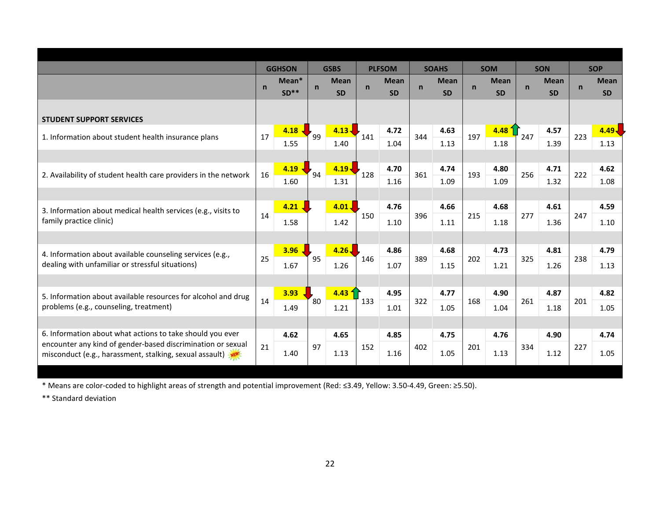|                                                                                                               |              | <b>GGHSON</b> |              | <b>GSBS</b>       |             | <b>PLFSOM</b> |             | <b>SOAHS</b> |     | <b>SOM</b>  |              | <b>SON</b>  |             | <b>SOP</b>  |
|---------------------------------------------------------------------------------------------------------------|--------------|---------------|--------------|-------------------|-------------|---------------|-------------|--------------|-----|-------------|--------------|-------------|-------------|-------------|
|                                                                                                               | $\mathsf{n}$ | Mean*         | $\mathsf{n}$ | <b>Mean</b>       | $\mathbf n$ | <b>Mean</b>   | $\mathbf n$ | <b>Mean</b>  | n   | <b>Mean</b> | $\mathsf{n}$ | <b>Mean</b> | $\mathbf n$ | <b>Mean</b> |
|                                                                                                               |              | $SD**$        |              | <b>SD</b>         |             | <b>SD</b>     |             | <b>SD</b>    |     | <b>SD</b>   |              | <b>SD</b>   |             | <b>SD</b>   |
| <b>STUDENT SUPPORT SERVICES</b>                                                                               |              |               |              |                   |             |               |             |              |     |             |              |             |             |             |
|                                                                                                               |              | 4.18          |              | $4.13 -$          |             | 4.72          |             | 4.63         |     | 4.48        |              | 4.57        |             | 4.49        |
| 1. Information about student health insurance plans                                                           | 17           | 1.55          | 99           | 1.40              | 141         | 1.04          | 344         | 1.13         | 197 | 1.18        | 247          | 1.39        | 223         | 1.13        |
|                                                                                                               |              |               |              |                   |             |               |             |              |     |             |              |             |             |             |
|                                                                                                               |              | 4.19          |              | $4.19 -$          |             | 4.70          |             | 4.74         |     | 4.80        |              | 4.71        |             | 4.62        |
| 2. Availability of student health care providers in the network                                               | 16           | 1.60          | 94           | 1.31              | 128         | 1.16          | 361         | 1.09         | 193 | 1.09        | 256          | 1.32        | 222         | 1.08        |
|                                                                                                               |              |               |              |                   |             |               |             |              |     |             |              |             |             |             |
| 3. Information about medical health services (e.g., visits to                                                 |              | 4.21.         |              | 4.01              |             | 4.76          |             | 4.66         |     | 4.68        |              | 4.61        |             | 4.59        |
| family practice clinic)                                                                                       | 14           | 1.58          |              | 1.42              | 150         | 1.10          | 396         | 1.11         | 215 | 1.18        | 277          | 1.36        | 247         | 1.10        |
|                                                                                                               |              |               |              |                   |             |               |             |              |     |             |              |             |             |             |
|                                                                                                               |              | 3.96          |              | 4.26              |             | 4.86          |             | 4.68         |     | 4.73        |              | 4.81        |             | 4.79        |
| 4. Information about available counseling services (e.g.,<br>dealing with unfamiliar or stressful situations) | 25           |               | 95           |                   | 146         |               | 389         |              | 202 |             | 325          |             | 238         |             |
|                                                                                                               |              | 1.67          |              | 1.26              |             | 1.07          |             | 1.15         |     | 1.21        |              | 1.26        |             | 1.13        |
|                                                                                                               |              |               |              |                   |             |               |             |              |     |             |              |             |             |             |
| 5. Information about available resources for alcohol and drug                                                 | 14           | 3.93          | 80           | 4.43 <sup>4</sup> | 133         | 4.95          | 322         | 4.77         | 168 | 4.90        | 261          | 4.87        | 201         | 4.82        |
| problems (e.g., counseling, treatment)                                                                        |              | 1.49          |              | 1.21              |             | 1.01          |             | 1.05         |     | 1.04        |              | 1.18        |             | 1.05        |
|                                                                                                               |              |               |              |                   |             |               |             |              |     |             |              |             |             |             |
| 6. Information about what actions to take should you ever                                                     |              | 4.62          |              | 4.65              |             | 4.85          |             | 4.75         |     | 4.76        |              | 4.90        |             | 4.74        |
| encounter any kind of gender-based discrimination or sexual                                                   | 21           |               | 97           |                   | 152         |               | 402         |              | 201 |             | 334          |             | 227         |             |
| misconduct (e.g., harassment, stalking, sexual assault)                                                       |              | 1.40          |              | 1.13              |             | 1.16          |             | 1.05         |     | 1.13        |              | 1.12        |             | 1.05        |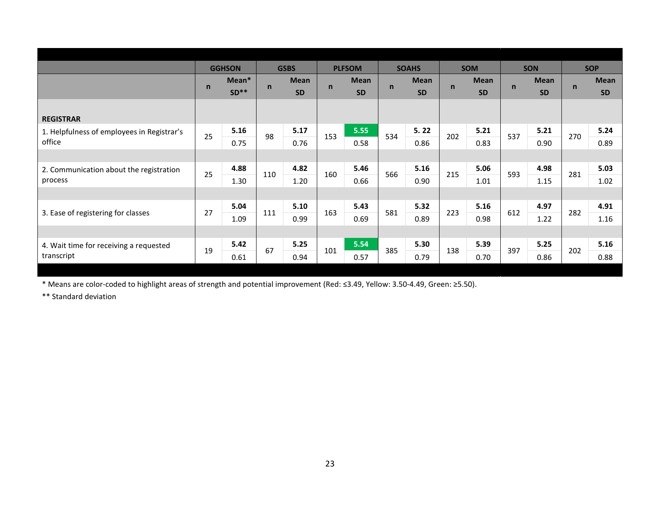|                                            |             | <b>GGHSON</b> |              | <b>GSBS</b> |              | <b>PLFSOM</b> |              | <b>SOAHS</b> |              | <b>SOM</b>  |             | <b>SON</b>  |              | <b>SOP</b>  |
|--------------------------------------------|-------------|---------------|--------------|-------------|--------------|---------------|--------------|--------------|--------------|-------------|-------------|-------------|--------------|-------------|
|                                            |             | Mean*         |              | <b>Mean</b> |              | <b>Mean</b>   |              | <b>Mean</b>  |              | <b>Mean</b> | $\mathbf n$ | <b>Mean</b> | $\mathsf{n}$ | <b>Mean</b> |
|                                            | $\mathbf n$ | $SD**$        | $\mathsf{n}$ | <b>SD</b>   | $\mathsf{n}$ | <b>SD</b>     | $\mathsf{n}$ | <b>SD</b>    | $\mathsf{n}$ | <b>SD</b>   |             | <b>SD</b>   |              | <b>SD</b>   |
|                                            |             |               |              |             |              |               |              |              |              |             |             |             |              |             |
| <b>REGISTRAR</b>                           |             |               |              |             |              |               |              |              |              |             |             |             |              |             |
| 1. Helpfulness of employees in Registrar's | 25          | 5.16          | 98           | 5.17        | 153          | 5.55          | 534          | 5.22         | 202          | 5.21        | 537         | 5.21        | 270          | 5.24        |
| office                                     |             | 0.75          |              | 0.76        |              | 0.58          |              | 0.86         |              | 0.83        |             | 0.90        |              | 0.89        |
|                                            |             |               |              |             |              |               |              |              |              |             |             |             |              |             |
| 2. Communication about the registration    | 25          | 4.88          | 110          | 4.82        | 160          | 5.46          | 566          | 5.16         | 215          | 5.06        | 593         | 4.98        | 281          | 5.03        |
| process                                    |             | 1.30          |              | 1.20        |              | 0.66          |              | 0.90         |              | 1.01        |             | 1.15        |              | 1.02        |
|                                            |             |               |              |             |              |               |              |              |              |             |             |             |              |             |
|                                            | 27          | 5.04          | 111          | 5.10        | 163          | 5.43          | 581          | 5.32         | 223          | 5.16        | 612         | 4.97        | 282          | 4.91        |
| 3. Ease of registering for classes         |             | 1.09          |              | 0.99        |              | 0.69          |              | 0.89         |              | 0.98        |             | 1.22        |              | 1.16        |
|                                            |             |               |              |             |              |               |              |              |              |             |             |             |              |             |
| 4. Wait time for receiving a requested     | 19          | 5.42          | 67           | 5.25        |              | 5.54          | 385          | 5.30         | 138          | 5.39        | 397         | 5.25        | 202          | 5.16        |
| transcript                                 |             | 0.61          |              | 0.94        | 101          | 0.57          |              | 0.79         |              | 0.70        |             | 0.86        |              | 0.88        |
|                                            |             |               |              |             |              |               |              |              |              |             |             |             |              |             |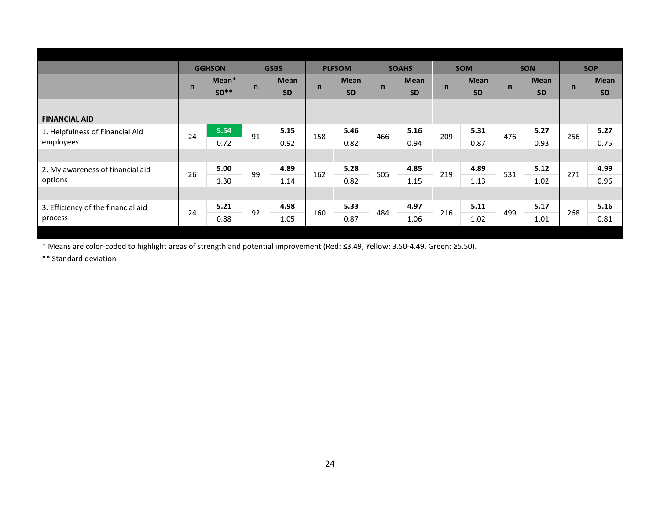|                                    |              | <b>GGHSON</b> |              | <b>GSBS</b> |     | <b>PLFSOM</b> |              | <b>SOAHS</b> |              | <b>SOM</b>  |              | <b>SON</b>  |              | <b>SOP</b>  |
|------------------------------------|--------------|---------------|--------------|-------------|-----|---------------|--------------|--------------|--------------|-------------|--------------|-------------|--------------|-------------|
|                                    |              | Mean*         |              | <b>Mean</b> |     | <b>Mean</b>   |              | <b>Mean</b>  |              | <b>Mean</b> |              | <b>Mean</b> |              | <b>Mean</b> |
|                                    | $\mathsf{n}$ | $SD**$        | $\mathsf{n}$ | <b>SD</b>   | n   | <b>SD</b>     | $\mathsf{n}$ | <b>SD</b>    | $\mathsf{n}$ | <b>SD</b>   | $\mathsf{n}$ | <b>SD</b>   | $\mathsf{n}$ | <b>SD</b>   |
|                                    |              |               |              |             |     |               |              |              |              |             |              |             |              |             |
| <b>FINANCIAL AID</b>               |              |               |              |             |     |               |              |              |              |             |              |             |              |             |
| 1. Helpfulness of Financial Aid    | 24           | 5.54          |              | 5.15        |     | 5.46          |              | 5.16         |              | 5.31        | 476          | 5.27        | 256          | 5.27        |
| employees                          |              | 0.72          | 91           | 0.92        | 158 | 0.82          | 466          | 0.94         | 209          | 0.87        |              | 0.93        |              | 0.75        |
|                                    |              |               |              |             |     |               |              |              |              |             |              |             |              |             |
| 2. My awareness of financial aid   | 26           | 5.00          |              | 4.89        |     | 5.28          |              | 4.85         |              | 4.89        |              | 5.12        |              | 4.99        |
| options                            |              | 1.30          | 99           | 1.14        | 162 | 0.82          | 505          | 1.15         | 219          | 1.13        | 531          | 1.02        | 271          | 0.96        |
|                                    |              |               |              |             |     |               |              |              |              |             |              |             |              |             |
| 3. Efficiency of the financial aid |              | 5.21          |              | 4.98        |     | 5.33          |              | 4.97         |              | 5.11        |              | 5.17        |              | 5.16        |
| process                            | 24           | 0.88          | 92           | 1.05        | 160 | 0.87          | 484          | 1.06         | 216          | 1.02        | 499          | 1.01        | 268          | 0.81        |
|                                    |              |               |              |             |     |               |              |              |              |             |              |             |              |             |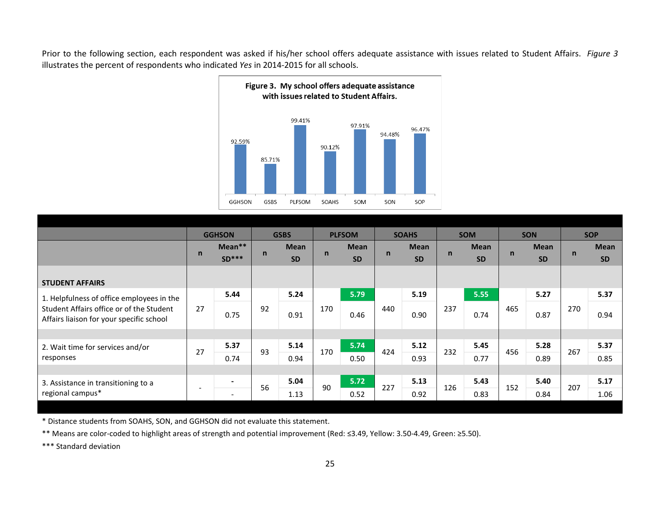Prior to the following section, each respondent was asked if his/her school offers adequate assistance with issues related to Student Affairs. *Figure 3* illustrates the percent of respondents who indicated *Yes* in 2014-2015 for all schools.



|                                                                                      |                          | <b>GGHSON</b>            |    | <b>GSBS</b>              |     | <b>PLFSOM</b>            |             | <b>SOAHS</b>             |             | <b>SOM</b>               |             | <b>SON</b>               |             | <b>SOP</b>               |
|--------------------------------------------------------------------------------------|--------------------------|--------------------------|----|--------------------------|-----|--------------------------|-------------|--------------------------|-------------|--------------------------|-------------|--------------------------|-------------|--------------------------|
|                                                                                      | $\mathbf n$              | Mean**<br>$SD***$        | n  | <b>Mean</b><br><b>SD</b> | n   | <b>Mean</b><br><b>SD</b> | $\mathbf n$ | <b>Mean</b><br><b>SD</b> | $\mathbf n$ | <b>Mean</b><br><b>SD</b> | $\mathbf n$ | <b>Mean</b><br><b>SD</b> | $\mathbf n$ | <b>Mean</b><br><b>SD</b> |
| <b>STUDENT AFFAIRS</b>                                                               |                          |                          |    |                          |     |                          |             |                          |             |                          |             |                          |             |                          |
| 1. Helpfulness of office employees in the                                            |                          | 5.44                     |    | 5.24                     |     | 5.79                     |             | 5.19                     |             | 5.55                     |             | 5.27                     |             | 5.37                     |
| Student Affairs office or of the Student<br>Affairs liaison for your specific school | 27                       | 0.75                     | 92 | 0.91                     | 170 | 0.46                     | 440         | 0.90                     | 237         | 0.74                     | 465         | 0.87                     | 270         | 0.94                     |
|                                                                                      |                          |                          |    |                          |     |                          |             |                          |             |                          |             |                          |             |                          |
| 2. Wait time for services and/or                                                     | 27                       | 5.37                     | 93 | 5.14                     | 170 | 5.74                     | 424         | 5.12                     | 232         | 5.45                     | 456         | 5.28                     | 267         | 5.37                     |
| responses                                                                            |                          | 0.74                     |    | 0.94                     |     | 0.50                     |             | 0.93                     |             | 0.77                     |             | 0.89                     |             | 0.85                     |
|                                                                                      |                          |                          |    |                          |     |                          |             |                          |             |                          |             |                          |             |                          |
| 3. Assistance in transitioning to a                                                  |                          |                          | 56 | 5.04                     | 90  | 5.72                     | 227         | 5.13                     | 126         | 5.43                     | 152         | 5.40                     | 207         | 5.17                     |
| regional campus*                                                                     | $\overline{\phantom{0}}$ | $\overline{\phantom{a}}$ |    | 1.13                     |     | 0.52                     |             | 0.92                     |             | 0.83                     |             | 0.84                     |             | 1.06                     |
|                                                                                      |                          |                          |    |                          |     |                          |             |                          |             |                          |             |                          |             |                          |

\* Distance students from SOAHS, SON, and GGHSON did not evaluate this statement.

\*\* Means are color-coded to highlight areas of strength and potential improvement (Red: ≤3.49, Yellow: 3.50-4.49, Green: ≥5.50).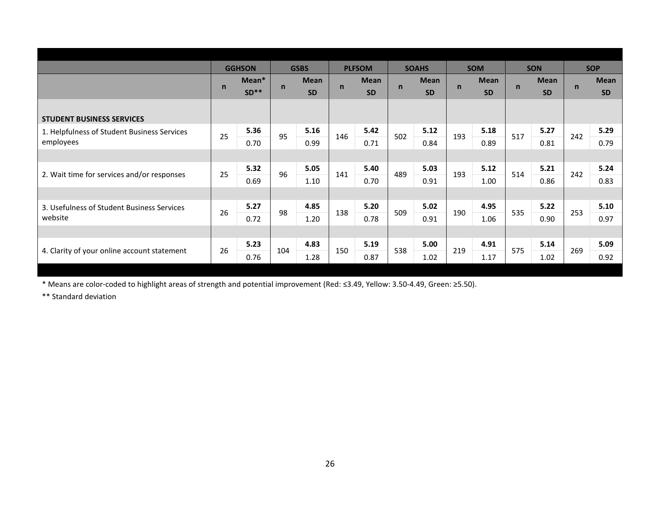|                                             |              | <b>GGHSON</b> |              | <b>GSBS</b> |              | <b>PLFSOM</b> |              | <b>SOAHS</b> |              | <b>SOM</b>  |              | <b>SON</b>  |             | <b>SOP</b>  |
|---------------------------------------------|--------------|---------------|--------------|-------------|--------------|---------------|--------------|--------------|--------------|-------------|--------------|-------------|-------------|-------------|
|                                             |              | Mean*         |              | <b>Mean</b> |              | <b>Mean</b>   |              | <b>Mean</b>  |              | <b>Mean</b> |              | <b>Mean</b> |             | <b>Mean</b> |
|                                             | $\mathsf{n}$ | $SD**$        | $\mathsf{n}$ | <b>SD</b>   | $\mathsf{n}$ | <b>SD</b>     | $\mathsf{n}$ | <b>SD</b>    | $\mathsf{n}$ | <b>SD</b>   | $\mathsf{n}$ | <b>SD</b>   | $\mathbf n$ | <b>SD</b>   |
|                                             |              |               |              |             |              |               |              |              |              |             |              |             |             |             |
| <b>STUDENT BUSINESS SERVICES</b>            |              |               |              |             |              |               |              |              |              |             |              |             |             |             |
| 1. Helpfulness of Student Business Services | 25           | 5.36          | 95           | 5.16        | 146          | 5.42          |              | 5.12         |              | 5.18        | 517          | 5.27        |             | 5.29        |
| employees                                   |              | 0.70          |              | 0.99        |              | 0.71          | 502          | 0.84         | 193          | 0.89        |              | 0.81        | 242         | 0.79        |
|                                             |              |               |              |             |              |               |              |              |              |             |              |             |             |             |
|                                             |              | 5.32          | 96           | 5.05        |              | 5.40          | 489          | 5.03         | 193          | 5.12        | 514          | 5.21        | 242         | 5.24        |
| 2. Wait time for services and/or responses  | 25           | 0.69          |              | 1.10        | 141          | 0.70          |              | 0.91         |              | 1.00        |              | 0.86        |             | 0.83        |
|                                             |              |               |              |             |              |               |              |              |              |             |              |             |             |             |
| 3. Usefulness of Student Business Services  |              | 5.27          |              | 4.85        |              | 5.20          |              | 5.02         |              | 4.95        |              | 5.22        |             | 5.10        |
| website                                     | 26           | 0.72          | 98           | 1.20        | 138          | 0.78          | 509          | 0.91         | 190          | 1.06        | 535          | 0.90        | 253         | 0.97        |
|                                             |              |               |              |             |              |               |              |              |              |             |              |             |             |             |
|                                             |              | 5.23          |              | 4.83        |              | 5.19          |              | 5.00         |              | 4.91        |              | 5.14        |             | 5.09        |
| 4. Clarity of your online account statement | 26           | 0.76          | 104          | 1.28        | 150          | 0.87          | 538          | 1.02         | 219          | 1.17        | 575          | 1.02        | 269         | 0.92        |
|                                             |              |               |              |             |              |               |              |              |              |             |              |             |             |             |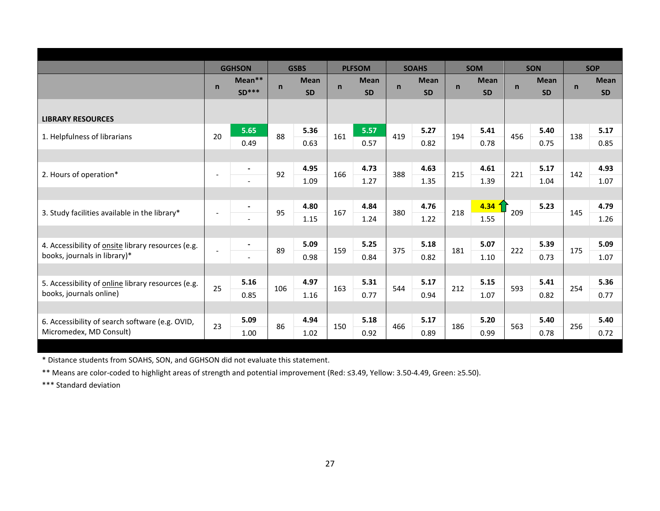|                                                           |                          | <b>GGHSON</b>            |              | <b>GSBS</b> |              | <b>PLFSOM</b> |             | <b>SOAHS</b> |              | <b>SOM</b>  |              | <b>SON</b>  |              | <b>SOP</b>  |
|-----------------------------------------------------------|--------------------------|--------------------------|--------------|-------------|--------------|---------------|-------------|--------------|--------------|-------------|--------------|-------------|--------------|-------------|
|                                                           | $\mathsf{n}$             | Mean**                   | $\mathsf{n}$ | <b>Mean</b> | $\mathsf{n}$ | <b>Mean</b>   | $\mathbf n$ | <b>Mean</b>  | $\mathsf{n}$ | <b>Mean</b> | $\mathsf{n}$ | <b>Mean</b> | $\mathsf{n}$ | <b>Mean</b> |
|                                                           |                          | $SD***$                  |              | <b>SD</b>   |              | <b>SD</b>     |             | <b>SD</b>    |              | <b>SD</b>   |              | <b>SD</b>   |              | <b>SD</b>   |
|                                                           |                          |                          |              |             |              |               |             |              |              |             |              |             |              |             |
| <b>LIBRARY RESOURCES</b>                                  |                          |                          |              |             |              |               |             |              |              |             |              |             |              |             |
|                                                           |                          | 5.65                     | 88           | 5.36        |              | 5.57          | 419         | 5.27         | 194          | 5.41        | 456          | 5.40        |              | 5.17        |
| 1. Helpfulness of librarians                              | 20                       | 0.49                     |              | 0.63        | 161          | 0.57          |             | 0.82         |              | 0.78        |              | 0.75        | 138          | 0.85        |
|                                                           |                          |                          |              |             |              |               |             |              |              |             |              |             |              |             |
|                                                           |                          | $\blacksquare$           |              | 4.95        |              | 4.73          |             | 4.63         |              | 4.61        |              | 5.17        |              | 4.93        |
| 2. Hours of operation*                                    |                          |                          | 92           | 1.09        | 166          | 1.27          | 388         | 1.35         | 215          | 1.39        | 221          | 1.04        | 142          | 1.07        |
|                                                           |                          |                          |              |             |              |               |             |              |              |             |              |             |              |             |
|                                                           |                          | $\blacksquare$           |              | 4.80        |              | 4.84          |             | 4.76         |              | 4.34        |              | 5.23        |              | 4.79        |
| 3. Study facilities available in the library*             | $\overline{\phantom{a}}$ |                          | 95           | 1.15        | 167          | 1.24          | 380         | 1.22         | 218          | 1.55        | 209          |             | 145          | 1.26        |
|                                                           |                          |                          |              |             |              |               |             |              |              |             |              |             |              |             |
| 4. Accessibility of <b>onsite</b> library resources (e.g. |                          |                          |              | 5.09        |              | 5.25          |             | 5.18         |              | 5.07        |              | 5.39        |              | 5.09        |
| books, journals in library)*                              |                          | $\overline{\phantom{0}}$ | 89           | 0.98        | 159          | 0.84          | 375         | 0.82         | 181          | 1.10        | 222          | 0.73        | 175          | 1.07        |
|                                                           |                          |                          |              |             |              |               |             |              |              |             |              |             |              |             |
| 5. Accessibility of online library resources (e.g.        |                          | 5.16                     |              | 4.97        |              | 5.31          |             | 5.17         |              | 5.15        |              | 5.41        |              | 5.36        |
| books, journals online)                                   | 25                       | 0.85                     | 106          | 1.16        | 163          | 0.77          | 544         | 0.94         | 212          | 1.07        | 593          | 0.82        | 254          | 0.77        |
|                                                           |                          |                          |              |             |              |               |             |              |              |             |              |             |              |             |
| 6. Accessibility of search software (e.g. OVID,           |                          | 5.09                     |              | 4.94        |              | 5.18          |             | 5.17         |              | 5.20        |              | 5.40        |              | 5.40        |
| Micromedex, MD Consult)                                   | 23                       | 1.00                     | 86           | 1.02        | 150          | 0.92          | 466         | 0.89         | 186          | 0.99        | 563          | 0.78        | 256          | 0.72        |
|                                                           |                          |                          |              |             |              |               |             |              |              |             |              |             |              |             |

\* Distance students from SOAHS, SON, and GGHSON did not evaluate this statement.

\*\* Means are color-coded to highlight areas of strength and potential improvement (Red: ≤3.49, Yellow: 3.50-4.49, Green: ≥5.50).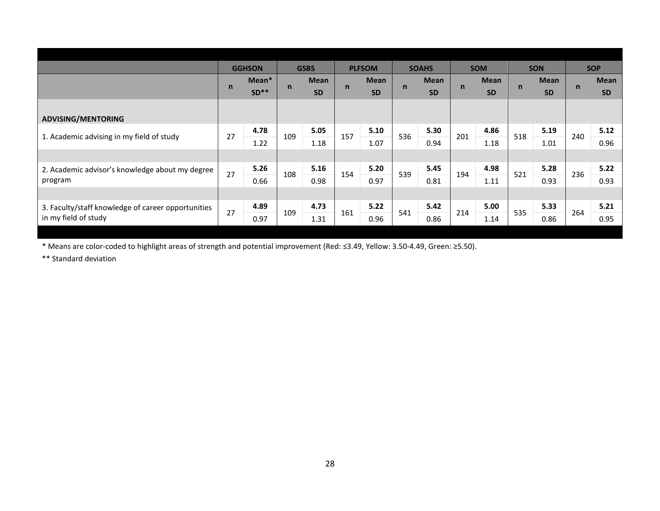|                                                    |              | <b>GGHSON</b> |     | <b>GSBS</b> |              | <b>PLFSOM</b> |     | <b>SOAHS</b> |     | <b>SOM</b>  |              | <b>SON</b>  |              | <b>SOP</b>  |
|----------------------------------------------------|--------------|---------------|-----|-------------|--------------|---------------|-----|--------------|-----|-------------|--------------|-------------|--------------|-------------|
|                                                    |              | Mean*         |     | <b>Mean</b> |              | <b>Mean</b>   |     | <b>Mean</b>  |     | <b>Mean</b> |              | <b>Mean</b> |              | <b>Mean</b> |
|                                                    | $\mathsf{n}$ | $SD**$        | n   | <b>SD</b>   | $\mathsf{n}$ | <b>SD</b>     | n   | <b>SD</b>    | n   | <b>SD</b>   | $\mathsf{n}$ | <b>SD</b>   | $\mathsf{n}$ | <b>SD</b>   |
|                                                    |              |               |     |             |              |               |     |              |     |             |              |             |              |             |
| <b>ADVISING/MENTORING</b>                          |              |               |     |             |              |               |     |              |     |             |              |             |              |             |
|                                                    | 27           | 4.78          | 109 | 5.05        |              | 5.10          | 536 | 5.30         |     | 4.86        |              | 5.19        | 240          | 5.12        |
| 1. Academic advising in my field of study          |              | 1.22          |     | 1.18        | 157          | 1.07          |     | 0.94         | 201 | 1.18        | 518          | 1.01        |              | 0.96        |
|                                                    |              |               |     |             |              |               |     |              |     |             |              |             |              |             |
| 2. Academic advisor's knowledge about my degree    | 27           | 5.26          |     | 5.16        |              | 5.20          | 539 | 5.45         |     | 4.98        |              | 5.28        | 236          | 5.22        |
| program                                            |              | 0.66          | 108 | 0.98        | 154          | 0.97          |     | 0.81         | 194 | 1.11        | 521          | 0.93        |              | 0.93        |
|                                                    |              |               |     |             |              |               |     |              |     |             |              |             |              |             |
| 3. Faculty/staff knowledge of career opportunities |              | 4.89          |     | 4.73        |              | 5.22          |     | 5.42         |     | 5.00        |              | 5.33        |              | 5.21        |
| in my field of study                               | 27           | 0.97          | 109 | 1.31        | 161          | 0.96          | 541 | 0.86         | 214 | 1.14        | 535          | 0.86        | 264          | 0.95        |
|                                                    |              |               |     |             |              |               |     |              |     |             |              |             |              |             |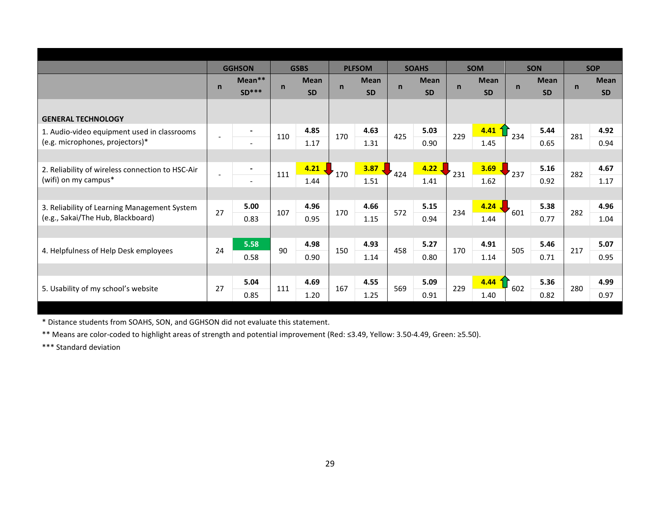|                                                  |                          | <b>GGHSON</b>            |              | <b>GSBS</b> |              | <b>PLFSOM</b> |             | <b>SOAHS</b> |             | <b>SOM</b>  |             | <b>SON</b>  |             | <b>SOP</b>  |
|--------------------------------------------------|--------------------------|--------------------------|--------------|-------------|--------------|---------------|-------------|--------------|-------------|-------------|-------------|-------------|-------------|-------------|
|                                                  |                          | Mean**                   |              | <b>Mean</b> |              | <b>Mean</b>   |             | <b>Mean</b>  |             | <b>Mean</b> |             | <b>Mean</b> | $\mathbf n$ | <b>Mean</b> |
|                                                  | $\mathsf{n}$             | $SD***$                  | $\mathsf{n}$ | <b>SD</b>   | $\mathsf{n}$ | <b>SD</b>     | $\mathbf n$ | <b>SD</b>    | $\mathbf n$ | <b>SD</b>   | $\mathbf n$ | <b>SD</b>   |             | <b>SD</b>   |
|                                                  |                          |                          |              |             |              |               |             |              |             |             |             |             |             |             |
| <b>GENERAL TECHNOLOGY</b>                        |                          |                          |              |             |              |               |             |              |             |             |             |             |             |             |
| 1. Audio-video equipment used in classrooms      | $\overline{\phantom{a}}$ |                          | 110          | 4.85        | 170          | 4.63          | 425         | 5.03         | 229         | 4.41        | 234         | 5.44        | 281         | 4.92        |
| (e.g. microphones, projectors)*                  |                          |                          |              | 1.17        |              | 1.31          |             | 0.90         |             | 1.45        |             | 0.65        |             | 0.94        |
|                                                  |                          |                          |              |             |              |               |             |              |             |             |             |             |             |             |
| 2. Reliability of wireless connection to HSC-Air | $\overline{a}$           | $\overline{\phantom{a}}$ | 111          | 4.21        | 170          | 3.87          | 424         | 4.22         | 231         | 3.69        | 237         | 5.16        | 282         | 4.67        |
| (wifi) on my campus*                             |                          | $\overline{\phantom{a}}$ |              | 1.44        |              | 1.51          |             | 1.41         |             | 1.62        |             | 0.92        |             | 1.17        |
|                                                  |                          |                          |              |             |              |               |             |              |             |             |             |             |             |             |
| 3. Reliability of Learning Management System     | 27                       | 5.00                     | 107          | 4.96        | 170          | 4.66          | 572         | 5.15         | 234         | 4.24        | 601         | 5.38        | 282         | 4.96        |
| (e.g., Sakai/The Hub, Blackboard)                |                          | 0.83                     |              | 0.95        |              | 1.15          |             | 0.94         |             | 1.44        |             | 0.77        |             | 1.04        |
|                                                  |                          |                          |              |             |              |               |             |              |             |             |             |             |             |             |
|                                                  | 24                       | 5.58                     | 90           | 4.98        | 150          | 4.93          | 458         | 5.27         | 170         | 4.91        | 505         | 5.46        | 217         | 5.07        |
| 4. Helpfulness of Help Desk employees            |                          | 0.58                     |              | 0.90        |              | 1.14          |             | 0.80         |             | 1.14        |             | 0.71        |             | 0.95        |
|                                                  |                          |                          |              |             |              |               |             |              |             |             |             |             |             |             |
|                                                  | 27                       | 5.04                     | 111          | 4.69        | 167          | 4.55          | 569         | 5.09         | 229         | 4.44        | 602         | 5.36        | 280         | 4.99        |
| 5. Usability of my school's website              |                          | 0.85                     |              | 1.20        |              | 1.25          |             | 0.91         |             | 1.40        |             | 0.82        |             | 0.97        |

\* Distance students from SOAHS, SON, and GGHSON did not evaluate this statement.

\*\* Means are color-coded to highlight areas of strength and potential improvement (Red: ≤3.49, Yellow: 3.50-4.49, Green: ≥5.50).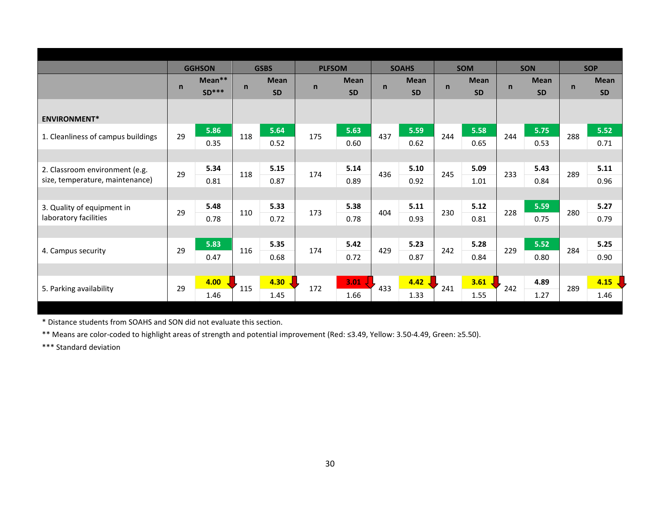|                                    |              | <b>GGHSON</b>     |             | <b>GSBS</b>              | <b>PLFSOM</b> |                          |              | <b>SOAHS</b>             |              | <b>SOM</b>               |              | <b>SON</b>               |              | <b>SOP</b>               |
|------------------------------------|--------------|-------------------|-------------|--------------------------|---------------|--------------------------|--------------|--------------------------|--------------|--------------------------|--------------|--------------------------|--------------|--------------------------|
|                                    | $\mathsf{n}$ | Mean**<br>$SD***$ | $\mathbf n$ | <b>Mean</b><br><b>SD</b> | $\mathsf{n}$  | <b>Mean</b><br><b>SD</b> | $\mathsf{n}$ | <b>Mean</b><br><b>SD</b> | $\mathsf{n}$ | <b>Mean</b><br><b>SD</b> | $\mathsf{n}$ | <b>Mean</b><br><b>SD</b> | $\mathsf{n}$ | <b>Mean</b><br><b>SD</b> |
| <b>ENVIRONMENT*</b>                |              |                   |             |                          |               |                          |              |                          |              |                          |              |                          |              |                          |
| 1. Cleanliness of campus buildings | 29           | 5.86<br>0.35      | 118         | 5.64<br>0.52             | 175           | 5.63<br>0.60             | 437          | 5.59<br>0.62             | 244          | 5.58<br>0.65             | 244          | 5.75<br>0.53             | 288          | 5.52<br>0.71             |
|                                    |              |                   |             |                          |               |                          |              |                          |              |                          |              |                          |              |                          |
| 2. Classroom environment (e.g.     | 29           | 5.34              | 118         | 5.15                     | 174           | 5.14                     | 436          | 5.10                     | 245          | 5.09                     | 233          | 5.43                     | 289          | 5.11                     |
| size, temperature, maintenance)    |              | 0.81              |             | 0.87                     |               | 0.89                     |              | 0.92                     |              | 1.01                     |              | 0.84                     |              | 0.96                     |
|                                    |              |                   |             |                          |               |                          |              |                          |              |                          |              |                          |              |                          |
| 3. Quality of equipment in         | 29           | 5.48              | 110         | 5.33                     | 173           | 5.38                     | 404          | 5.11                     | 230          | 5.12                     | 228          | 5.59                     | 280          | 5.27                     |
| laboratory facilities              |              | 0.78              |             | 0.72                     |               | 0.78                     |              | 0.93                     |              | 0.81                     |              | 0.75                     |              | 0.79                     |
|                                    |              |                   |             |                          |               |                          |              |                          |              |                          |              |                          |              |                          |
| 4. Campus security                 | 29           | 5.83              | 116         | 5.35                     | 174           | 5.42                     | 429          | 5.23                     | 242          | 5.28                     | 229          | 5.52                     | 284          | 5.25                     |
|                                    |              | 0.47              |             | 0.68                     |               | 0.72                     |              | 0.87                     |              | 0.84                     |              | 0.80                     |              | 0.90                     |
|                                    |              |                   |             |                          |               |                          |              |                          |              |                          |              |                          |              |                          |
| 5. Parking availability            | 29           | 4.00              | 115         | 4.30                     | 172           | $3.01$ $\sqrt{ }$        | 433          | 4.42                     | 241          | 3.61                     | 242          | 4.89                     | 289          | 4.15                     |
|                                    |              | 1.46              |             | 1.45                     |               | 1.66                     |              | 1.33                     |              | 1.55                     |              | 1.27                     |              | 1.46                     |

\* Distance students from SOAHS and SON did not evaluate this section.

\*\* Means are color-coded to highlight areas of strength and potential improvement (Red: ≤3.49, Yellow: 3.50-4.49, Green: ≥5.50).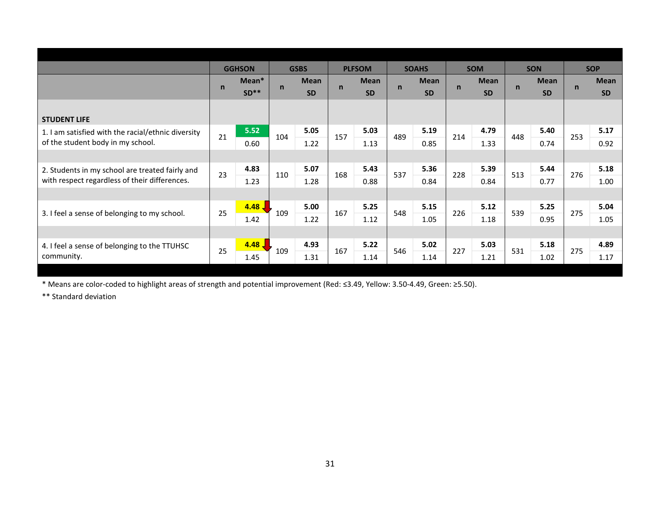|                                                    |              | <b>GGHSON</b> |              | <b>GSBS</b> |             | <b>PLFSOM</b> |             | <b>SOAHS</b> |              | <b>SOM</b>  |             | <b>SON</b>  |             | <b>SOP</b>  |
|----------------------------------------------------|--------------|---------------|--------------|-------------|-------------|---------------|-------------|--------------|--------------|-------------|-------------|-------------|-------------|-------------|
|                                                    | $\mathsf{n}$ | Mean*         |              | <b>Mean</b> | $\mathbf n$ | <b>Mean</b>   |             | <b>Mean</b>  | $\mathsf{n}$ | <b>Mean</b> | $\mathbf n$ | <b>Mean</b> | $\mathbf n$ | <b>Mean</b> |
|                                                    |              | $SD**$        | $\mathsf{n}$ | <b>SD</b>   |             | <b>SD</b>     | $\mathbf n$ | <b>SD</b>    |              | <b>SD</b>   |             | <b>SD</b>   |             | <b>SD</b>   |
|                                                    |              |               |              |             |             |               |             |              |              |             |             |             |             |             |
| <b>STUDENT LIFE</b>                                |              |               |              |             |             |               |             |              |              |             |             |             |             |             |
| 1. I am satisfied with the racial/ethnic diversity | 21           | 5.52          | 104          | 5.05        | 157         | 5.03          | 489         | 5.19         | 214          | 4.79        | 448         | 5.40        | 253         | 5.17        |
| of the student body in my school.                  |              | 0.60          |              | 1.22        |             | 1.13          |             | 0.85         |              | 1.33        |             | 0.74        |             | 0.92        |
|                                                    |              |               |              |             |             |               |             |              |              |             |             |             |             |             |
| 2. Students in my school are treated fairly and    | 23           | 4.83          | 110          | 5.07        | 168         | 5.43          | 537         | 5.36         | 228          | 5.39        | 513         | 5.44        | 276         | 5.18        |
| with respect regardless of their differences.      |              | 1.23          |              | 1.28        |             | 0.88          |             | 0.84         |              | 0.84        |             | 0.77        |             | 1.00        |
|                                                    |              |               |              |             |             |               |             |              |              |             |             |             |             |             |
|                                                    | 25           | $4.48$ J      |              | 5.00        | 167         | 5.25          | 548         | 5.15         | 226          | 5.12        | 539         | 5.25        | 275         | 5.04        |
| 3. I feel a sense of belonging to my school.       |              | 1.42          | 109          | 1.22        |             | 1.12          |             | 1.05         |              | 1.18        |             | 0.95        |             | 1.05        |
|                                                    |              |               |              |             |             |               |             |              |              |             |             |             |             |             |
| 4. I feel a sense of belonging to the TTUHSC       | 25           | $4.48$ J      | 109          | 4.93        | 167         | 5.22          | 546         | 5.02         | 227          | 5.03        | 531         | 5.18        | 275         | 4.89        |
| community.                                         |              | 1.45          |              | 1.31        |             | 1.14          |             | 1.14         |              | 1.21        |             | 1.02        |             | 1.17        |
|                                                    |              |               |              |             |             |               |             |              |              |             |             |             |             |             |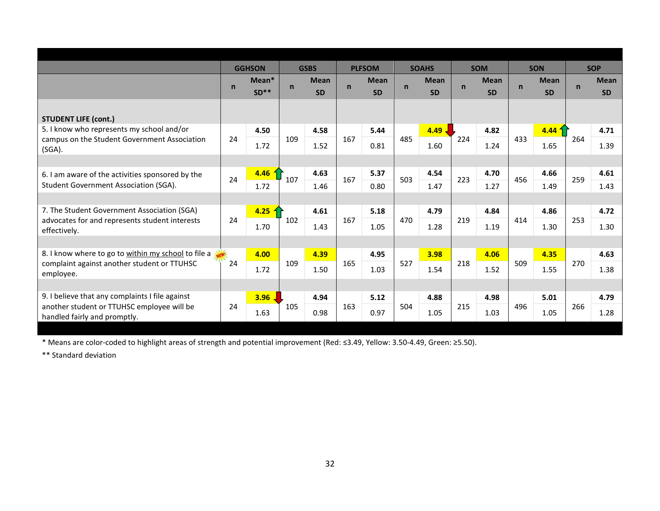| <b>SOM</b><br><b>GGHSON</b><br><b>GSBS</b><br><b>PLFSOM</b><br><b>SOAHS</b><br><b>SON</b><br><b>SOP</b><br>Mean*<br><b>Mean</b><br><b>Mean</b><br><b>Mean</b><br><b>Mean</b><br><b>Mean</b><br><b>Mean</b><br>$\mathsf{n}$<br>n<br>$\mathsf{n}$<br>$\mathsf{n}$<br>$\mathsf{n}$<br>$\mathsf{n}$<br>$\mathsf{n}$<br>$SD**$<br><b>SD</b><br><b>SD</b><br><b>SD</b><br><b>SD</b><br><b>SD</b><br><b>SD</b><br><b>STUDENT LIFE (cont.)</b><br>5. I know who represents my school and/or<br>4.49.<br>4.82<br>4.44<br>4.50<br>4.58<br>5.44<br>4.71<br>433<br>109<br>167<br>485<br>224<br>264<br>24<br>campus on the Student Government Association<br>1.72<br>1.52<br>0.81<br>1.60<br>1.24<br>1.65<br>1.39<br>(SGA).<br>4.63<br>5.37<br>4.54<br>4.70<br>4.66<br>4.61<br>4.46<br>6. I am aware of the activities sponsored by the<br>167<br>223<br>107<br>503<br>456<br>259<br>24<br>Student Government Association (SGA).<br>1.72<br>0.80<br>1.47<br>1.27<br>1.46<br>1.49<br>1.43<br>7. The Student Government Association (SGA)<br>5.18<br>4.79<br>4.84<br>4.86<br>4.25<br>4.61<br>4.72<br>167<br>470<br>219<br>253<br>24<br>102<br>414<br>advocates for and represents student interests<br>1.70<br>1.43<br>1.28<br>1.05<br>1.19<br>1.30<br>1.30<br>effectively.<br>8. I know where to go to within my school to file a<br>4.95<br>4.39<br>3.98<br>4.06<br>4.35<br>4.63<br>4.00<br>527<br>24<br>109<br>165<br>218<br>509<br>270<br>complaint against another student or TTUHSC<br>1.72<br>1.52<br>1.50<br>1.03<br>1.54<br>1.55<br>1.38<br>employee.<br>9. I believe that any complaints I file against<br>3.96<br>4.94<br>5.12<br>4.88<br>4.98<br>5.01<br>4.79<br>another student or TTUHSC employee will be<br>105<br>163<br>504<br>215<br>496<br>266<br>24<br>0.97<br>1.28 |                              |      |  |      |  |      |      |      |  |
|--------------------------------------------------------------------------------------------------------------------------------------------------------------------------------------------------------------------------------------------------------------------------------------------------------------------------------------------------------------------------------------------------------------------------------------------------------------------------------------------------------------------------------------------------------------------------------------------------------------------------------------------------------------------------------------------------------------------------------------------------------------------------------------------------------------------------------------------------------------------------------------------------------------------------------------------------------------------------------------------------------------------------------------------------------------------------------------------------------------------------------------------------------------------------------------------------------------------------------------------------------------------------------------------------------------------------------------------------------------------------------------------------------------------------------------------------------------------------------------------------------------------------------------------------------------------------------------------------------------------------------------------------------------------------------------------------------------------------------------------------------------------------|------------------------------|------|--|------|--|------|------|------|--|
|                                                                                                                                                                                                                                                                                                                                                                                                                                                                                                                                                                                                                                                                                                                                                                                                                                                                                                                                                                                                                                                                                                                                                                                                                                                                                                                                                                                                                                                                                                                                                                                                                                                                                                                                                                          |                              |      |  |      |  |      |      |      |  |
|                                                                                                                                                                                                                                                                                                                                                                                                                                                                                                                                                                                                                                                                                                                                                                                                                                                                                                                                                                                                                                                                                                                                                                                                                                                                                                                                                                                                                                                                                                                                                                                                                                                                                                                                                                          |                              |      |  |      |  |      |      |      |  |
|                                                                                                                                                                                                                                                                                                                                                                                                                                                                                                                                                                                                                                                                                                                                                                                                                                                                                                                                                                                                                                                                                                                                                                                                                                                                                                                                                                                                                                                                                                                                                                                                                                                                                                                                                                          |                              |      |  |      |  |      |      |      |  |
|                                                                                                                                                                                                                                                                                                                                                                                                                                                                                                                                                                                                                                                                                                                                                                                                                                                                                                                                                                                                                                                                                                                                                                                                                                                                                                                                                                                                                                                                                                                                                                                                                                                                                                                                                                          |                              |      |  |      |  |      |      |      |  |
|                                                                                                                                                                                                                                                                                                                                                                                                                                                                                                                                                                                                                                                                                                                                                                                                                                                                                                                                                                                                                                                                                                                                                                                                                                                                                                                                                                                                                                                                                                                                                                                                                                                                                                                                                                          |                              |      |  |      |  |      |      |      |  |
|                                                                                                                                                                                                                                                                                                                                                                                                                                                                                                                                                                                                                                                                                                                                                                                                                                                                                                                                                                                                                                                                                                                                                                                                                                                                                                                                                                                                                                                                                                                                                                                                                                                                                                                                                                          |                              |      |  |      |  |      |      |      |  |
|                                                                                                                                                                                                                                                                                                                                                                                                                                                                                                                                                                                                                                                                                                                                                                                                                                                                                                                                                                                                                                                                                                                                                                                                                                                                                                                                                                                                                                                                                                                                                                                                                                                                                                                                                                          |                              |      |  |      |  |      |      |      |  |
|                                                                                                                                                                                                                                                                                                                                                                                                                                                                                                                                                                                                                                                                                                                                                                                                                                                                                                                                                                                                                                                                                                                                                                                                                                                                                                                                                                                                                                                                                                                                                                                                                                                                                                                                                                          |                              |      |  |      |  |      |      |      |  |
|                                                                                                                                                                                                                                                                                                                                                                                                                                                                                                                                                                                                                                                                                                                                                                                                                                                                                                                                                                                                                                                                                                                                                                                                                                                                                                                                                                                                                                                                                                                                                                                                                                                                                                                                                                          |                              |      |  |      |  |      |      |      |  |
|                                                                                                                                                                                                                                                                                                                                                                                                                                                                                                                                                                                                                                                                                                                                                                                                                                                                                                                                                                                                                                                                                                                                                                                                                                                                                                                                                                                                                                                                                                                                                                                                                                                                                                                                                                          |                              |      |  |      |  |      |      |      |  |
|                                                                                                                                                                                                                                                                                                                                                                                                                                                                                                                                                                                                                                                                                                                                                                                                                                                                                                                                                                                                                                                                                                                                                                                                                                                                                                                                                                                                                                                                                                                                                                                                                                                                                                                                                                          |                              |      |  |      |  |      |      |      |  |
|                                                                                                                                                                                                                                                                                                                                                                                                                                                                                                                                                                                                                                                                                                                                                                                                                                                                                                                                                                                                                                                                                                                                                                                                                                                                                                                                                                                                                                                                                                                                                                                                                                                                                                                                                                          |                              |      |  |      |  |      |      |      |  |
|                                                                                                                                                                                                                                                                                                                                                                                                                                                                                                                                                                                                                                                                                                                                                                                                                                                                                                                                                                                                                                                                                                                                                                                                                                                                                                                                                                                                                                                                                                                                                                                                                                                                                                                                                                          |                              |      |  |      |  |      |      |      |  |
|                                                                                                                                                                                                                                                                                                                                                                                                                                                                                                                                                                                                                                                                                                                                                                                                                                                                                                                                                                                                                                                                                                                                                                                                                                                                                                                                                                                                                                                                                                                                                                                                                                                                                                                                                                          |                              |      |  |      |  |      |      |      |  |
|                                                                                                                                                                                                                                                                                                                                                                                                                                                                                                                                                                                                                                                                                                                                                                                                                                                                                                                                                                                                                                                                                                                                                                                                                                                                                                                                                                                                                                                                                                                                                                                                                                                                                                                                                                          |                              |      |  |      |  |      |      |      |  |
|                                                                                                                                                                                                                                                                                                                                                                                                                                                                                                                                                                                                                                                                                                                                                                                                                                                                                                                                                                                                                                                                                                                                                                                                                                                                                                                                                                                                                                                                                                                                                                                                                                                                                                                                                                          |                              |      |  |      |  |      |      |      |  |
|                                                                                                                                                                                                                                                                                                                                                                                                                                                                                                                                                                                                                                                                                                                                                                                                                                                                                                                                                                                                                                                                                                                                                                                                                                                                                                                                                                                                                                                                                                                                                                                                                                                                                                                                                                          |                              |      |  |      |  |      |      |      |  |
|                                                                                                                                                                                                                                                                                                                                                                                                                                                                                                                                                                                                                                                                                                                                                                                                                                                                                                                                                                                                                                                                                                                                                                                                                                                                                                                                                                                                                                                                                                                                                                                                                                                                                                                                                                          |                              |      |  |      |  |      |      |      |  |
|                                                                                                                                                                                                                                                                                                                                                                                                                                                                                                                                                                                                                                                                                                                                                                                                                                                                                                                                                                                                                                                                                                                                                                                                                                                                                                                                                                                                                                                                                                                                                                                                                                                                                                                                                                          | handled fairly and promptly. | 1.63 |  | 0.98 |  | 1.05 | 1.03 | 1.05 |  |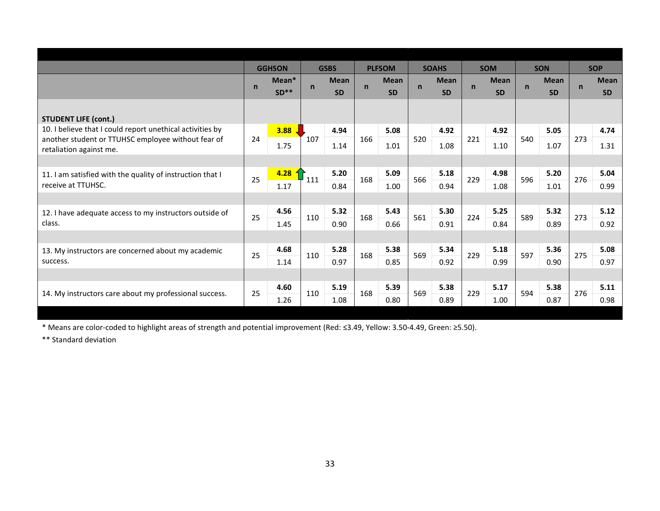|                                                                               |              | <b>GGHSON</b>   |              | <b>GSBS</b>              |              | <b>PLFSOM</b>            |             | <b>SOAHS</b>             |             | <b>SOM</b>               |             | <b>SON</b>               |             | <b>SOP</b>               |
|-------------------------------------------------------------------------------|--------------|-----------------|--------------|--------------------------|--------------|--------------------------|-------------|--------------------------|-------------|--------------------------|-------------|--------------------------|-------------|--------------------------|
|                                                                               | $\mathsf{n}$ | Mean*<br>$SD**$ | $\mathsf{n}$ | <b>Mean</b><br><b>SD</b> | $\mathsf{n}$ | <b>Mean</b><br><b>SD</b> | $\mathbf n$ | <b>Mean</b><br><b>SD</b> | $\mathbf n$ | <b>Mean</b><br><b>SD</b> | $\mathbf n$ | <b>Mean</b><br><b>SD</b> | $\mathbf n$ | <b>Mean</b><br><b>SD</b> |
| <b>STUDENT LIFE (cont.)</b>                                                   |              |                 |              |                          |              |                          |             |                          |             |                          |             |                          |             |                          |
| 10. I believe that I could report unethical activities by                     |              | 3.88            |              | 4.94                     |              | 5.08                     |             | 4.92                     |             | 4.92                     |             | 5.05                     |             | 4.74                     |
| another student or TTUHSC employee without fear of<br>retaliation against me. | 24           | 1.75            | 107          | 1.14                     | 166          | 1.01                     | 520         | 1.08                     | 221         | 1.10                     | 540         | 1.07                     | 273         | 1.31                     |
|                                                                               |              |                 |              |                          |              |                          |             |                          |             |                          |             |                          |             |                          |
| 11. I am satisfied with the quality of instruction that I                     | 25           | 4.28            | 111          | 5.20                     | 168          | 5.09                     | 566         | 5.18                     | 229         | 4.98                     | 596         | 5.20                     | 276         | 5.04                     |
| receive at TTUHSC.                                                            |              | 1.17            |              | 0.84                     |              | 1.00                     |             | 0.94                     |             | 1.08                     |             | 1.01                     |             | 0.99                     |
|                                                                               |              |                 |              |                          |              |                          |             |                          |             |                          |             |                          |             |                          |
| 12. I have adequate access to my instructors outside of                       | 25           | 4.56            | 110          | 5.32                     | 168          | 5.43                     | 561         | 5.30                     | 224         | 5.25                     | 589         | 5.32                     | 273         | 5.12                     |
| class.                                                                        |              | 1.45            |              | 0.90                     |              | 0.66                     |             | 0.91                     |             | 0.84                     |             | 0.89                     |             | 0.92                     |
|                                                                               |              |                 |              |                          |              |                          |             |                          |             |                          |             |                          |             |                          |
| 13. My instructors are concerned about my academic                            | 25           | 4.68            | 110          | 5.28                     | 168          | 5.38                     | 569         | 5.34                     | 229         | 5.18                     | 597         | 5.36                     | 275         | 5.08                     |
| success.                                                                      |              | 1.14            |              | 0.97                     |              | 0.85                     |             | 0.92                     |             | 0.99                     |             | 0.90                     |             | 0.97                     |
|                                                                               |              |                 |              |                          |              |                          |             |                          |             |                          |             |                          |             |                          |
| 14. My instructors care about my professional success.                        | 25           | 4.60            | 110          | 5.19                     | 168          | 5.39                     | 569         | 5.38                     | 229         | 5.17                     | 594         | 5.38                     | 276         | 5.11                     |
|                                                                               |              | 1.26            |              | 1.08                     |              | 0.80                     |             | 0.89                     |             | 1.00                     |             | 0.87                     |             | 0.98                     |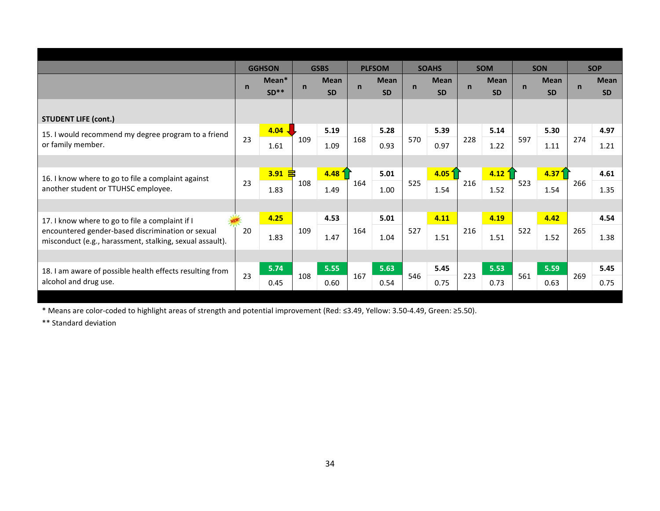|                                                                                                               |             | <b>GGHSON</b>   |              | <b>GSBS</b>              |              | <b>PLFSOM</b>            |              | <b>SOAHS</b>             |             | <b>SOM</b>               |             | <b>SON</b>               |             | <b>SOP</b>               |
|---------------------------------------------------------------------------------------------------------------|-------------|-----------------|--------------|--------------------------|--------------|--------------------------|--------------|--------------------------|-------------|--------------------------|-------------|--------------------------|-------------|--------------------------|
|                                                                                                               | $\mathbf n$ | Mean*<br>$SD**$ | $\mathsf{n}$ | <b>Mean</b><br><b>SD</b> | $\mathsf{n}$ | <b>Mean</b><br><b>SD</b> | $\mathsf{n}$ | <b>Mean</b><br><b>SD</b> | $\mathbf n$ | <b>Mean</b><br><b>SD</b> | $\mathbf n$ | <b>Mean</b><br><b>SD</b> | $\mathbf n$ | <b>Mean</b><br><b>SD</b> |
| <b>STUDENT LIFE (cont.)</b>                                                                                   |             |                 |              |                          |              |                          |              |                          |             |                          |             |                          |             |                          |
| 15. I would recommend my degree program to a friend                                                           |             | 4.04            |              | 5.19                     |              | 5.28                     |              | 5.39                     |             | 5.14                     |             | 5.30                     |             | 4.97                     |
| or family member.                                                                                             | 23          | 1.61            | 109          | 1.09                     | 168          | 0.93                     | 570          | 0.97                     | 228         | 1.22                     | 597         | 1.11                     | 274         | 1.21                     |
|                                                                                                               |             |                 |              |                          |              |                          |              |                          |             |                          |             |                          |             |                          |
| 16. I know where to go to file a complaint against                                                            |             | $3.91$ 吕        |              | $4.48\text{ }^2$         |              | 5.01                     |              | 4.05 <sup>1</sup>        |             | 4.12                     |             | 4.371                    |             | 4.61                     |
| another student or TTUHSC employee.                                                                           | 23          | 1.83            | 108          | 1.49                     | 164          | 1.00                     | 525          | 1.54                     | 216         | 1.52                     | 523         | 1.54                     | 266         | 1.35                     |
|                                                                                                               |             |                 |              |                          |              |                          |              |                          |             |                          |             |                          |             |                          |
| 17. I know where to go to file a complaint if I                                                               |             | 4.25            |              | 4.53                     |              | 5.01                     |              | 4.11                     |             | 4.19                     |             | 4.42                     |             | 4.54                     |
| encountered gender-based discrimination or sexual<br>misconduct (e.g., harassment, stalking, sexual assault). | 20          | 1.83            | 109          | 1.47                     | 164          | 1.04                     | 527          | 1.51                     | 216         | 1.51                     | 522         | 1.52                     | 265         | 1.38                     |
|                                                                                                               |             |                 |              |                          |              |                          |              |                          |             |                          |             |                          |             |                          |
| 18. I am aware of possible health effects resulting from                                                      |             | 5.74            |              | 5.55                     |              | 5.63                     |              | 5.45                     |             | 5.53                     |             | 5.59                     |             | 5.45                     |
| alcohol and drug use.                                                                                         | 23          | 0.45            | 108          | 0.60                     | 167          | 0.54                     | 546          | 0.75                     | 223         | 0.73                     | 561         | 0.63                     | 269         | 0.75                     |
|                                                                                                               |             |                 |              |                          |              |                          |              |                          |             |                          |             |                          |             |                          |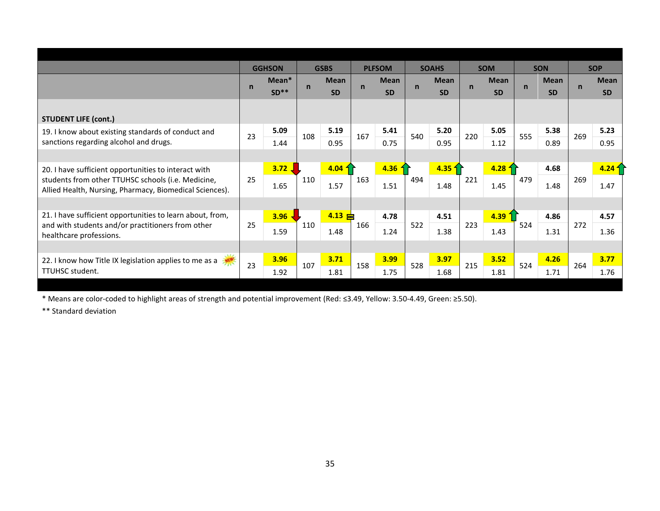|                                                                                                                                                                       |              | <b>GGHSON</b>   |             | <b>GSBS</b>               |             | <b>PLFSOM</b>            |              | <b>SOAHS</b>             |             | <b>SOM</b>               |             | <b>SON</b>               |             | <b>SOP</b>                |
|-----------------------------------------------------------------------------------------------------------------------------------------------------------------------|--------------|-----------------|-------------|---------------------------|-------------|--------------------------|--------------|--------------------------|-------------|--------------------------|-------------|--------------------------|-------------|---------------------------|
|                                                                                                                                                                       | $\mathsf{n}$ | Mean*<br>$SD**$ | $\mathbf n$ | <b>Mean</b><br><b>SD</b>  | $\mathbf n$ | <b>Mean</b><br><b>SD</b> | $\mathsf{n}$ | <b>Mean</b><br><b>SD</b> | $\mathbf n$ | <b>Mean</b><br><b>SD</b> | $\mathbf n$ | <b>Mean</b><br><b>SD</b> | $\mathbf n$ | <b>Mean</b><br><b>SD</b>  |
| <b>STUDENT LIFE (cont.)</b>                                                                                                                                           |              |                 |             |                           |             |                          |              |                          |             |                          |             |                          |             |                           |
| 19. I know about existing standards of conduct and<br>sanctions regarding alcohol and drugs.                                                                          | 23           | 5.09<br>1.44    | 108         | 5.19<br>0.95              | 167         | 5.41<br>0.75             | 540          | 5.20<br>0.95             | 220         | 5.05<br>1.12             | 555         | 5.38<br>0.89             | 269         | 5.23<br>0.95              |
|                                                                                                                                                                       |              |                 |             |                           |             |                          |              |                          |             |                          |             |                          |             |                           |
| 20. I have sufficient opportunities to interact with<br>students from other TTUHSC schools (i.e. Medicine,<br>Allied Health, Nursing, Pharmacy, Biomedical Sciences). | 25           | 3.72,<br>1.65   | 110         | $4.04\frac{1}{1}$<br>1.57 | 163         | 4.36<br>1.51             | 494          | $4.35$ 1<br>1.48         | 221         | $4.28\; +$<br>1.45       | 479         | 4.68<br>1.48             | 269         | 4.24 <sub>1</sub><br>1.47 |
|                                                                                                                                                                       |              |                 |             |                           |             |                          |              |                          |             |                          |             |                          |             |                           |
| 21. I have sufficient opportunities to learn about, from,<br>and with students and/or practitioners from other<br>healthcare professions.                             | 25           | 3.96<br>1.59    | 110         | $4.13 \div$<br>1.48       | 166         | 4.78<br>1.24             | 522          | 4.51<br>1.38             | 223         | 4.39<br>1.43             | 524         | 4.86<br>1.31             | 272         | 4.57<br>1.36              |
|                                                                                                                                                                       |              |                 |             |                           |             |                          |              |                          |             |                          |             |                          |             |                           |
| 22. I know how Title IX legislation applies to me as a<br>TTUHSC student.                                                                                             | 23           | 3.96<br>1.92    | 107         | 3.71<br>1.81              | 158         | 3.99<br>1.75             | 528          | 3.97<br>1.68             | 215         | 3.52<br>1.81             | 524         | 4.26<br>1.71             | 264         | 3.77<br>1.76              |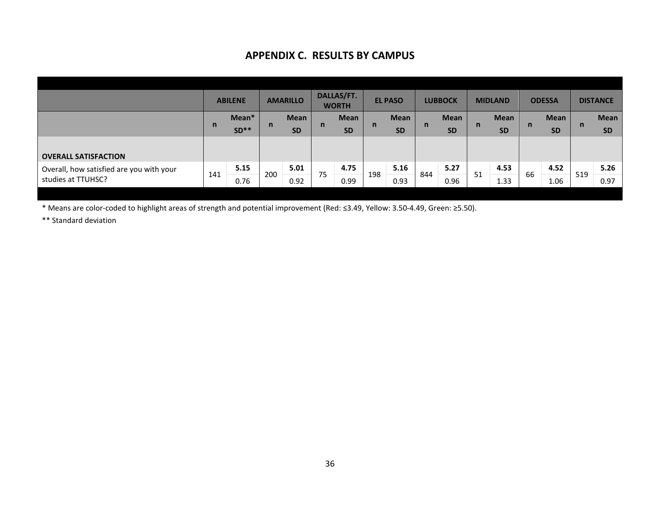### **APPENDIX C. RESULTS BY CAMPUS**

|                                          |                        | <b>ABILENE</b> |           | <b>AMARILLO</b> |           | DALLAS/FT.<br><b>WORTH</b> |           | <b>EL PASO</b> |              | <b>LUBBOCK</b> |           | <b>MIDLAND</b> |           | <b>ODESSA</b> |           | <b>DISTANCE</b> |
|------------------------------------------|------------------------|----------------|-----------|-----------------|-----------|----------------------------|-----------|----------------|--------------|----------------|-----------|----------------|-----------|---------------|-----------|-----------------|
|                                          |                        | Mean*          | n         | <b>Mean</b>     | n         | <b>Mean</b>                | n         | <b>Mean</b>    | $\mathsf{n}$ | <b>Mean</b>    | n         | <b>Mean</b>    | n         | <b>Mean</b>   | n         | <b>Mean</b>     |
|                                          | $\mathsf{n}$<br>$SD**$ |                | <b>SD</b> |                 | <b>SD</b> |                            | <b>SD</b> |                | <b>SD</b>    |                | <b>SD</b> |                | <b>SD</b> |               | <b>SD</b> |                 |
|                                          |                        |                |           |                 |           |                            |           |                |              |                |           |                |           |               |           |                 |
| <b>OVERALL SATISFACTION</b>              |                        |                |           |                 |           |                            |           |                |              |                |           |                |           |               |           |                 |
| Overall, how satisfied are you with your |                        | 5.15           | 200       | 5.01            | 75        | 4.75                       | 198       | 5.16           | 844          | 5.27           | 51        | 4.53           | 66        | 4.52          | 519       | 5.26            |
| studies at TTUHSC?                       | 141<br>0.76            |                | 0.92      |                 | 0.99      |                            | 0.93      |                | 0.96         |                | 1.33      |                | 1.06      |               | 0.97      |                 |
|                                          |                        |                |           |                 |           |                            |           |                |              |                |           |                |           |               |           |                 |

\* Means are color-coded to highlight areas of strength and potential improvement (Red: ≤3.49, Yellow: 3.50-4.49, Green: ≥5.50).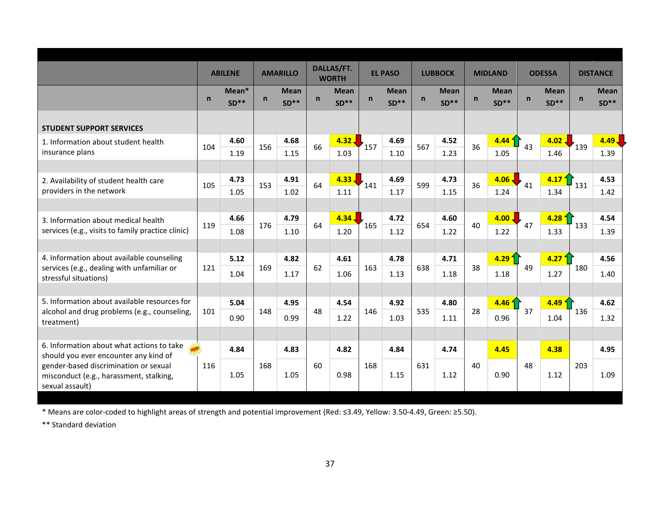|                                                                                                     |              | <b>ABILENE</b>  |              | <b>AMARILLO</b>       |              | DALLAS/FT.<br><b>WORTH</b> |     | <b>EL PASO</b>        |              | <b>LUBBOCK</b>        |              | <b>MIDLAND</b>            |    | <b>ODESSA</b>             |              | <b>DISTANCE</b>           |
|-----------------------------------------------------------------------------------------------------|--------------|-----------------|--------------|-----------------------|--------------|----------------------------|-----|-----------------------|--------------|-----------------------|--------------|---------------------------|----|---------------------------|--------------|---------------------------|
|                                                                                                     | $\mathsf{n}$ | Mean*<br>$SD**$ | $\mathsf{n}$ | <b>Mean</b><br>$SD**$ | $\mathsf{n}$ | <b>Mean</b><br>$SD**$      | n   | <b>Mean</b><br>$SD**$ | $\mathsf{n}$ | <b>Mean</b><br>$SD**$ | $\mathsf{n}$ | <b>Mean</b><br>$SD**$     | n  | <b>Mean</b><br>$SD**$     | $\mathsf{n}$ | <b>Mean</b><br>$SD**$     |
| <b>STUDENT SUPPORT SERVICES</b>                                                                     |              |                 |              |                       |              |                            |     |                       |              |                       |              |                           |    |                           |              |                           |
| 1. Information about student health<br>insurance plans                                              | 104          | 4.60<br>1.19    | 156          | 4.68<br>1.15          | 66           | 4.32.<br>1.03              | 157 | 4.69<br>1.10          | 567          | 4.52<br>1.23          | 36           | 4.44 <sup>4</sup><br>1.05 | 43 | 4.02.<br>1.46             | 139          | $4.49$ $\sqrt{ }$<br>1.39 |
|                                                                                                     |              |                 |              |                       |              |                            |     |                       |              |                       |              |                           |    |                           |              |                           |
| 2. Availability of student health care<br>providers in the network                                  | 105          | 4.73<br>1.05    | 153          | 4.91<br>1.02          | 64           | $4.33 -$<br>1.11           | 141 | 4.69<br>1.17          | 599          | 4.73<br>1.15          | 36           | $4.06 -$<br>1.24          | 41 | 4.17 <sup>2</sup><br>1.34 | 131          | 4.53<br>1.42              |
| 3. Information about medical health                                                                 |              | 4.66            |              | 4.79                  |              | $4.34 \downarrow$          |     | 4.72                  |              | 4.60                  |              | $4.00$ J                  |    | 4.28 <sup>4</sup>         |              | 4.54                      |
| services (e.g., visits to family practice clinic)                                                   | 119          | 1.08            | 176          | 1.10                  | 64           | 1.20                       | 165 | 1.12                  | 654          | 1.22                  | 40           | 1.22                      | 47 | 1.33                      | 133          | 1.39                      |
| 4. Information about available counseling                                                           |              | 5.12            |              | 4.82                  |              | 4.61                       |     | 4.78                  |              | 4.71                  |              | 4.291                     |    | 4.27 <sup>2</sup>         |              | 4.56                      |
| services (e.g., dealing with unfamiliar or<br>stressful situations)                                 | 121          | 1.04            | 169          | 1.17                  | 62           | 1.06                       | 163 | 1.13                  | 638          | 1.18                  | 38           | 1.18                      | 49 | 1.27                      | 180          | 1.40                      |
| 5. Information about available resources for                                                        |              | 5.04            |              | 4.95                  |              | 4.54                       |     | 4.92                  |              | 4.80                  |              | 4.46 <sub>1</sub>         |    | 4.49 <sub>1</sub>         |              | 4.62                      |
| alcohol and drug problems (e.g., counseling,<br>treatment)                                          | 101          | 0.90            | 148          | 0.99                  | 48           | 1.22                       | 146 | 1.03                  | 535          | 1.11                  | 28           | 0.96                      | 37 | 1.04                      | 136          | 1.32                      |
|                                                                                                     |              |                 |              |                       |              |                            |     |                       |              |                       |              |                           |    |                           |              |                           |
| 6. Information about what actions to take<br>should you ever encounter any kind of                  |              | 4.84            |              | 4.83                  |              | 4.82                       |     | 4.84                  |              | 4.74                  |              | 4.45                      |    | 4.38                      |              | 4.95                      |
| gender-based discrimination or sexual<br>misconduct (e.g., harassment, stalking,<br>sexual assault) | 116          | 1.05            | 168          | 1.05                  | 60           | 0.98                       | 168 | 1.15                  | 631          | 1.12                  | 40           | 0.90                      | 48 | 1.12                      | 203          | 1.09                      |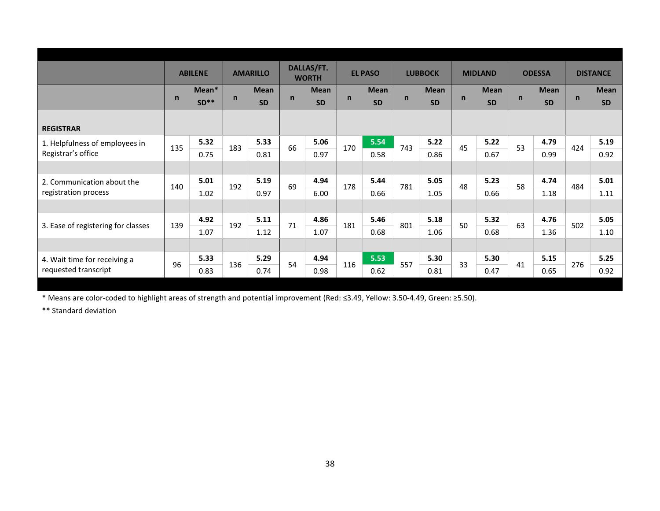|                                    |              | <b>ABILENE</b> |              | <b>AMARILLO</b> |              | DALLAS/FT.<br><b>WORTH</b> |              | <b>EL PASO</b> |              | <b>LUBBOCK</b> |              | <b>MIDLAND</b> |              | <b>ODESSA</b> |             | <b>DISTANCE</b> |
|------------------------------------|--------------|----------------|--------------|-----------------|--------------|----------------------------|--------------|----------------|--------------|----------------|--------------|----------------|--------------|---------------|-------------|-----------------|
|                                    |              | Mean*          |              | <b>Mean</b>     |              | <b>Mean</b>                |              | <b>Mean</b>    |              | <b>Mean</b>    |              | <b>Mean</b>    |              | <b>Mean</b>   |             | <b>Mean</b>     |
|                                    | $\mathsf{n}$ | $SD**$         | $\mathsf{n}$ | <b>SD</b>       | $\mathsf{n}$ | <b>SD</b>                  | $\mathsf{n}$ | <b>SD</b>      | $\mathsf{n}$ | <b>SD</b>      | $\mathsf{n}$ | <b>SD</b>      | $\mathsf{n}$ | <b>SD</b>     | $\mathbf n$ | <b>SD</b>       |
|                                    |              |                |              |                 |              |                            |              |                |              |                |              |                |              |               |             |                 |
| <b>REGISTRAR</b>                   |              |                |              |                 |              |                            |              |                |              |                |              |                |              |               |             |                 |
| 1. Helpfulness of employees in     |              | 5.32           |              | 5.33            |              | 5.06                       |              | 5.54           |              | 5.22           |              | 5.22           |              | 4.79          |             | 5.19            |
| Registrar's office                 | 135          | 0.75           | 183          | 0.81            | 66           | 0.97                       | 170          | 0.58           | 743          | 0.86           | 45           | 0.67           | 53           | 0.99          | 424         | 0.92            |
|                                    |              |                |              |                 |              |                            |              |                |              |                |              |                |              |               |             |                 |
| 2. Communication about the         |              | 5.01           |              | 5.19            |              | 4.94                       |              | 5.44           |              | 5.05           | 48           | 5.23           | 58           | 4.74          |             | 5.01            |
| registration process               | 140          | 1.02           | 192          | 0.97            | 69           | 6.00                       | 178          | 0.66           | 781          | 1.05           |              | 0.66           |              | 1.18          | 484         | 1.11            |
|                                    |              |                |              |                 |              |                            |              |                |              |                |              |                |              |               |             |                 |
|                                    |              | 4.92           |              | 5.11            | 71           | 4.86                       |              | 5.46           |              | 5.18           | 50           | 5.32           | 63           | 4.76          |             | 5.05            |
| 3. Ease of registering for classes | 139          | 1.07           | 192          | 1.12            |              | 1.07                       | 181          | 0.68           | 801          | 1.06           |              | 0.68           |              | 1.36          | 502         | 1.10            |
|                                    |              |                |              |                 |              |                            |              |                |              |                |              |                |              |               |             |                 |
| 4. Wait time for receiving a       |              | 5.33           |              | 5.29            |              | 4.94                       |              | 5.53           |              | 5.30           |              | 5.30           |              | 5.15          |             | 5.25            |
| requested transcript               | 96           | 0.83           | 136          | 0.74            | 54           | 0.98                       | 116          | 0.62           | 557          | 0.81           | 33           | 0.47           | 41           | 0.65          | 276         | 0.92            |
|                                    |              |                |              |                 |              |                            |              |                |              |                |              |                |              |               |             |                 |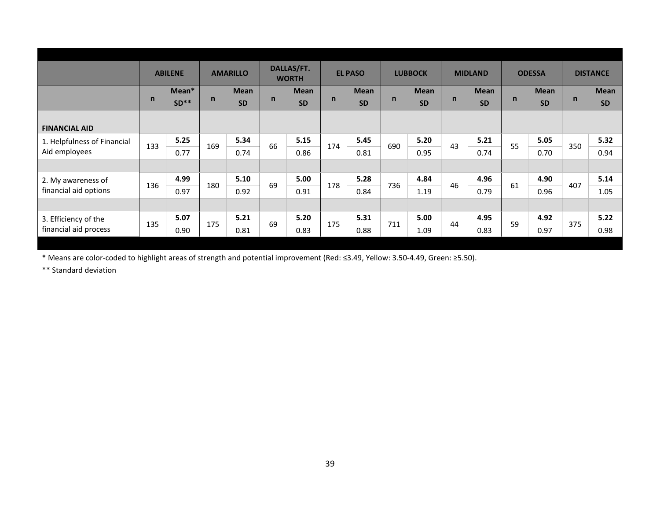|                             |              | <b>ABILENE</b> |     | <b>AMARILLO</b> |              | DALLAS/FT.<br><b>WORTH</b> |              | <b>EL PASO</b> |              | <b>LUBBOCK</b> |              | <b>MIDLAND</b> |    | <b>ODESSA</b> |             | <b>DISTANCE</b> |
|-----------------------------|--------------|----------------|-----|-----------------|--------------|----------------------------|--------------|----------------|--------------|----------------|--------------|----------------|----|---------------|-------------|-----------------|
|                             |              | Mean*          |     | <b>Mean</b>     |              | <b>Mean</b>                |              | <b>Mean</b>    |              | <b>Mean</b>    |              | <b>Mean</b>    |    | <b>Mean</b>   |             | <b>Mean</b>     |
|                             | $\mathsf{n}$ | $SD**$         | n   | <b>SD</b>       | $\mathsf{n}$ | <b>SD</b>                  | $\mathsf{n}$ | <b>SD</b>      | $\mathsf{n}$ | <b>SD</b>      | $\mathsf{n}$ | <b>SD</b>      | n  | <b>SD</b>     | $\mathbf n$ | <b>SD</b>       |
|                             |              |                |     |                 |              |                            |              |                |              |                |              |                |    |               |             |                 |
| <b>FINANCIAL AID</b>        |              |                |     |                 |              |                            |              |                |              |                |              |                |    |               |             |                 |
| 1. Helpfulness of Financial | 133          | 5.25           | 169 | 5.34            | 66           | 5.15                       | 174          | 5.45           | 690          | 5.20           | 43           | 5.21           | 55 | 5.05          | 350         | 5.32            |
| Aid employees               |              | 0.77           |     | 0.74            |              | 0.86                       |              | 0.81           |              | 0.95           |              | 0.74           |    | 0.70          |             | 0.94            |
|                             |              |                |     |                 |              |                            |              |                |              |                |              |                |    |               |             |                 |
| 2. My awareness of          | 136          | 4.99           | 180 | 5.10            | 69           | 5.00                       | 178          | 5.28           | 736          | 4.84           | 46           | 4.96           | 61 | 4.90          | 407         | 5.14            |
| financial aid options       |              | 0.97           |     | 0.92            |              | 0.91                       |              | 0.84           |              | 1.19           |              | 0.79           |    | 0.96          |             | 1.05            |
|                             |              |                |     |                 |              |                            |              |                |              |                |              |                |    |               |             |                 |
| 3. Efficiency of the        | 135          | 5.07           | 175 | 5.21            | 69           | 5.20                       | 175          | 5.31           | 711          | 5.00           | 44           | 4.95           | 59 | 4.92          | 375         | 5.22            |
| financial aid process       |              | 0.90           |     | 0.81            |              | 0.83                       |              | 0.88           |              | 1.09           |              | 0.83           |    | 0.97          |             | 0.98            |
|                             |              |                |     |                 |              |                            |              |                |              |                |              |                |    |               |             |                 |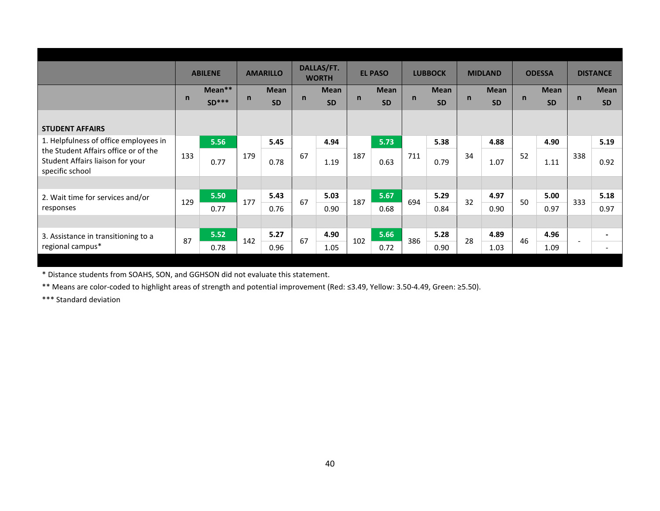|                                                                                             |     | <b>ABILENE</b> |     | <b>AMARILLO</b> |              | DALLAS/FT.<br><b>WORTH</b> |              | <b>EL PASO</b> |              | <b>LUBBOCK</b> |    | <b>MIDLAND</b> |              | <b>ODESSA</b> |     | <b>DISTANCE</b> |
|---------------------------------------------------------------------------------------------|-----|----------------|-----|-----------------|--------------|----------------------------|--------------|----------------|--------------|----------------|----|----------------|--------------|---------------|-----|-----------------|
|                                                                                             |     | Mean**         |     | <b>Mean</b>     |              | <b>Mean</b>                |              | <b>Mean</b>    |              | <b>Mean</b>    |    | <b>Mean</b>    |              | <b>Mean</b>   |     | <b>Mean</b>     |
|                                                                                             | n   | $SD***$        | n   | <b>SD</b>       | $\mathsf{n}$ | <b>SD</b>                  | $\mathsf{n}$ | <b>SD</b>      | $\mathsf{n}$ | <b>SD</b>      | n  | <b>SD</b>      | $\mathsf{n}$ | <b>SD</b>     | n   | <b>SD</b>       |
| <b>STUDENT AFFAIRS</b>                                                                      |     |                |     |                 |              |                            |              |                |              |                |    |                |              |               |     |                 |
| 1. Helpfulness of office employees in                                                       |     | 5.56           |     | 5.45            |              | 4.94                       |              | 5.73           |              | 5.38           |    | 4.88           |              | 4.90          |     | 5.19            |
| the Student Affairs office or of the<br>Student Affairs liaison for your<br>specific school | 133 | 0.77           | 179 | 0.78            | 67           | 1.19                       | 187          | 0.63           | 711          | 0.79           | 34 | 1.07           | 52           | 1.11          | 338 | 0.92            |
|                                                                                             |     |                |     |                 |              |                            |              |                |              |                |    |                |              |               |     |                 |
| 2. Wait time for services and/or                                                            | 129 | 5.50           | 177 | 5.43            | 67           | 5.03                       | 187          | 5.67           | 694          | 5.29           | 32 | 4.97           | 50           | 5.00          | 333 | 5.18            |
| responses                                                                                   |     | 0.77           |     | 0.76            |              | 0.90                       |              | 0.68           |              | 0.84           |    | 0.90           |              | 0.97          |     | 0.97            |
|                                                                                             |     |                |     |                 |              |                            |              |                |              |                |    |                |              |               |     |                 |
| 3. Assistance in transitioning to a                                                         | 87  | 5.52           | 142 | 5.27            | 67           | 4.90                       | 102          | 5.66           | 386          | 5.28           | 28 | 4.89           | 46           | 4.96          |     |                 |
| regional campus*                                                                            |     | 0.78           |     | 0.96            |              | 1.05                       |              | 0.72           |              | 0.90           |    | 1.03           |              | 1.09          | ٠   |                 |
|                                                                                             |     |                |     |                 |              |                            |              |                |              |                |    |                |              |               |     |                 |

\* Distance students from SOAHS, SON, and GGHSON did not evaluate this statement.

\*\* Means are color-coded to highlight areas of strength and potential improvement (Red: ≤3.49, Yellow: 3.50-4.49, Green: ≥5.50).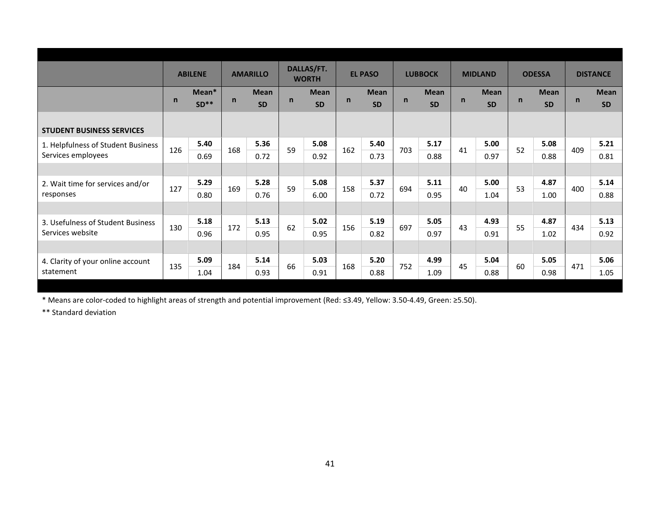|                                    |              | <b>ABILENE</b>  |              | <b>AMARILLO</b>          |              | DALLAS/FT.<br><b>WORTH</b> |              | <b>EL PASO</b>           |              | <b>LUBBOCK</b>           |              | <b>MIDLAND</b>           |    | <b>ODESSA</b>            |              | <b>DISTANCE</b>          |
|------------------------------------|--------------|-----------------|--------------|--------------------------|--------------|----------------------------|--------------|--------------------------|--------------|--------------------------|--------------|--------------------------|----|--------------------------|--------------|--------------------------|
|                                    | $\mathsf{n}$ | Mean*<br>$SD**$ | $\mathsf{n}$ | <b>Mean</b><br><b>SD</b> | $\mathsf{n}$ | <b>Mean</b><br><b>SD</b>   | $\mathsf{n}$ | <b>Mean</b><br><b>SD</b> | $\mathsf{n}$ | <b>Mean</b><br><b>SD</b> | $\mathsf{n}$ | <b>Mean</b><br><b>SD</b> | n  | <b>Mean</b><br><b>SD</b> | $\mathsf{n}$ | <b>Mean</b><br><b>SD</b> |
| <b>STUDENT BUSINESS SERVICES</b>   |              |                 |              |                          |              |                            |              |                          |              |                          |              |                          |    |                          |              |                          |
| 1. Helpfulness of Student Business | 126          | 5.40            | 168          | 5.36                     | 59           | 5.08                       | 162          | 5.40                     | 703          | 5.17                     | 41           | 5.00                     | 52 | 5.08                     | 409          | 5.21                     |
| Services employees                 |              | 0.69            |              | 0.72                     |              | 0.92                       |              | 0.73                     |              | 0.88                     |              | 0.97                     |    | 0.88                     |              | 0.81                     |
|                                    |              |                 |              |                          |              |                            |              |                          |              |                          |              |                          |    |                          |              |                          |
| 2. Wait time for services and/or   | 127          | 5.29            | 169          | 5.28                     | 59           | 5.08                       | 158          | 5.37                     | 694          | 5.11                     | 40           | 5.00                     | 53 | 4.87                     | 400          | 5.14                     |
| responses                          |              | 0.80            |              | 0.76                     |              | 6.00                       |              | 0.72                     |              | 0.95                     |              | 1.04                     |    | 1.00                     |              | 0.88                     |
|                                    |              |                 |              |                          |              |                            |              |                          |              |                          |              |                          |    |                          |              |                          |
| 3. Usefulness of Student Business  |              | 5.18            |              | 5.13                     | 62           | 5.02                       |              | 5.19                     |              | 5.05                     |              | 4.93                     | 55 | 4.87                     |              | 5.13                     |
| Services website                   | 130          | 0.96            | 172          | 0.95                     |              | 0.95                       | 156          | 0.82                     | 697          | 0.97                     | 43           | 0.91                     |    | 1.02                     | 434          | 0.92                     |
|                                    |              |                 |              |                          |              |                            |              |                          |              |                          |              |                          |    |                          |              |                          |
| 4. Clarity of your online account  | 135          | 5.09            |              | 5.14                     | 66           | 5.03                       | 168          | 5.20                     | 752          | 4.99                     | 45           | 5.04                     | 60 | 5.05                     | 471          | 5.06                     |
| statement                          |              | 1.04            | 184          | 0.93                     |              | 0.91                       |              | 0.88                     |              | 1.09                     |              | 0.88                     |    | 0.98                     |              | 1.05                     |
|                                    |              |                 |              |                          |              |                            |              |                          |              |                          |              |                          |    |                          |              |                          |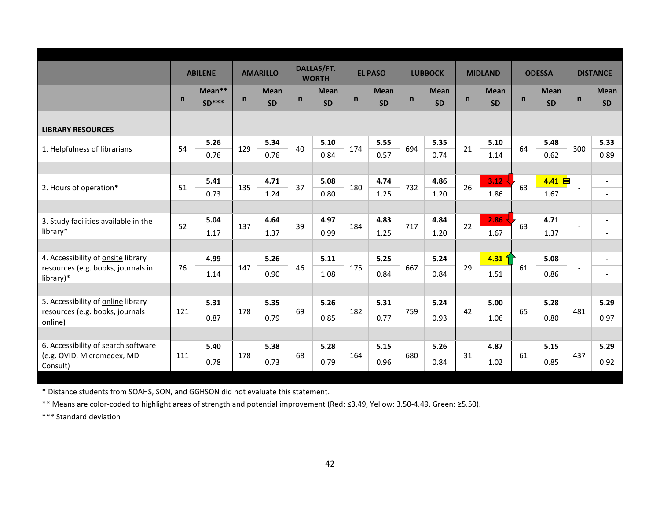|                                                 |              | <b>ABILENE</b>    |              | <b>AMARILLO</b>          |              | DALLAS/FT.<br><b>WORTH</b> |              | <b>EL PASO</b>           |              | <b>LUBBOCK</b>           |              | <b>MIDLAND</b>           |    | <b>ODESSA</b>            |              | <b>DISTANCE</b>          |
|-------------------------------------------------|--------------|-------------------|--------------|--------------------------|--------------|----------------------------|--------------|--------------------------|--------------|--------------------------|--------------|--------------------------|----|--------------------------|--------------|--------------------------|
|                                                 | $\mathsf{n}$ | Mean**<br>$SD***$ | $\mathsf{n}$ | <b>Mean</b><br><b>SD</b> | $\mathsf{n}$ | <b>Mean</b><br><b>SD</b>   | $\mathsf{n}$ | <b>Mean</b><br><b>SD</b> | $\mathsf{n}$ | <b>Mean</b><br><b>SD</b> | $\mathsf{n}$ | <b>Mean</b><br><b>SD</b> | n  | <b>Mean</b><br><b>SD</b> | $\mathsf{n}$ | <b>Mean</b><br><b>SD</b> |
| <b>LIBRARY RESOURCES</b>                        |              |                   |              |                          |              |                            |              |                          |              |                          |              |                          |    |                          |              |                          |
| 1. Helpfulness of librarians                    | 54           | 5.26              | 129          | 5.34                     | 40           | 5.10                       | 174          | 5.55                     | 694          | 5.35                     | 21           | 5.10                     | 64 | 5.48                     | 300          | 5.33                     |
|                                                 |              | 0.76              |              | 0.76                     |              | 0.84                       |              | 0.57                     |              | 0.74                     |              | 1.14                     |    | 0.62                     |              | 0.89                     |
|                                                 |              |                   |              |                          |              |                            |              |                          |              |                          |              |                          |    |                          |              |                          |
| 2. Hours of operation*                          | 51           | 5.41              | 135          | 4.71                     | 37           | 5.08                       | 180          | 4.74                     | 732          | 4.86                     | 26           | $3.12 -$                 | 63 | $4.41$ 吕                 |              | $\blacksquare$           |
|                                                 |              | 0.73              |              | 1.24                     |              | 0.80                       |              | 1.25                     |              | 1.20                     |              | 1.86                     |    | 1.67                     |              | $\overline{\phantom{a}}$ |
|                                                 |              |                   |              |                          |              |                            |              |                          |              |                          |              |                          |    |                          |              |                          |
| 3. Study facilities available in the            | 52           | 5.04              | 137          | 4.64                     | 39           | 4.97                       | 184          | 4.83                     | 717          | 4.84                     | 22           | $2.86 \cdot$             | 63 | 4.71                     |              | $\blacksquare$           |
| library*                                        |              | 1.17              |              | 1.37                     |              | 0.99                       |              | 1.25                     |              | 1.20                     |              | 1.67                     |    | 1.37                     |              | $\overline{\phantom{0}}$ |
|                                                 |              |                   |              |                          |              |                            |              |                          |              |                          |              |                          |    |                          |              |                          |
| 4. Accessibility of onsite library              |              | 4.99              |              | 5.26                     |              | 5.11                       |              | 5.25                     |              | 5.24                     |              | $4.31\frac{1}{2}$        |    | 5.08                     |              |                          |
| resources (e.g. books, journals in<br>library)* | 76           | 1.14              | 147          | 0.90                     | 46           | 1.08                       | 175          | 0.84                     | 667          | 0.84                     | 29           | 1.51                     | 61 | 0.86                     |              | $\overline{\phantom{a}}$ |
|                                                 |              |                   |              |                          |              |                            |              |                          |              |                          |              |                          |    |                          |              |                          |
| 5. Accessibility of online library              |              | 5.31              |              | 5.35                     |              | 5.26                       |              | 5.31                     |              | 5.24                     |              | 5.00                     |    | 5.28                     |              | 5.29                     |
| resources (e.g. books, journals<br>online)      | 121          | 0.87              | 178          | 0.79                     | 69           | 0.85                       | 182          | 0.77                     | 759          | 0.93                     | 42           | 1.06                     | 65 | 0.80                     | 481          | 0.97                     |
|                                                 |              |                   |              |                          |              |                            |              |                          |              |                          |              |                          |    |                          |              |                          |
| 6. Accessibility of search software             |              | 5.40              |              | 5.38                     |              | 5.28                       |              | 5.15                     |              | 5.26                     |              | 4.87                     |    | 5.15                     |              | 5.29                     |
| (e.g. OVID, Micromedex, MD<br>Consult)          | 111          | 0.78              | 178          | 0.73                     | 68           | 0.79                       | 164          | 0.96                     | 680          | 0.84                     | 31           | 1.02                     | 61 | 0.85                     | 437          | 0.92                     |
|                                                 |              |                   |              |                          |              |                            |              |                          |              |                          |              |                          |    |                          |              |                          |

\* Distance students from SOAHS, SON, and GGHSON did not evaluate this statement.

\*\* Means are color-coded to highlight areas of strength and potential improvement (Red: ≤3.49, Yellow: 3.50-4.49, Green: ≥5.50).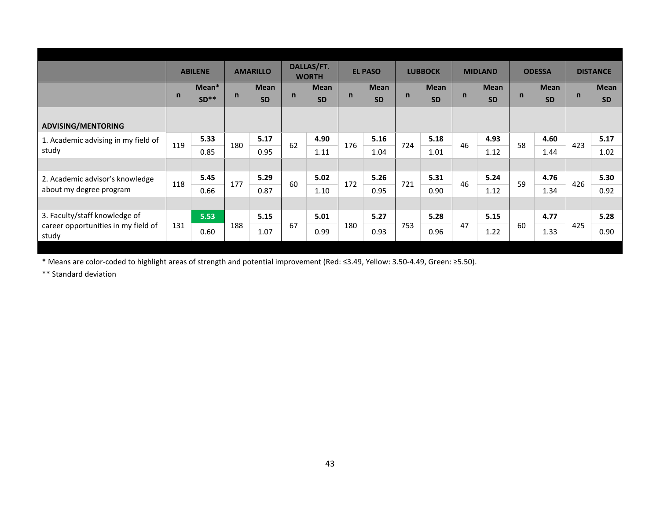|                                              |     | <b>ABILENE</b>  |              | <b>AMARILLO</b>          |             | DALLAS/FT.<br><b>WORTH</b> |              | <b>EL PASO</b>           |             | <b>LUBBOCK</b>    |              | <b>MIDLAND</b>           |    | <b>ODESSA</b>            |     | <b>DISTANCE</b>          |
|----------------------------------------------|-----|-----------------|--------------|--------------------------|-------------|----------------------------|--------------|--------------------------|-------------|-------------------|--------------|--------------------------|----|--------------------------|-----|--------------------------|
|                                              | n   | Mean*<br>$SD**$ | $\mathsf{n}$ | <b>Mean</b><br><b>SD</b> | $\mathbf n$ | <b>Mean</b><br><b>SD</b>   | $\mathsf{n}$ | <b>Mean</b><br><b>SD</b> | $\mathbf n$ | Mean<br><b>SD</b> | $\mathsf{n}$ | <b>Mean</b><br><b>SD</b> | n  | <b>Mean</b><br><b>SD</b> | n   | <b>Mean</b><br><b>SD</b> |
| <b>ADVISING/MENTORING</b>                    |     |                 |              |                          |             |                            |              |                          |             |                   |              |                          |    |                          |     |                          |
| 1. Academic advising in my field of          | 119 | 5.33            | 180          | 5.17                     | 62          | 4.90                       | 176          | 5.16                     | 724         | 5.18              | 46           | 4.93                     | 58 | 4.60                     | 423 | 5.17                     |
| study                                        |     | 0.85            |              | 0.95                     |             | 1.11                       |              | 1.04                     |             | 1.01              |              | 1.12                     |    | 1.44                     |     | 1.02                     |
|                                              |     |                 |              |                          |             |                            |              |                          |             |                   |              |                          |    |                          |     |                          |
| 2. Academic advisor's knowledge              | 118 | 5.45            | 177          | 5.29                     | 60          | 5.02                       | 172          | 5.26                     | 721         | 5.31              | 46           | 5.24                     | 59 | 4.76                     | 426 | 5.30                     |
| about my degree program                      |     | 0.66            |              | 0.87                     |             | 1.10                       |              | 0.95                     |             | 0.90              |              | 1.12                     |    | 1.34                     |     | 0.92                     |
|                                              |     |                 |              |                          |             |                            |              |                          |             |                   |              |                          |    |                          |     |                          |
| 3. Faculty/staff knowledge of                |     | 5.53            |              | 5.15                     |             | 5.01                       |              | 5.27                     |             | 5.28              |              | 5.15                     |    | 4.77                     |     | 5.28                     |
| career opportunities in my field of<br>study | 131 | 0.60            | 188          | 1.07                     | 67          | 0.99                       | 180          | 0.93                     | 753         | 0.96              | 47           | 1.22                     | 60 | 1.33                     | 425 | 0.90                     |
|                                              |     |                 |              |                          |             |                            |              |                          |             |                   |              |                          |    |                          |     |                          |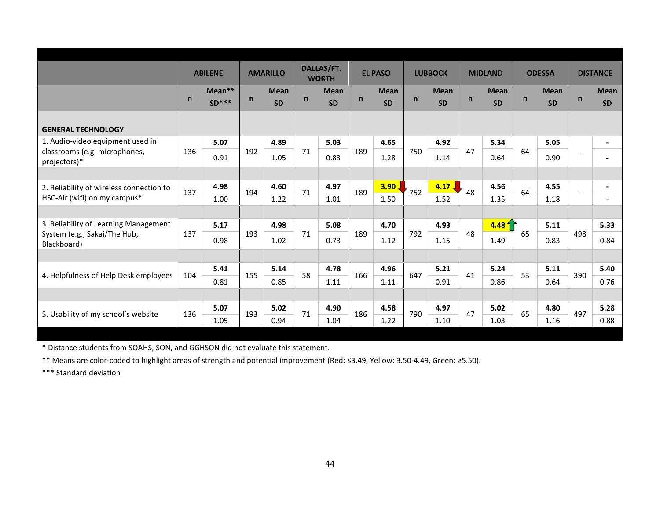|                                               |              | <b>ABILENE</b> |              | <b>AMARILLO</b> |              | DALLAS/FT.<br><b>WORTH</b> |             | <b>EL PASO</b>    |              | <b>LUBBOCK</b>    |              | <b>MIDLAND</b>    |              | <b>ODESSA</b> |             | <b>DISTANCE</b> |
|-----------------------------------------------|--------------|----------------|--------------|-----------------|--------------|----------------------------|-------------|-------------------|--------------|-------------------|--------------|-------------------|--------------|---------------|-------------|-----------------|
|                                               | $\mathsf{n}$ | Mean**         | $\mathsf{n}$ | <b>Mean</b>     | $\mathsf{n}$ | <b>Mean</b>                | $\mathbf n$ | <b>Mean</b>       | $\mathsf{n}$ | <b>Mean</b>       | $\mathsf{n}$ | <b>Mean</b>       | $\mathsf{n}$ | <b>Mean</b>   | $\mathbf n$ | <b>Mean</b>     |
|                                               |              | $SD***$        |              | <b>SD</b>       |              | <b>SD</b>                  |             | <b>SD</b>         |              | <b>SD</b>         |              | <b>SD</b>         |              | <b>SD</b>     |             | <b>SD</b>       |
| <b>GENERAL TECHNOLOGY</b>                     |              |                |              |                 |              |                            |             |                   |              |                   |              |                   |              |               |             |                 |
| 1. Audio-video equipment used in              |              | 5.07           |              | 4.89            |              | 5.03                       |             | 4.65              |              | 4.92              |              | 5.34              |              | 5.05          |             |                 |
| classrooms (e.g. microphones,<br>projectors)* | 136          | 0.91           | 192          | 1.05            | 71           | 0.83                       | 189         | 1.28              | 750          | 1.14              | 47           | 0.64              | 64           | 0.90          |             |                 |
|                                               |              |                |              |                 |              |                            |             |                   |              |                   |              |                   |              |               |             |                 |
| 2. Reliability of wireless connection to      | 137          | 4.98           | 194          | 4.60            | 71           | 4.97                       | 189         | 3.90 <sub>1</sub> | 752          | $4.17$ $\sqrt{ }$ | 48           | 4.56              | 64           | 4.55          |             | $\blacksquare$  |
| HSC-Air (wifi) on my campus*                  |              | 1.00           |              | 1.22            |              | 1.01                       |             | 1.50              |              | 1.52              |              | 1.35              |              | 1.18          |             |                 |
|                                               |              |                |              |                 |              |                            |             |                   |              |                   |              |                   |              |               |             |                 |
| 3. Reliability of Learning Management         |              | 5.17           |              | 4.98            |              | 5.08                       |             | 4.70              |              | 4.93              |              | 4.48 <sup>4</sup> |              | 5.11          |             | 5.33            |
| System (e.g., Sakai/The Hub,<br>Blackboard)   | 137          | 0.98           | 193          | 1.02            | 71           | 0.73                       | 189         | 1.12              | 792          | 1.15              | 48           | 1.49              | 65           | 0.83          | 498         | 0.84            |
|                                               |              |                |              |                 |              |                            |             |                   |              |                   |              |                   |              |               |             |                 |
|                                               | 104          | 5.41           | 155          | 5.14            | 58           | 4.78                       | 166         | 4.96              | 647          | 5.21              | 41           | 5.24              | 53           | 5.11          | 390         | 5.40            |
| 4. Helpfulness of Help Desk employees         |              | 0.81           |              | 0.85            |              | 1.11                       |             | 1.11              |              | 0.91              |              | 0.86              |              | 0.64          |             | 0.76            |
|                                               |              |                |              |                 |              |                            |             |                   |              |                   |              |                   |              |               |             |                 |
|                                               |              | 5.07           | 193          | 5.02            |              | 4.90                       | 186         | 4.58              |              | 4.97              | 47           | 5.02              | 65           | 4.80          | 497         | 5.28            |
| 5. Usability of my school's website           | 136          | 1.05           |              | 0.94            | 71           | 1.04                       |             | 1.22              | 790          | 1.10              |              | 1.03              |              | 1.16          |             | 0.88            |

\* Distance students from SOAHS, SON, and GGHSON did not evaluate this statement.

\*\* Means are color-coded to highlight areas of strength and potential improvement (Red: ≤3.49, Yellow: 3.50-4.49, Green: ≥5.50).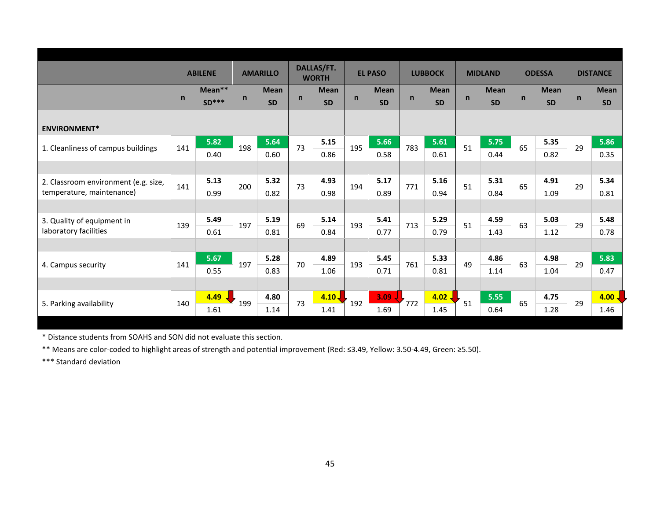|                                      |              | <b>ABILENE</b> |              | <b>AMARILLO</b> |              | DALLAS/FT.<br><b>WORTH</b> |              | <b>EL PASO</b> |              | <b>LUBBOCK</b>    |              | <b>MIDLAND</b> |              | <b>ODESSA</b> |              | <b>DISTANCE</b>   |
|--------------------------------------|--------------|----------------|--------------|-----------------|--------------|----------------------------|--------------|----------------|--------------|-------------------|--------------|----------------|--------------|---------------|--------------|-------------------|
|                                      |              | Mean**         |              | <b>Mean</b>     |              | <b>Mean</b>                |              | <b>Mean</b>    |              | <b>Mean</b>       |              | <b>Mean</b>    |              | <b>Mean</b>   |              | <b>Mean</b>       |
|                                      | $\mathsf{n}$ | $SD***$        | $\mathsf{n}$ | <b>SD</b>       | $\mathsf{n}$ | <b>SD</b>                  | $\mathsf{n}$ | <b>SD</b>      | $\mathsf{n}$ | <b>SD</b>         | $\mathsf{n}$ | <b>SD</b>      | $\mathsf{n}$ | <b>SD</b>     | $\mathsf{n}$ | <b>SD</b>         |
|                                      |              |                |              |                 |              |                            |              |                |              |                   |              |                |              |               |              |                   |
| <b>ENVIRONMENT*</b>                  |              |                |              |                 |              |                            |              |                |              |                   |              |                |              |               |              |                   |
|                                      | 141          | 5.82           | 198          | 5.64            | 73           | 5.15                       | 195          | 5.66           | 783          | 5.61              | 51           | 5.75           | 65           | 5.35          | 29           | 5.86              |
| 1. Cleanliness of campus buildings   |              | 0.40           |              | 0.60            |              | 0.86                       |              | 0.58           |              | 0.61              |              | 0.44           |              | 0.82          |              | 0.35              |
|                                      |              |                |              |                 |              |                            |              |                |              |                   |              |                |              |               |              |                   |
| 2. Classroom environment (e.g. size, |              | 5.13           |              | 5.32            |              | 4.93                       |              | 5.17           |              | 5.16              |              | 5.31           |              | 4.91          |              | 5.34              |
| temperature, maintenance)            | 141          | 0.99           | 200          | 0.82            | 73           | 0.98                       | 194          | 0.89           | 771          | 0.94              | 51           | 0.84           | 65           | 1.09          | 29           | 0.81              |
|                                      |              |                |              |                 |              |                            |              |                |              |                   |              |                |              |               |              |                   |
| 3. Quality of equipment in           | 139          | 5.49           | 197          | 5.19            | 69           | 5.14                       | 193          | 5.41           | 713          | 5.29              | 51           | 4.59           | 63           | 5.03          | 29           | 5.48              |
| laboratory facilities                |              | 0.61           |              | 0.81            |              | 0.84                       |              | 0.77           |              | 0.79              |              | 1.43           |              | 1.12          |              | 0.78              |
|                                      |              |                |              |                 |              |                            |              |                |              |                   |              |                |              |               |              |                   |
|                                      |              | 5.67           |              | 5.28            |              | 4.89                       |              | 5.45           |              | 5.33              |              | 4.86           |              | 4.98          |              | 5.83              |
| 4. Campus security                   | 141          | 0.55           | 197          | 0.83            | 70           | 1.06                       | 193          | 0.71           | 761          | 0.81              | 49           | 1.14           | 63           | 1.04          | 29           | 0.47              |
|                                      |              |                |              |                 |              |                            |              |                |              |                   |              |                |              |               |              |                   |
|                                      |              | 4.49           |              | 4.80            |              | 4.10 <sub>1</sub>          |              | 3.09           |              | $4.02$ $\sqrt{ }$ |              | 5.55           |              | 4.75          |              | 4.00 <sub>1</sub> |
| 5. Parking availability              | 140          | 1.61           | 199          | 1.14            | 73           | 1.41                       | 192          | 1.69           | 772          | 1.45              | 51           | 0.64           | 65           | 1.28          | 29           | 1.46              |
|                                      |              |                |              |                 |              |                            |              |                |              |                   |              |                |              |               |              |                   |

\* Distance students from SOAHS and SON did not evaluate this section.

\*\* Means are color-coded to highlight areas of strength and potential improvement (Red: ≤3.49, Yellow: 3.50-4.49, Green: ≥5.50).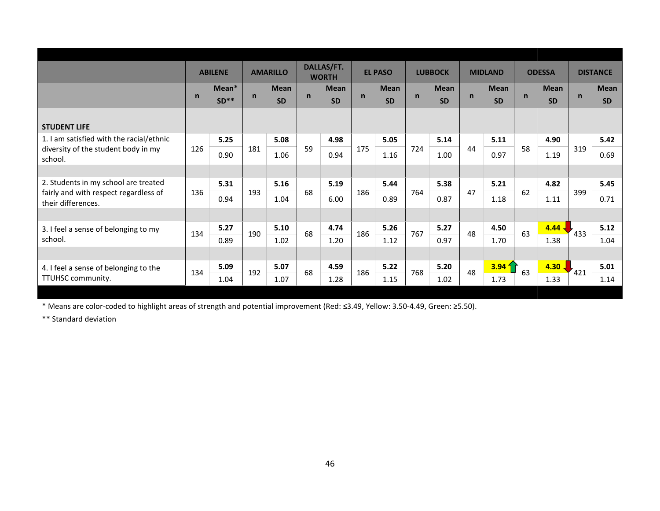|                                                             |              | <b>ABILENE</b> |     | <b>AMARILLO</b> |              | <b>DALLAS/FT.</b>           |             | <b>EL PASO</b> |             | <b>LUBBOCK</b> |             | <b>MIDLAND</b>    |              | <b>ODESSA</b> |              | <b>DISTANCE</b> |
|-------------------------------------------------------------|--------------|----------------|-----|-----------------|--------------|-----------------------------|-------------|----------------|-------------|----------------|-------------|-------------------|--------------|---------------|--------------|-----------------|
|                                                             |              | Mean*          |     | <b>Mean</b>     |              | <b>WORTH</b><br><b>Mean</b> |             | <b>Mean</b>    |             | <b>Mean</b>    |             | <b>Mean</b>       |              | <b>Mean</b>   |              | <b>Mean</b>     |
|                                                             | $\mathsf{n}$ | $SD**$         | n   | <b>SD</b>       | $\mathsf{n}$ | <b>SD</b>                   | $\mathbf n$ | <b>SD</b>      | $\mathbf n$ | <b>SD</b>      | $\mathbf n$ | <b>SD</b>         | $\mathsf{n}$ | <b>SD</b>     | $\mathsf{n}$ | <b>SD</b>       |
| <b>STUDENT LIFE</b>                                         |              |                |     |                 |              |                             |             |                |             |                |             |                   |              |               |              |                 |
| 1. I am satisfied with the racial/ethnic                    |              | 5.25           |     | 5.08            |              | 4.98                        |             | 5.05           |             | 5.14           |             | 5.11              |              | 4.90          |              | 5.42            |
| diversity of the student body in my<br>school.              | 126          | 0.90           | 181 | 1.06            | 59           | 0.94                        | 175         | 1.16           | 724         | 1.00           | 44          | 0.97              | 58           | 1.19          | 319          | 0.69            |
|                                                             |              |                |     |                 |              |                             |             |                |             |                |             |                   |              |               |              |                 |
| 2. Students in my school are treated                        |              | 5.31           |     | 5.16            |              | 5.19                        |             | 5.44           |             | 5.38           |             | 5.21              |              | 4.82          |              | 5.45            |
| fairly and with respect regardless of<br>their differences. | 136          | 0.94           | 193 | 1.04            | 68           | 6.00                        | 186         | 0.89           | 764         | 0.87           | 47          | 1.18              | 62           | 1.11          | 399          | 0.71            |
|                                                             |              |                |     |                 |              |                             |             |                |             |                |             |                   |              |               |              |                 |
| 3. I feel a sense of belonging to my                        | 134          | 5.27           | 190 | 5.10            | 68           | 4.74                        | 186         | 5.26           | 767         | 5.27           | 48          | 4.50              | 63           | $4.44 -$      | 433          | 5.12            |
| school.                                                     |              | 0.89           |     | 1.02            |              | 1.20                        |             | 1.12           |             | 0.97           |             | 1.70              |              | 1.38          |              | 1.04            |
|                                                             |              |                |     |                 |              |                             |             |                |             |                |             |                   |              |               |              |                 |
| 4. I feel a sense of belonging to the                       | 134          | 5.09           | 192 | 5.07            | 68           | 4.59                        | 186         | 5.22           | 768         | 5.20           | 48          | 3.94 <sub>1</sub> | 63           | $4.30$ J      | 421          | 5.01            |
| TTUHSC community.                                           |              | 1.04           |     | 1.07            |              | 1.28                        |             | 1.15           |             | 1.02           |             | 1.73              |              | 1.33          |              | 1.14            |
|                                                             |              |                |     |                 |              |                             |             |                |             |                |             |                   |              |               |              |                 |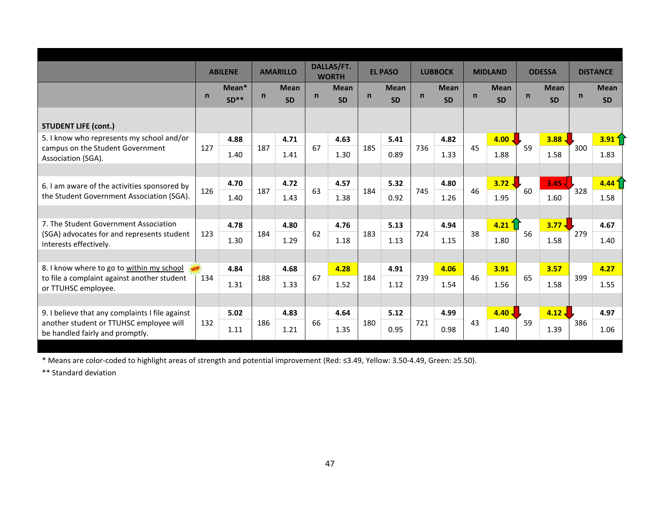|                                                                            |              | <b>ABILENE</b> |              | <b>AMARILLO</b> |    | DALLAS/FT.<br><b>WORTH</b> |              | <b>EL PASO</b> |             | <b>LUBBOCK</b> |              | <b>MIDLAND</b>    |              | <b>ODESSA</b> |              | <b>DISTANCE</b>   |
|----------------------------------------------------------------------------|--------------|----------------|--------------|-----------------|----|----------------------------|--------------|----------------|-------------|----------------|--------------|-------------------|--------------|---------------|--------------|-------------------|
|                                                                            | $\mathsf{n}$ | Mean*          | $\mathsf{n}$ | <b>Mean</b>     | n  | <b>Mean</b>                | $\mathsf{n}$ | <b>Mean</b>    | $\mathbf n$ | <b>Mean</b>    | $\mathsf{n}$ | <b>Mean</b>       | $\mathsf{n}$ | <b>Mean</b>   | $\mathsf{n}$ | <b>Mean</b>       |
|                                                                            |              | $SD**$         |              | <b>SD</b>       |    | <b>SD</b>                  |              | <b>SD</b>      |             | <b>SD</b>      |              | <b>SD</b>         |              | <b>SD</b>     |              | <b>SD</b>         |
| <b>STUDENT LIFE (cont.)</b>                                                |              |                |              |                 |    |                            |              |                |             |                |              |                   |              |               |              |                   |
| 5. I know who represents my school and/or                                  |              | 4.88           |              | 4.71            |    | 4.63                       |              | 5.41           |             | 4.82           |              | $4.00 \downarrow$ |              | 3.88.         |              | $3.91\frac{2}{3}$ |
| campus on the Student Government<br>Association (SGA).                     | 127          | 1.40           | 187          | 1.41            | 67 | 1.30                       | 185          | 0.89           | 736         | 1.33           | 45           | 1.88              | 59           | 1.58          | 300          | 1.83              |
|                                                                            |              |                |              |                 |    |                            |              |                |             |                |              |                   |              |               |              |                   |
| 6. I am aware of the activities sponsored by                               |              | 4.70           |              | 4.72            |    | 4.57                       |              | 5.32           |             | 4.80           |              | $3.72 \downarrow$ |              | 3.45          |              | 4.44 <sup>4</sup> |
| the Student Government Association (SGA).                                  | 126          | 1.40           | 187          | 1.43            | 63 | 1.38                       | 184          | 0.92           | 745         | 1.26           | 46           | 1.95              | 60           | 1.60          | 328          | 1.58              |
|                                                                            |              |                |              |                 |    |                            |              |                |             |                |              |                   |              |               |              |                   |
| 7. The Student Government Association                                      |              | 4.78           |              | 4.80            |    | 4.76                       |              | 5.13           |             | 4.94           |              | $4.21 \n1$        |              | 3.77          |              | 4.67              |
| (SGA) advocates for and represents student<br>interests effectively.       | 123          | 1.30           | 184          | 1.29            | 62 | 1.18                       | 183          | 1.13           | 724         | 1.15           | 38           | 1.80              | 56           | 1.58          | 279          | 1.40              |
|                                                                            |              |                |              |                 |    |                            |              |                |             |                |              |                   |              |               |              |                   |
| 8. I know where to go to within my school                                  |              | 4.84           |              | 4.68            |    | 4.28                       |              | 4.91           |             | 4.06           |              | 3.91              |              | 3.57          |              | 4.27              |
| to file a complaint against another student<br>or TTUHSC employee.         | 134          | 1.31           | 188          | 1.33            | 67 | 1.52                       | 184          | 1.12           | 739         | 1.54           | 46           | 1.56              | 65           | 1.58          | 399          | 1.55              |
|                                                                            |              |                |              |                 |    |                            |              |                |             |                |              |                   |              |               |              |                   |
| 9. I believe that any complaints I file against                            |              | 5.02           |              | 4.83            |    | 4.64                       |              | 5.12           |             | 4.99           |              | $4.40 -$          |              | $4.12 -$      |              | 4.97              |
| another student or TTUHSC employee will<br>be handled fairly and promptly. | 132          | 1.11           | 186          | 1.21            | 66 | 1.35                       | 180          | 0.95           | 721         | 0.98           | 43           | 1.40              | 59           | 1.39          | 386          | 1.06              |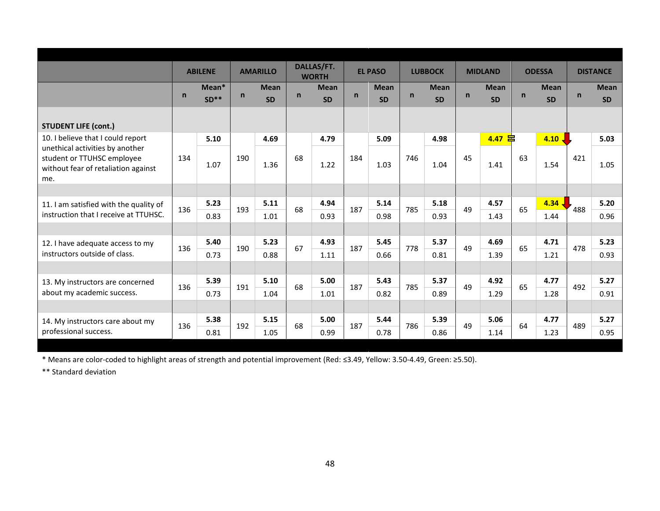|                                                                   |              | <b>ABILENE</b> |              | <b>AMARILLO</b> |              | DALLAS/FT.<br><b>WORTH</b> |              | <b>EL PASO</b> |              | <b>LUBBOCK</b> |              | <b>MIDLAND</b> |              | <b>ODESSA</b>     |              | <b>DISTANCE</b> |
|-------------------------------------------------------------------|--------------|----------------|--------------|-----------------|--------------|----------------------------|--------------|----------------|--------------|----------------|--------------|----------------|--------------|-------------------|--------------|-----------------|
|                                                                   |              | Mean*          |              | <b>Mean</b>     |              | <b>Mean</b>                |              | <b>Mean</b>    |              | <b>Mean</b>    |              | <b>Mean</b>    |              | <b>Mean</b>       |              | <b>Mean</b>     |
|                                                                   | $\mathsf{n}$ | $SD**$         | $\mathsf{n}$ | <b>SD</b>       | $\mathsf{n}$ | <b>SD</b>                  | $\mathsf{n}$ | <b>SD</b>      | $\mathsf{n}$ | <b>SD</b>      | $\mathsf{n}$ | <b>SD</b>      | $\mathsf{n}$ | <b>SD</b>         | $\mathsf{n}$ | <b>SD</b>       |
|                                                                   |              |                |              |                 |              |                            |              |                |              |                |              |                |              |                   |              |                 |
| <b>STUDENT LIFE (cont.)</b>                                       |              |                |              |                 |              |                            |              |                |              |                |              |                |              |                   |              |                 |
| 10. I believe that I could report                                 |              | 5.10           |              | 4.69            |              | 4.79                       |              | 5.09           |              | 4.98           |              | 皀<br>4.47      |              | $4.10 \downarrow$ |              | 5.03            |
| unethical activities by another                                   | 134          |                | 190          |                 | 68           |                            | 184          |                | 746          |                | 45           |                | 63           |                   | 421          |                 |
| student or TTUHSC employee<br>without fear of retaliation against |              | 1.07           |              | 1.36            |              | 1.22                       |              | 1.03           |              | 1.04           |              | 1.41           |              | 1.54              |              | 1.05            |
| me.                                                               |              |                |              |                 |              |                            |              |                |              |                |              |                |              |                   |              |                 |
|                                                                   |              |                |              |                 |              |                            |              |                |              |                |              |                |              |                   |              |                 |
| 11. I am satisfied with the quality of                            | 136          | 5.23           | 193          | 5.11            | 68           | 4.94                       | 187          | 5.14           | 785          | 5.18           | 49           | 4.57           | 65           | $4.34 -$          | 488          | 5.20            |
| instruction that I receive at TTUHSC.                             |              | 0.83           |              | 1.01            |              | 0.93                       |              | 0.98           |              | 0.93           |              | 1.43           |              | 1.44              |              | 0.96            |
|                                                                   |              |                |              |                 |              |                            |              |                |              |                |              |                |              |                   |              |                 |
| 12. I have adequate access to my                                  | 136          | 5.40           | 190          | 5.23            | 67           | 4.93                       | 187          | 5.45           | 778          | 5.37           | 49           | 4.69           | 65           | 4.71              | 478          | 5.23            |
| instructors outside of class.                                     |              | 0.73           |              | 0.88            |              | 1.11                       |              | 0.66           |              | 0.81           |              | 1.39           |              | 1.21              |              | 0.93            |
|                                                                   |              |                |              |                 |              |                            |              |                |              |                |              |                |              |                   |              |                 |
| 13. My instructors are concerned                                  |              | 5.39           |              | 5.10            |              | 5.00                       |              | 5.43           |              | 5.37           | 49           | 4.92           |              | 4.77              |              | 5.27            |
| about my academic success.                                        | 136          | 0.73           | 191          | 1.04            | 68           | 1.01                       | 187          | 0.82           | 785          | 0.89           |              | 1.29           | 65           | 1.28              | 492          | 0.91            |
|                                                                   |              |                |              |                 |              |                            |              |                |              |                |              |                |              |                   |              |                 |
| 14. My instructors care about my                                  |              | 5.38           |              | 5.15            |              | 5.00                       |              | 5.44           |              | 5.39           |              | 5.06           |              | 4.77              |              | 5.27            |
| professional success.                                             | 136          | 0.81           | 192          | 1.05            | 68           | 0.99                       | 187          | 0.78           | 786          | 0.86           | 49           | 1.14           | 64           | 1.23              | 489          | 0.95            |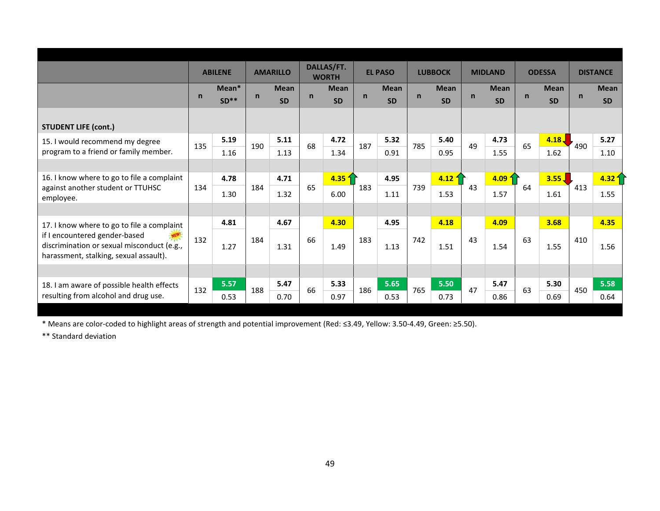|                                                                                                                       |              | <b>ABILENE</b> |              | <b>AMARILLO</b> |              | DALLAS/FT.<br><b>WORTH</b> |              | <b>EL PASO</b> |              | <b>LUBBOCK</b>    |              | <b>MIDLAND</b> |              | <b>ODESSA</b> |              | <b>DISTANCE</b>   |
|-----------------------------------------------------------------------------------------------------------------------|--------------|----------------|--------------|-----------------|--------------|----------------------------|--------------|----------------|--------------|-------------------|--------------|----------------|--------------|---------------|--------------|-------------------|
|                                                                                                                       |              | Mean*          |              | <b>Mean</b>     |              | <b>Mean</b>                |              | <b>Mean</b>    |              | <b>Mean</b>       |              | <b>Mean</b>    |              | <b>Mean</b>   |              | <b>Mean</b>       |
|                                                                                                                       | $\mathsf{n}$ | $SD**$         | $\mathsf{n}$ | <b>SD</b>       | $\mathsf{n}$ | <b>SD</b>                  | $\mathsf{n}$ | <b>SD</b>      | $\mathsf{n}$ | <b>SD</b>         | $\mathsf{n}$ | <b>SD</b>      | $\mathsf{n}$ | <b>SD</b>     | $\mathsf{n}$ | <b>SD</b>         |
|                                                                                                                       |              |                |              |                 |              |                            |              |                |              |                   |              |                |              |               |              |                   |
| <b>STUDENT LIFE (cont.)</b>                                                                                           |              |                |              |                 |              |                            |              |                |              |                   |              |                |              |               |              |                   |
| 15. I would recommend my degree                                                                                       | 135          | 5.19           | 190          | 5.11            | 68           | 4.72                       | 187          | 5.32           | 785          | 5.40              | 49           | 4.73           | 65           | 4.18          | 490          | 5.27              |
| program to a friend or family member.                                                                                 |              | 1.16           |              | 1.13            |              | 1.34                       |              | 0.91           |              | 0.95              |              | 1.55           |              | 1.62          |              | 1.10              |
|                                                                                                                       |              |                |              |                 |              |                            |              |                |              |                   |              |                |              |               |              |                   |
| 16. I know where to go to file a complaint                                                                            |              | 4.78           |              | 4.71            |              | 4.35 <sup>4</sup>          |              | 4.95           |              | $4.12\frac{1}{1}$ |              | 4.09           |              | 3.55 J        |              | 4.32 <sup>4</sup> |
| against another student or TTUHSC<br>employee.                                                                        | 134          | 1.30           | 184          | 1.32            | 65           | 6.00                       | 183          | 1.11           | 739          | 1.53              | 43           | 1.57           | 64           | 1.61          | 413          | 1.55              |
|                                                                                                                       |              |                |              |                 |              |                            |              |                |              |                   |              |                |              |               |              |                   |
| 17. I know where to go to file a complaint                                                                            |              | 4.81           |              | 4.67            |              | 4.30                       |              | 4.95           |              | 4.18              |              | 4.09           |              | 3.68          |              | 4.35              |
| if I encountered gender-based<br>discrimination or sexual misconduct (e.g.,<br>harassment, stalking, sexual assault). | 132          | 1.27           | 184          | 1.31            | 66           | 1.49                       | 183          | 1.13           | 742          | 1.51              | 43           | 1.54           | 63           | 1.55          | 410          | 1.56              |
|                                                                                                                       |              |                |              |                 |              |                            |              |                |              |                   |              |                |              |               |              |                   |
| 18. I am aware of possible health effects                                                                             | 132          | 5.57           | 188          | 5.47            | 66           | 5.33                       | 186          | 5.65           | 765          | 5.50              | 47           | 5.47           | 63           | 5.30          | 450          | 5.58              |
| resulting from alcohol and drug use.                                                                                  |              | 0.53           |              | 0.70            |              | 0.97                       |              | 0.53           |              | 0.73              |              | 0.86           |              | 0.69          |              | 0.64              |